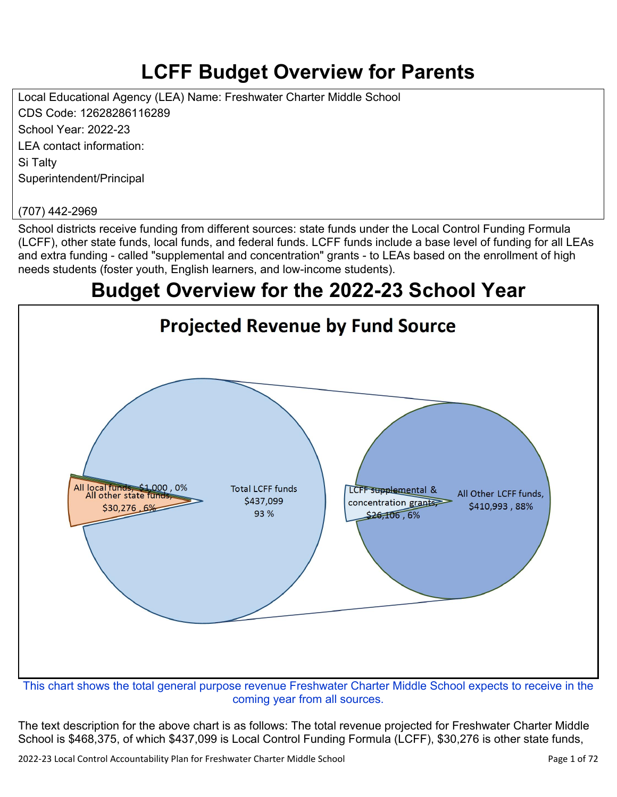# **LCFF Budget Overview for Parents**

Local Educational Agency (LEA) Name: Freshwater Charter Middle School CDS Code: 12628286116289 School Year: 2022-23 LEA contact information: Si Talty Superintendent/Principal

#### (707) 442-2969

School districts receive funding from different sources: state funds under the Local Control Funding Formula (LCFF), other state funds, local funds, and federal funds. LCFF funds include a base level of funding for all LEAs and extra funding - called "supplemental and concentration" grants - to LEAs based on the enrollment of high needs students (foster youth, English learners, and low-income students).

## **Budget Overview for the 2022-23 School Year**



coming year from all sources.

The text description for the above chart is as follows: The total revenue projected for Freshwater Charter Middle School is \$468,375, of which \$437,099 is Local Control Funding Formula (LCFF), \$30,276 is other state funds,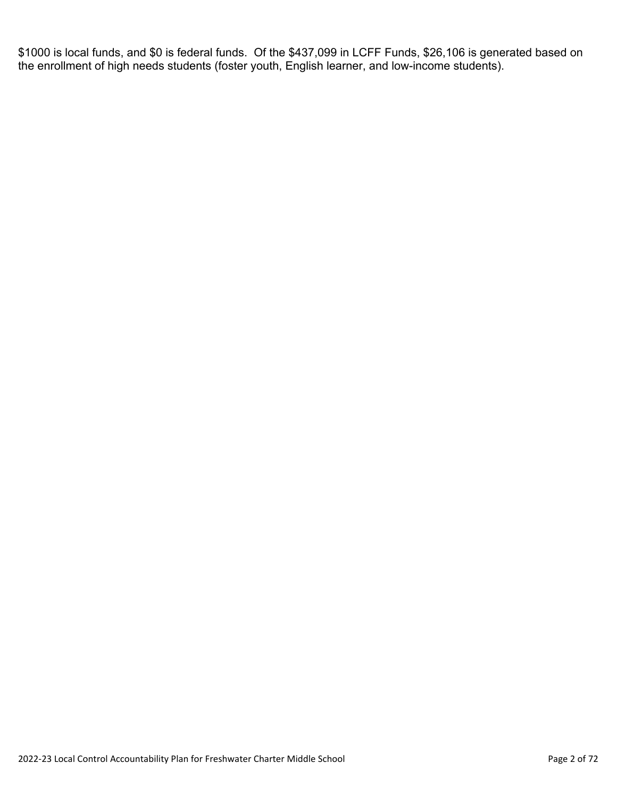\$1000 is local funds, and \$0 is federal funds. Of the \$437,099 in LCFF Funds, \$26,106 is generated based on the enrollment of high needs students (foster youth, English learner, and low-income students).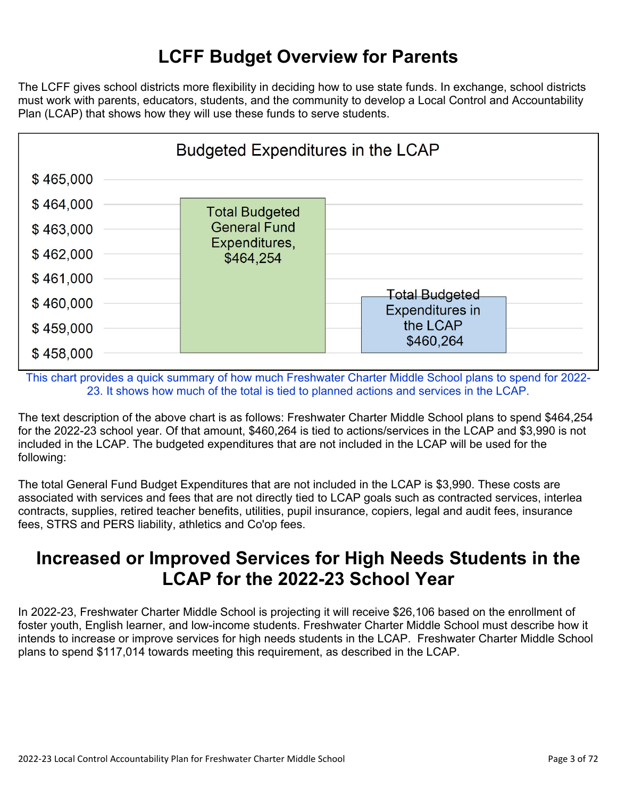## **LCFF Budget Overview for Parents**

The LCFF gives school districts more flexibility in deciding how to use state funds. In exchange, school districts must work with parents, educators, students, and the community to develop a Local Control and Accountability Plan (LCAP) that shows how they will use these funds to serve students.

| <b>Budgeted Expenditures in the LCAP</b> |                            |                                                 |  |  |
|------------------------------------------|----------------------------|-------------------------------------------------|--|--|
| \$465,000                                |                            |                                                 |  |  |
| \$464,000                                | <b>Total Budgeted</b>      |                                                 |  |  |
| \$463,000                                | <b>General Fund</b>        |                                                 |  |  |
| \$462,000                                | Expenditures,<br>\$464,254 |                                                 |  |  |
| \$461,000                                |                            |                                                 |  |  |
| \$460,000                                |                            | <b>Total Budgeted</b><br><b>Expenditures in</b> |  |  |
| \$459,000                                |                            | the LCAP<br>\$460,264                           |  |  |
| \$458,000                                |                            |                                                 |  |  |

This chart provides a quick summary of how much Freshwater Charter Middle School plans to spend for 2022- 23. It shows how much of the total is tied to planned actions and services in the LCAP.

The text description of the above chart is as follows: Freshwater Charter Middle School plans to spend \$464,254 for the 2022-23 school year. Of that amount, \$460,264 is tied to actions/services in the LCAP and \$3,990 is not included in the LCAP. The budgeted expenditures that are not included in the LCAP will be used for the following:

The total General Fund Budget Expenditures that are not included in the LCAP is \$3,990. These costs are associated with services and fees that are not directly tied to LCAP goals such as contracted services, interlea contracts, supplies, retired teacher benefits, utilities, pupil insurance, copiers, legal and audit fees, insurance fees, STRS and PERS liability, athletics and Co'op fees.

### **Increased or Improved Services for High Needs Students in the LCAP for the 2022-23 School Year**

In 2022-23, Freshwater Charter Middle School is projecting it will receive \$26,106 based on the enrollment of foster youth, English learner, and low-income students. Freshwater Charter Middle School must describe how it intends to increase or improve services for high needs students in the LCAP. Freshwater Charter Middle School plans to spend \$117,014 towards meeting this requirement, as described in the LCAP.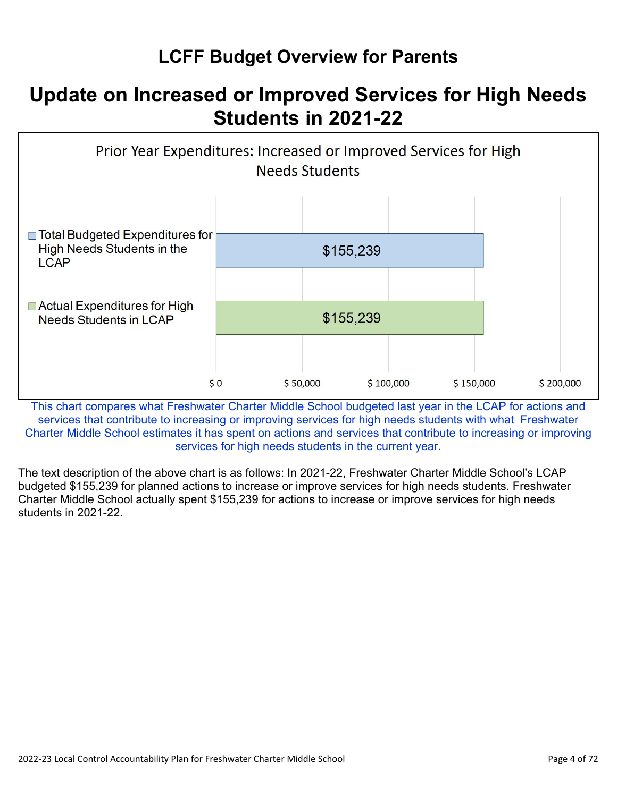## **LCFF Budget Overview for Parents**

## **Update on Increased or Improved Services for High Needs Students in 2021-22**



This chart compares what Freshwater Charter Middle School budgeted last year in the LCAP for actions and services that contribute to increasing or improving services for high needs students with what Freshwater Charter Middle School estimates it has spent on actions and services that contribute to increasing or improving services for high needs students in the current year.

The text description of the above chart is as follows: In 2021-22, Freshwater Charter Middle School's LCAP budgeted \$155,239 for planned actions to increase or improve services for high needs students. Freshwater Charter Middle School actually spent \$155,239 for actions to increase or improve services for high needs students in 2021-22.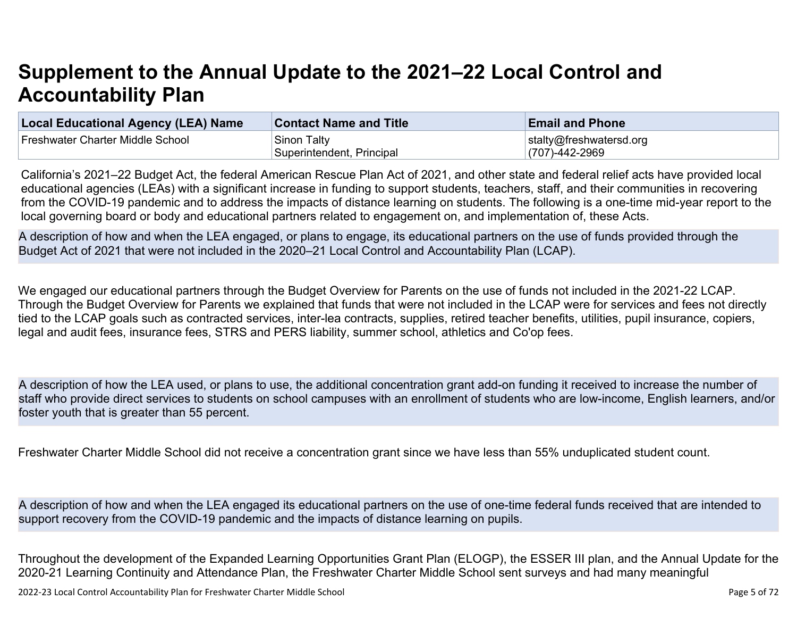# **Supplement to the Annual Update to the 2021–22 Local Control and Accountability Plan**

| <b>Local Educational Agency (LEA) Name</b> | <b>Contact Name and Title</b> | <b>Email and Phone</b>  |
|--------------------------------------------|-------------------------------|-------------------------|
| Freshwater Charter Middle School           | Sinon Talty                   | stalty@freshwatersd.org |
|                                            | Superintendent, Principal     | $(707) - 442 - 2969$    |

California's 2021–22 Budget Act, the federal American Rescue Plan Act of 2021, and other state and federal relief acts have provided local educational agencies (LEAs) with a significant increase in funding to support students, teachers, staff, and their communities in recovering from the COVID-19 pandemic and to address the impacts of distance learning on students. The following is a one-time mid-year report to the local governing board or body and educational partners related to engagement on, and implementation of, these Acts.

A description of how and when the LEA engaged, or plans to engage, its educational partners on the use of funds provided through the Budget Act of 2021 that were not included in the 2020–21 Local Control and Accountability Plan (LCAP).

We engaged our educational partners through the Budget Overview for Parents on the use of funds not included in the 2021-22 LCAP. Through the Budget Overview for Parents we explained that funds that were not included in the LCAP were for services and fees not directly tied to the LCAP goals such as contracted services, inter-lea contracts, supplies, retired teacher benefits, utilities, pupil insurance, copiers, legal and audit fees, insurance fees, STRS and PERS liability, summer school, athletics and Co'op fees.

A description of how the LEA used, or plans to use, the additional concentration grant add-on funding it received to increase the number of staff who provide direct services to students on school campuses with an enrollment of students who are low-income, English learners, and/or foster youth that is greater than 55 percent.

Freshwater Charter Middle School did not receive a concentration grant since we have less than 55% unduplicated student count.

A description of how and when the LEA engaged its educational partners on the use of one-time federal funds received that are intended to support recovery from the COVID-19 pandemic and the impacts of distance learning on pupils.

Throughout the development of the Expanded Learning Opportunities Grant Plan (ELOGP), the ESSER III plan, and the Annual Update for the 2020-21 Learning Continuity and Attendance Plan, the Freshwater Charter Middle School sent surveys and had many meaningful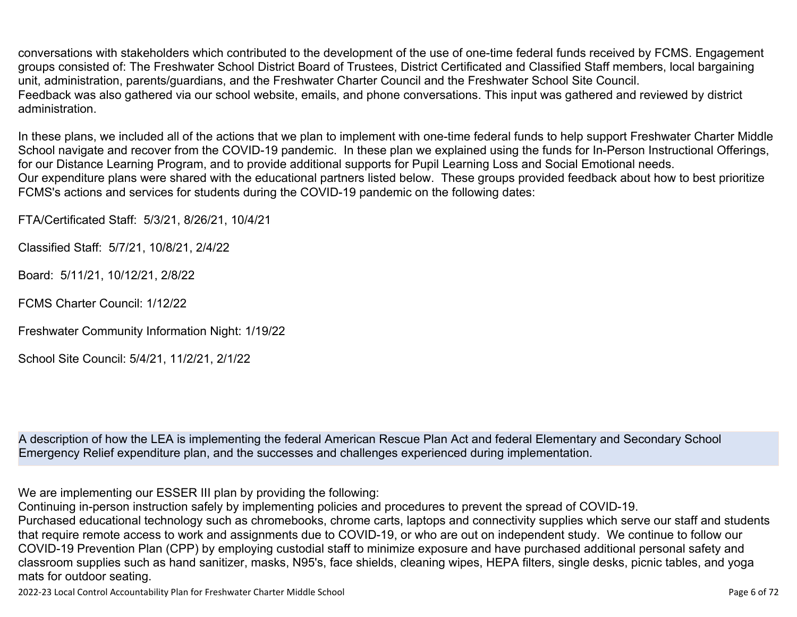conversations with stakeholders which contributed to the development of the use of one-time federal funds received by FCMS. Engagement groups consisted of: The Freshwater School District Board of Trustees, District Certificated and Classified Staff members, local bargaining unit, administration, parents/guardians, and the Freshwater Charter Council and the Freshwater School Site Council. Feedback was also gathered via our school website, emails, and phone conversations. This input was gathered and reviewed by district administration.

In these plans, we included all of the actions that we plan to implement with one-time federal funds to help support Freshwater Charter Middle School navigate and recover from the COVID-19 pandemic. In these plan we explained using the funds for In-Person Instructional Offerings, for our Distance Learning Program, and to provide additional supports for Pupil Learning Loss and Social Emotional needs. Our expenditure plans were shared with the educational partners listed below. These groups provided feedback about how to best prioritize FCMS's actions and services for students during the COVID-19 pandemic on the following dates:

FTA/Certificated Staff: 5/3/21, 8/26/21, 10/4/21

Classified Staff: 5/7/21, 10/8/21, 2/4/22

Board: 5/11/21, 10/12/21, 2/8/22

FCMS Charter Council: 1/12/22

Freshwater Community Information Night: 1/19/22

School Site Council: 5/4/21, 11/2/21, 2/1/22

A description of how the LEA is implementing the federal American Rescue Plan Act and federal Elementary and Secondary School Emergency Relief expenditure plan, and the successes and challenges experienced during implementation.

We are implementing our ESSER III plan by providing the following:

Continuing in-person instruction safely by implementing policies and procedures to prevent the spread of COVID-19.

Purchased educational technology such as chromebooks, chrome carts, laptops and connectivity supplies which serve our staff and students that require remote access to work and assignments due to COVID-19, or who are out on independent study. We continue to follow our COVID-19 Prevention Plan (CPP) by employing custodial staff to minimize exposure and have purchased additional personal safety and classroom supplies such as hand sanitizer, masks, N95's, face shields, cleaning wipes, HEPA filters, single desks, picnic tables, and yoga mats for outdoor seating.

2022-23 Local Control Accountability Plan for Freshwater Charter Middle School **Page 6 of 72** and 2022-23 Local Control Accountability Plan for Freshwater Charter Middle School **Page 6 of 72**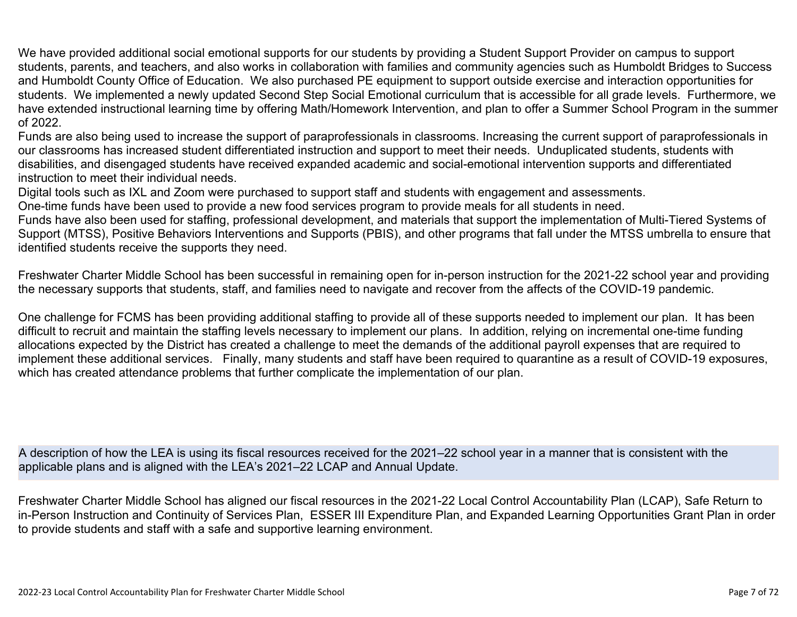We have provided additional social emotional supports for our students by providing a Student Support Provider on campus to support students, parents, and teachers, and also works in collaboration with families and community agencies such as Humboldt Bridges to Success and Humboldt County Office of Education. We also purchased PE equipment to support outside exercise and interaction opportunities for students. We implemented a newly updated Second Step Social Emotional curriculum that is accessible for all grade levels. Furthermore, we have extended instructional learning time by offering Math/Homework Intervention, and plan to offer a Summer School Program in the summer of 2022.

Funds are also being used to increase the support of paraprofessionals in classrooms. Increasing the current support of paraprofessionals in our classrooms has increased student differentiated instruction and support to meet their needs. Unduplicated students, students with disabilities, and disengaged students have received expanded academic and social-emotional intervention supports and differentiated instruction to meet their individual needs.

Digital tools such as IXL and Zoom were purchased to support staff and students with engagement and assessments.

One-time funds have been used to provide a new food services program to provide meals for all students in need.

Funds have also been used for staffing, professional development, and materials that support the implementation of Multi-Tiered Systems of Support (MTSS), Positive Behaviors Interventions and Supports (PBIS), and other programs that fall under the MTSS umbrella to ensure that identified students receive the supports they need.

Freshwater Charter Middle School has been successful in remaining open for in-person instruction for the 2021-22 school year and providing the necessary supports that students, staff, and families need to navigate and recover from the affects of the COVID-19 pandemic.

One challenge for FCMS has been providing additional staffing to provide all of these supports needed to implement our plan. It has been difficult to recruit and maintain the staffing levels necessary to implement our plans. In addition, relying on incremental one-time funding allocations expected by the District has created a challenge to meet the demands of the additional payroll expenses that are required to implement these additional services. Finally, many students and staff have been required to quarantine as a result of COVID-19 exposures, which has created attendance problems that further complicate the implementation of our plan.

A description of how the LEA is using its fiscal resources received for the 2021–22 school year in a manner that is consistent with the applicable plans and is aligned with the LEA's 2021–22 LCAP and Annual Update.

Freshwater Charter Middle School has aligned our fiscal resources in the 2021-22 Local Control Accountability Plan (LCAP), Safe Return to in-Person Instruction and Continuity of Services Plan, ESSER III Expenditure Plan, and Expanded Learning Opportunities Grant Plan in order to provide students and staff with a safe and supportive learning environment.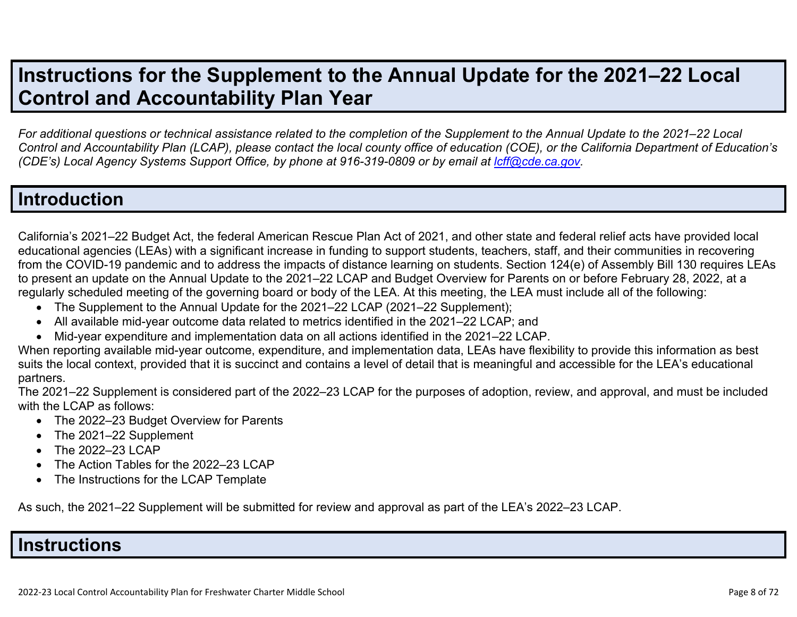## **Instructions for the Supplement to the Annual Update for the 2021–22 Local Control and Accountability Plan Year**

*For additional questions or technical assistance related to the completion of the Supplement to the Annual Update to the 2021–22 Local Control and Accountability Plan (LCAP), please contact the local county office of education (COE), or the California Department of Education's (CDE's)* Local Agency Systems Support Office, by phone at 916-319-0809 or by email at *[lcff@cde.ca.gov](mailto:lcff@cde.ca.gov)*.

## **Introduction**

California's 2021–22 Budget Act, the federal American Rescue Plan Act of 2021, and other state and federal relief acts have provided local educational agencies (LEAs) with a significant increase in funding to support students, teachers, staff, and their communities in recovering from the COVID-19 pandemic and to address the impacts of distance learning on students. Section 124(e) of Assembly Bill 130 requires LEAs to present an update on the Annual Update to the 2021–22 LCAP and Budget Overview for Parents on or before February 28, 2022, at a regularly scheduled meeting of the governing board or body of the LEA. At this meeting, the LEA must include all of the following:

- The Supplement to the Annual Update for the 2021–22 LCAP (2021–22 Supplement);
- All available mid-year outcome data related to metrics identified in the 2021–22 LCAP; and
- Mid-year expenditure and implementation data on all actions identified in the 2021–22 LCAP.

When reporting available mid-year outcome, expenditure, and implementation data, LEAs have flexibility to provide this information as best suits the local context, provided that it is succinct and contains a level of detail that is meaningful and accessible for the LEA's educational partners.

The 2021–22 Supplement is considered part of the 2022–23 LCAP for the purposes of adoption, review, and approval, and must be included with the LCAP as follows:

- The 2022–23 Budget Overview for Parents
- The 2021–22 Supplement
- The 2022-23 LCAP
- The Action Tables for the 2022–23 LCAP
- The Instructions for the LCAP Template

As such, the 2021–22 Supplement will be submitted for review and approval as part of the LEA's 2022–23 LCAP.

#### **Instructions**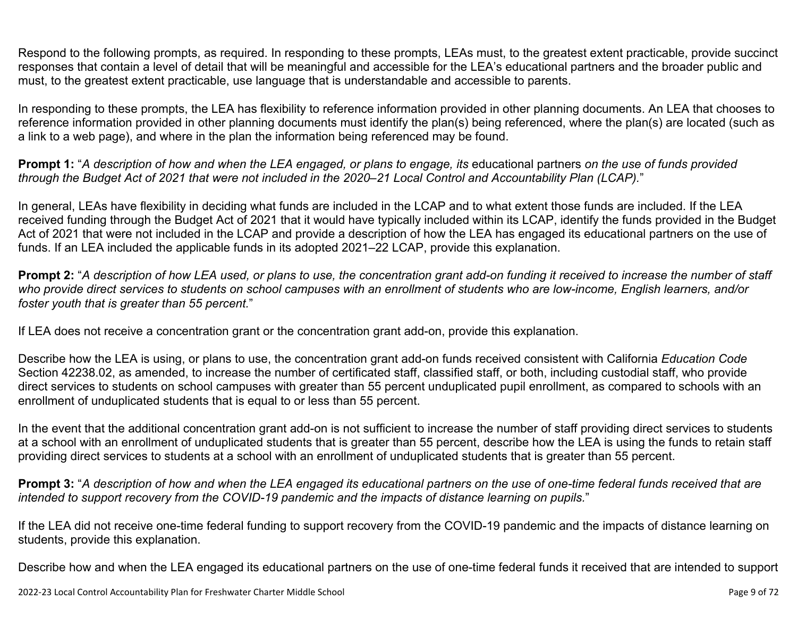Respond to the following prompts, as required. In responding to these prompts, LEAs must, to the greatest extent practicable, provide succinct responses that contain a level of detail that will be meaningful and accessible for the LEA's educational partners and the broader public and must, to the greatest extent practicable, use language that is understandable and accessible to parents.

In responding to these prompts, the LEA has flexibility to reference information provided in other planning documents. An LEA that chooses to reference information provided in other planning documents must identify the plan(s) being referenced, where the plan(s) are located (such as a link to a web page), and where in the plan the information being referenced may be found.

**Prompt 1:** "*A description of how and when the LEA engaged, or plans to engage, its* educational partners *on the use of funds provided through the Budget Act of 2021 that were not included in the 2020–21 Local Control and Accountability Plan (LCAP).*"

In general, LEAs have flexibility in deciding what funds are included in the LCAP and to what extent those funds are included. If the LEA received funding through the Budget Act of 2021 that it would have typically included within its LCAP, identify the funds provided in the Budget Act of 2021 that were not included in the LCAP and provide a description of how the LEA has engaged its educational partners on the use of funds. If an LEA included the applicable funds in its adopted 2021–22 LCAP, provide this explanation.

**Prompt 2:** "*A description of how LEA used, or plans to use, the concentration grant add-on funding it received to increase the number of staff who provide direct services to students on school campuses with an enrollment of students who are low-income, English learners, and/or foster youth that is greater than 55 percent.*"

If LEA does not receive a concentration grant or the concentration grant add-on, provide this explanation.

Describe how the LEA is using, or plans to use, the concentration grant add-on funds received consistent with California *Education Code* Section 42238.02, as amended, to increase the number of certificated staff, classified staff, or both, including custodial staff, who provide direct services to students on school campuses with greater than 55 percent unduplicated pupil enrollment, as compared to schools with an enrollment of unduplicated students that is equal to or less than 55 percent.

In the event that the additional concentration grant add-on is not sufficient to increase the number of staff providing direct services to students at a school with an enrollment of unduplicated students that is greater than 55 percent, describe how the LEA is using the funds to retain staff providing direct services to students at a school with an enrollment of unduplicated students that is greater than 55 percent.

**Prompt 3:** "*A description of how and when the LEA engaged its educational partners on the use of one-time federal funds received that are intended to support recovery from the COVID-19 pandemic and the impacts of distance learning on pupils.*"

If the LEA did not receive one-time federal funding to support recovery from the COVID-19 pandemic and the impacts of distance learning on students, provide this explanation.

Describe how and when the LEA engaged its educational partners on the use of one-time federal funds it received that are intended to support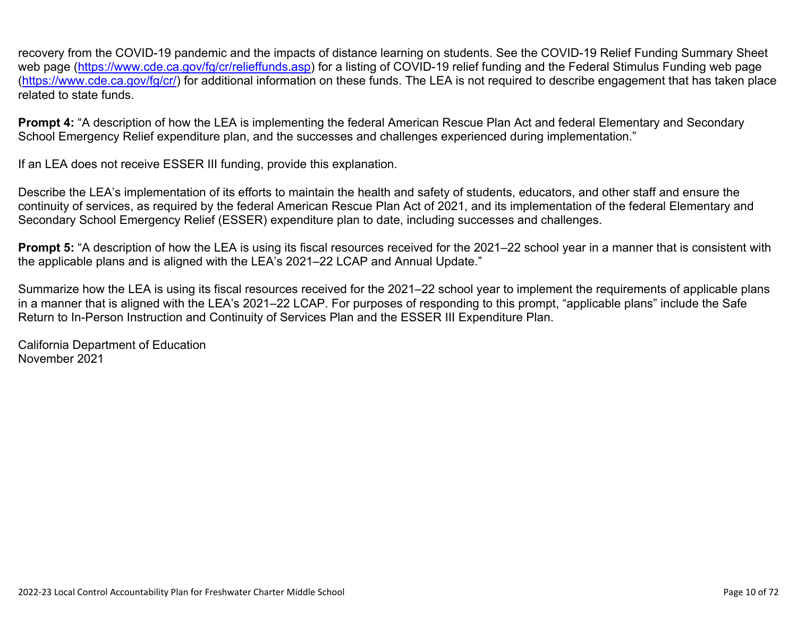recovery from the COVID-19 pandemic and the impacts of distance learning on students. See the COVID-19 Relief Funding Summary Sheet web page [\(https://www.cde.ca.gov/fg/cr/relieffunds.asp\)](https://www.cde.ca.gov/fg/cr/relieffunds.asp) for a listing of COVID-19 relief funding and the Federal Stimulus Funding web page (<https://www.cde.ca.gov/fg/cr/>) for additional information on these funds. The LEA is not required to describe engagement that has taken place related to state funds.

**Prompt 4:** "A description of how the LEA is implementing the federal American Rescue Plan Act and federal Elementary and Secondary School Emergency Relief expenditure plan, and the successes and challenges experienced during implementation."

If an LEA does not receive ESSER III funding, provide this explanation.

Describe the LEA's implementation of its efforts to maintain the health and safety of students, educators, and other staff and ensure the continuity of services, as required by the federal American Rescue Plan Act of 2021, and its implementation of the federal Elementary and Secondary School Emergency Relief (ESSER) expenditure plan to date, including successes and challenges.

**Prompt 5:** "A description of how the LEA is using its fiscal resources received for the 2021–22 school year in a manner that is consistent with the applicable plans and is aligned with the LEA's 2021–22 LCAP and Annual Update."

Summarize how the LEA is using its fiscal resources received for the 2021–22 school year to implement the requirements of applicable plans in a manner that is aligned with the LEA's 2021–22 LCAP. For purposes of responding to this prompt, "applicable plans" include the Safe Return to In-Person Instruction and Continuity of Services Plan and the ESSER III Expenditure Plan.

California Department of Education November 2021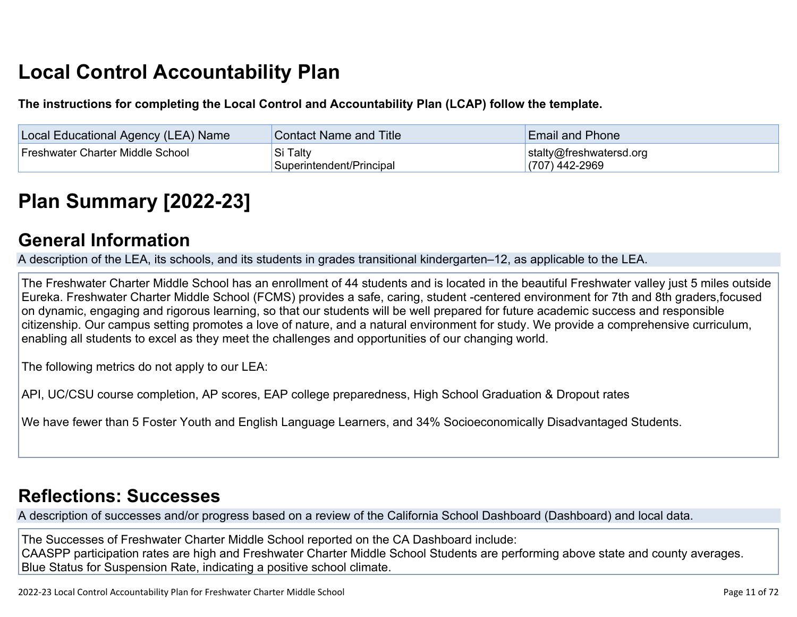# **Local Control Accountability Plan**

**The instructions for completing the Local Control and Accountability Plan (LCAP) follow the template.**

| <b>Local Educational Agency (LEA) Name</b> | <b>Contact Name and Title</b>        | <b>Email and Phone</b>                      |
|--------------------------------------------|--------------------------------------|---------------------------------------------|
| Freshwater Charter Middle School           | Si Talty<br>Superintendent/Principal | stalty@freshwatersd.org<br>$(707)$ 442-2969 |

# **[Plan Summary \[2022-23\]](http://www.doc-tracking.com/screenshots/22LCAP/Instructions/22LCAPInstructions.htm#PlanSummary)**

### **[General Information](http://www.doc-tracking.com/screenshots/22LCAP/Instructions/22LCAPInstructions.htm#generalinformation)**

A description of the LEA, its schools, and its students in grades transitional kindergarten–12, as applicable to the LEA.

The Freshwater Charter Middle School has an enrollment of 44 students and is located in the beautiful Freshwater valley just 5 miles outside Eureka. Freshwater Charter Middle School (FCMS) provides a safe, caring, student -centered environment for 7th and 8th graders,focused on dynamic, engaging and rigorous learning, so that our students will be well prepared for future academic success and responsible citizenship. Our campus setting promotes a love of nature, and a natural environment for study. We provide a comprehensive curriculum, enabling all students to excel as they meet the challenges and opportunities of our changing world.

The following metrics do not apply to our LEA:

API, UC/CSU course completion, AP scores, EAP college preparedness, High School Graduation & Dropout rates

We have fewer than 5 Foster Youth and English Language Learners, and 34% Socioeconomically Disadvantaged Students.

## **[Reflections: Successes](http://www.doc-tracking.com/screenshots/22LCAP/Instructions/22LCAPInstructions.htm#ReflectionsSuccesses)**

A description of successes and/or progress based on a review of the California School Dashboard (Dashboard) and local data.

The Successes of Freshwater Charter Middle School reported on the CA Dashboard include: CAASPP participation rates are high and Freshwater Charter Middle School Students are performing above state and county averages. Blue Status for Suspension Rate, indicating a positive school climate.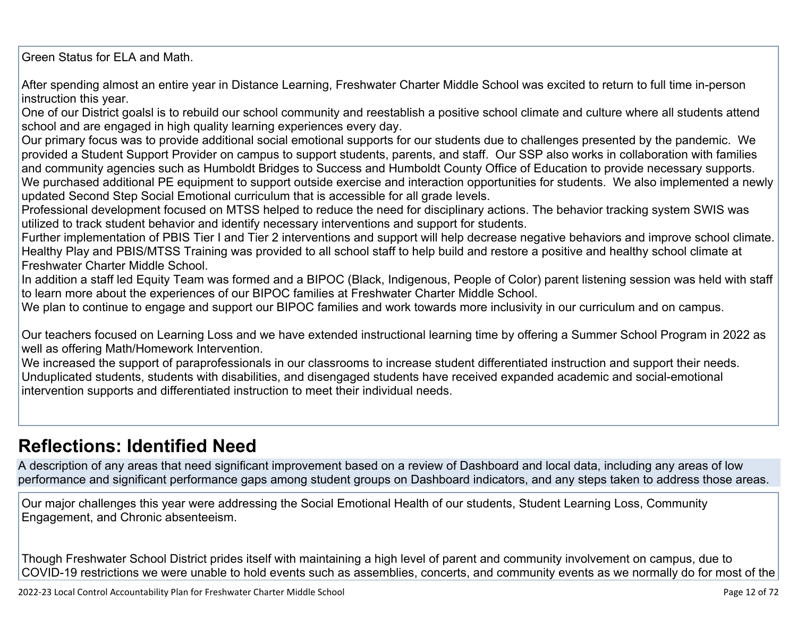Green Status for ELA and Math.

After spending almost an entire year in Distance Learning, Freshwater Charter Middle School was excited to return to full time in-person instruction this year.

One of our District goalsl is to rebuild our school community and reestablish a positive school climate and culture where all students attend school and are engaged in high quality learning experiences every day.

Our primary focus was to provide additional social emotional supports for our students due to challenges presented by the pandemic. We provided a Student Support Provider on campus to support students, parents, and staff. Our SSP also works in collaboration with families and community agencies such as Humboldt Bridges to Success and Humboldt County Office of Education to provide necessary supports. We purchased additional PE equipment to support outside exercise and interaction opportunities for students. We also implemented a newly updated Second Step Social Emotional curriculum that is accessible for all grade levels.

Professional development focused on MTSS helped to reduce the need for disciplinary actions. The behavior tracking system SWIS was utilized to track student behavior and identify necessary interventions and support for students.

Further implementation of PBIS Tier I and Tier 2 interventions and support will help decrease negative behaviors and improve school climate. Healthy Play and PBIS/MTSS Training was provided to all school staff to help build and restore a positive and healthy school climate at Freshwater Charter Middle School.

In addition a staff led Equity Team was formed and a BIPOC (Black, Indigenous, People of Color) parent listening session was held with staff to learn more about the experiences of our BIPOC families at Freshwater Charter Middle School.

We plan to continue to engage and support our BIPOC families and work towards more inclusivity in our curriculum and on campus.

Our teachers focused on Learning Loss and we have extended instructional learning time by offering a Summer School Program in 2022 as well as offering Math/Homework Intervention.

We increased the support of paraprofessionals in our classrooms to increase student differentiated instruction and support their needs. Unduplicated students, students with disabilities, and disengaged students have received expanded academic and social-emotional intervention supports and differentiated instruction to meet their individual needs.

## **[Reflections: Identified Need](http://www.doc-tracking.com/screenshots/22LCAP/Instructions/22LCAPInstructions.htm#ReflectionsIdentifiedNeed)**

A description of any areas that need significant improvement based on a review of Dashboard and local data, including any areas of low performance and significant performance gaps among student groups on Dashboard indicators, and any steps taken to address those areas.

Our major challenges this year were addressing the Social Emotional Health of our students, Student Learning Loss, Community Engagement, and Chronic absenteeism.

Though Freshwater School District prides itself with maintaining a high level of parent and community involvement on campus, due to COVID-19 restrictions we were unable to hold events such as assemblies, concerts, and community events as we normally do for most of the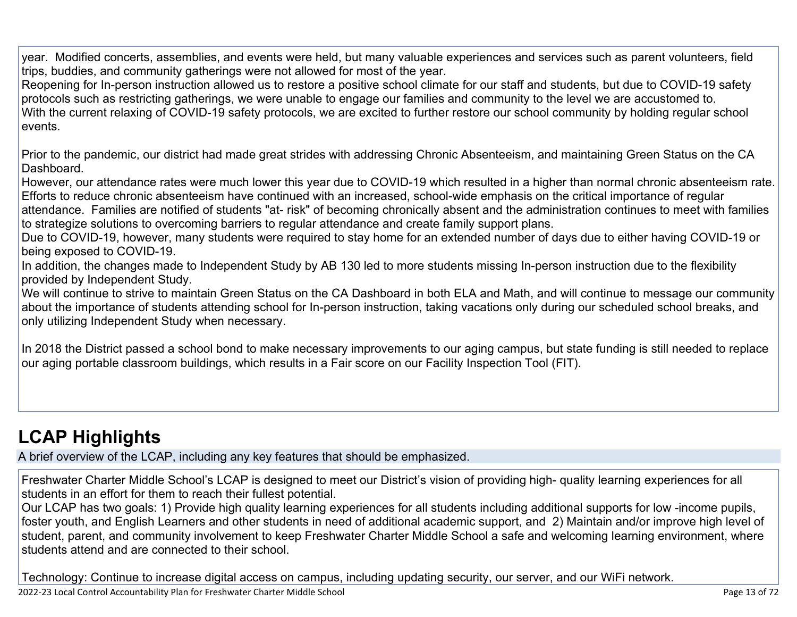year. Modified concerts, assemblies, and events were held, but many valuable experiences and services such as parent volunteers, field trips, buddies, and community gatherings were not allowed for most of the year.

Reopening for In-person instruction allowed us to restore a positive school climate for our staff and students, but due to COVID-19 safety protocols such as restricting gatherings, we were unable to engage our families and community to the level we are accustomed to. With the current relaxing of COVID-19 safety protocols, we are excited to further restore our school community by holding regular school events.

Prior to the pandemic, our district had made great strides with addressing Chronic Absenteeism, and maintaining Green Status on the CA Dashboard.

However, our attendance rates were much lower this year due to COVID-19 which resulted in a higher than normal chronic absenteeism rate. Efforts to reduce chronic absenteeism have continued with an increased, school-wide emphasis on the critical importance of regular

attendance. Families are notified of students "at- risk" of becoming chronically absent and the administration continues to meet with families to strategize solutions to overcoming barriers to regular attendance and create family support plans.

Due to COVID-19, however, many students were required to stay home for an extended number of days due to either having COVID-19 or being exposed to COVID-19.

In addition, the changes made to Independent Study by AB 130 led to more students missing In-person instruction due to the flexibility provided by Independent Study.

We will continue to strive to maintain Green Status on the CA Dashboard in both ELA and Math, and will continue to message our community about the importance of students attending school for In-person instruction, taking vacations only during our scheduled school breaks, and only utilizing Independent Study when necessary.

In 2018 the District passed a school bond to make necessary improvements to our aging campus, but state funding is still needed to replace our aging portable classroom buildings, which results in a Fair score on our Facility Inspection Tool (FIT).

## **[LCAP Highlights](http://www.doc-tracking.com/screenshots/22LCAP/Instructions/22LCAPInstructions.htm#LCAPHighlights)**

A brief overview of the LCAP, including any key features that should be emphasized.

Freshwater Charter Middle School's LCAP is designed to meet our District's vision of providing high- quality learning experiences for all students in an effort for them to reach their fullest potential.

Our LCAP has two goals: 1) Provide high quality learning experiences for all students including additional supports for low -income pupils, foster youth, and English Learners and other students in need of additional academic support, and 2) Maintain and/or improve high level of student, parent, and community involvement to keep Freshwater Charter Middle School a safe and welcoming learning environment, where students attend and are connected to their school.

Technology: Continue to increase digital access on campus, including updating security, our server, and our WiFi network.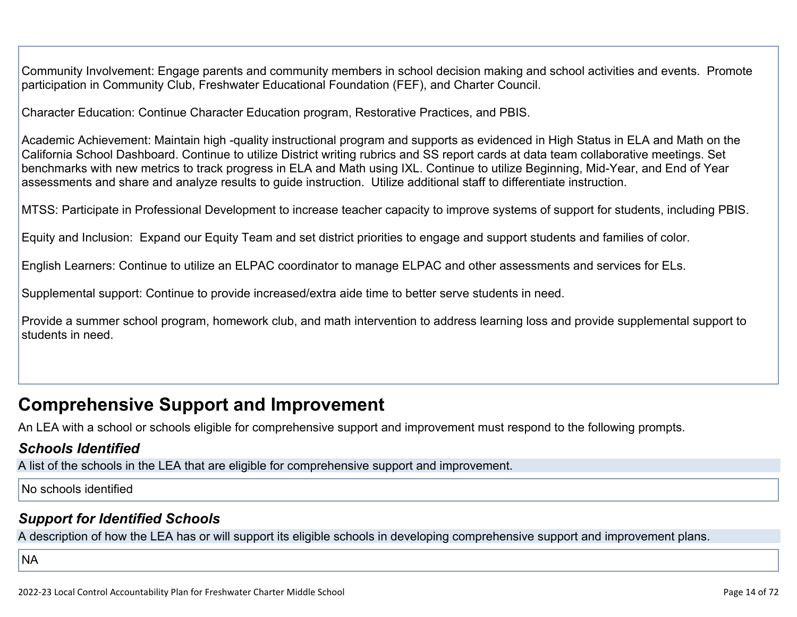Community Involvement: Engage parents and community members in school decision making and school activities and events. Promote participation in Community Club, Freshwater Educational Foundation (FEF), and Charter Council.

Character Education: Continue Character Education program, Restorative Practices, and PBIS.

Academic Achievement: Maintain high -quality instructional program and supports as evidenced in High Status in ELA and Math on the California School Dashboard. Continue to utilize District writing rubrics and SS report cards at data team collaborative meetings. Set benchmarks with new metrics to track progress in ELA and Math using IXL. Continue to utilize Beginning, Mid-Year, and End of Year assessments and share and analyze results to guide instruction. Utilize additional staff to differentiate instruction.

MTSS: Participate in Professional Development to increase teacher capacity to improve systems of support for students, including PBIS.

Equity and Inclusion: Expand our Equity Team and set district priorities to engage and support students and families of color.

English Learners: Continue to utilize an ELPAC coordinator to manage ELPAC and other assessments and services for ELs.

Supplemental support: Continue to provide increased/extra aide time to better serve students in need.

Provide a summer school program, homework club, and math intervention to address learning loss and provide supplemental support to students in need.

## **Comprehensive Support and Improvement**

An LEA with a school or schools eligible for comprehensive support and improvement must respond to the following prompts.

#### *[Schools Identified](http://www.doc-tracking.com/screenshots/22LCAP/Instructions/22LCAPInstructions.htm#SchoolsIdentified)*

A list of the schools in the LEA that are eligible for comprehensive support and improvement.

#### No schools identified

#### *[Support for Identified Schools](http://www.doc-tracking.com/screenshots/22LCAP/Instructions/22LCAPInstructions.htm#SupportforIdentifiedSchools)*

A description of how the LEA has or will support its eligible schools in developing comprehensive support and improvement plans.

**NA**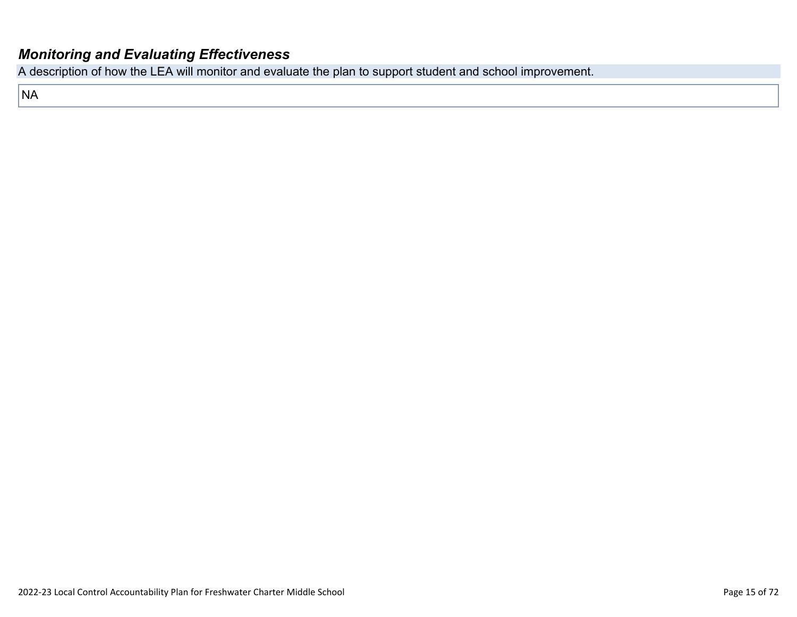#### *[Monitoring and Evaluating Effectiveness](http://www.doc-tracking.com/screenshots/22LCAP/Instructions/22LCAPInstructions.htm#MonitoringandEvaluatingEffectiveness)*

A description of how the LEA will monitor and evaluate the plan to support student and school improvement.

NA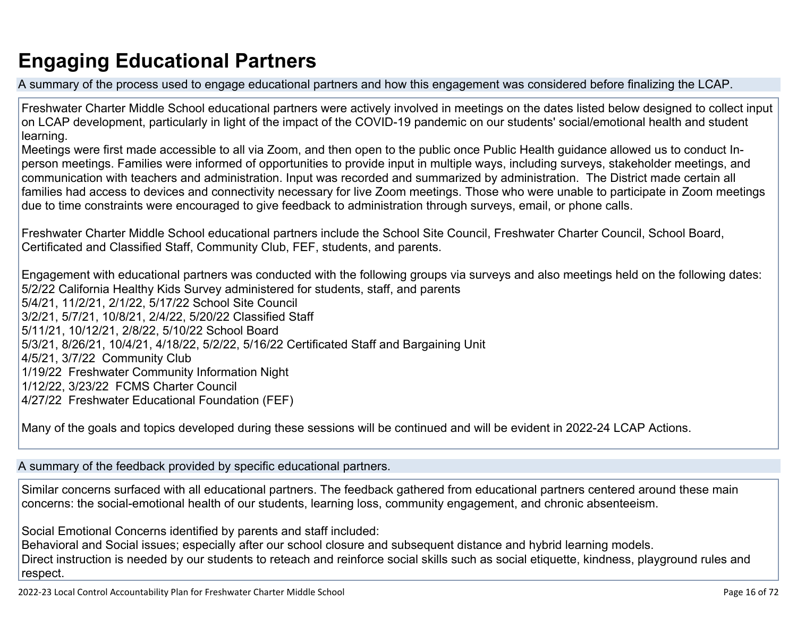## **Engaging Educational Partners**

A summary of the process used to engage educational partners and how this engagement was considered before finalizing the LCAP.

Freshwater Charter Middle School educational partners were actively involved in meetings on the dates listed below designed to collect input on LCAP development, particularly in light of the impact of the COVID-19 pandemic on our students' social/emotional health and student learning.

Meetings were first made accessible to all via Zoom, and then open to the public once Public Health guidance allowed us to conduct Inperson meetings. Families were informed of opportunities to provide input in multiple ways, including surveys, stakeholder meetings, and communication with teachers and administration. Input was recorded and summarized by administration. The District made certain all families had access to devices and connectivity necessary for live Zoom meetings. Those who were unable to participate in Zoom meetings due to time constraints were encouraged to give feedback to administration through surveys, email, or phone calls.

Freshwater Charter Middle School educational partners include the School Site Council, Freshwater Charter Council, School Board, Certificated and Classified Staff, Community Club, FEF, students, and parents.

Engagement with educational partners was conducted with the following groups via surveys and also meetings held on the following dates: 5/2/22 California Healthy Kids Survey administered for students, staff, and parents 5/4/21, 11/2/21, 2/1/22, 5/17/22 School Site Council 3/2/21, 5/7/21, 10/8/21, 2/4/22, 5/20/22 Classified Staff 5/11/21, 10/12/21, 2/8/22, 5/10/22 School Board 5/3/21, 8/26/21, 10/4/21, 4/18/22, 5/2/22, 5/16/22 Certificated Staff and Bargaining Unit 4/5/21, 3/7/22 Community Club 1/19/22 Freshwater Community Information Night 1/12/22, 3/23/22 FCMS Charter Council 4/27/22 Freshwater Educational Foundation (FEF)

Many of the goals and topics developed during these sessions will be continued and will be evident in 2022-24 LCAP Actions.

A summary of the feedback provided by specific educational partners.

Similar concerns surfaced with all educational partners. The feedback gathered from educational partners centered around these main concerns: the social-emotional health of our students, learning loss, community engagement, and chronic absenteeism.

Social Emotional Concerns identified by parents and staff included:

Behavioral and Social issues; especially after our school closure and subsequent distance and hybrid learning models. Direct instruction is needed by our students to reteach and reinforce social skills such as social etiquette, kindness, playground rules and respect.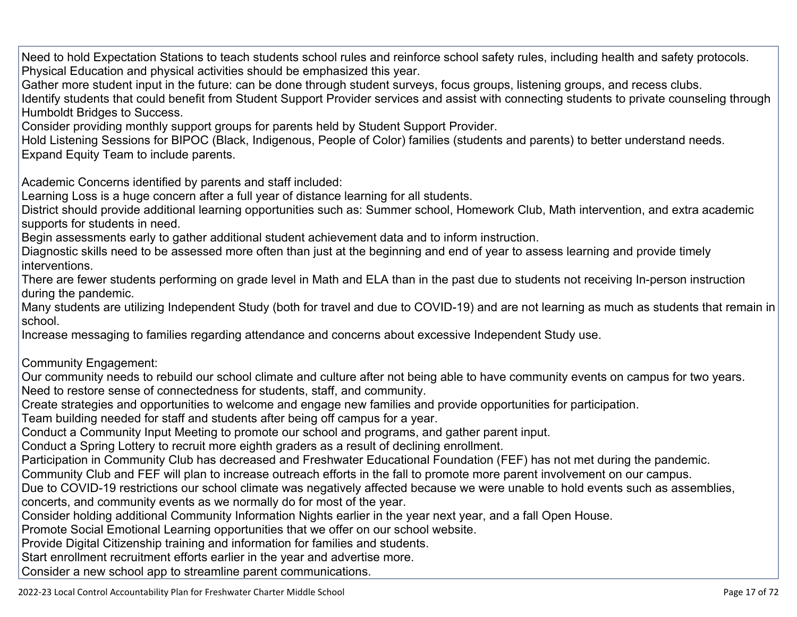Need to hold Expectation Stations to teach students school rules and reinforce school safety rules, including health and safety protocols. Physical Education and physical activities should be emphasized this year.

Gather more student input in the future: can be done through student surveys, focus groups, listening groups, and recess clubs.

Identify students that could benefit from Student Support Provider services and assist with connecting students to private counseling through Humboldt Bridges to Success.

Consider providing monthly support groups for parents held by Student Support Provider.

Hold Listening Sessions for BIPOC (Black, Indigenous, People of Color) families (students and parents) to better understand needs. Expand Equity Team to include parents.

Academic Concerns identified by parents and staff included:

Learning Loss is a huge concern after a full year of distance learning for all students.

District should provide additional learning opportunities such as: Summer school, Homework Club, Math intervention, and extra academic supports for students in need.

Begin assessments early to gather additional student achievement data and to inform instruction.

Diagnostic skills need to be assessed more often than just at the beginning and end of year to assess learning and provide timely interventions.

There are fewer students performing on grade level in Math and ELA than in the past due to students not receiving In-person instruction during the pandemic.

Many students are utilizing Independent Study (both for travel and due to COVID-19) and are not learning as much as students that remain in school.

Increase messaging to families regarding attendance and concerns about excessive Independent Study use.

Community Engagement:

Our community needs to rebuild our school climate and culture after not being able to have community events on campus for two years. Need to restore sense of connectedness for students, staff, and community.

Create strategies and opportunities to welcome and engage new families and provide opportunities for participation.

Team building needed for staff and students after being off campus for a year.

Conduct a Community Input Meeting to promote our school and programs, and gather parent input.

Conduct a Spring Lottery to recruit more eighth graders as a result of declining enrollment.

Participation in Community Club has decreased and Freshwater Educational Foundation (FEF) has not met during the pandemic.

Community Club and FEF will plan to increase outreach efforts in the fall to promote more parent involvement on our campus.

Due to COVID-19 restrictions our school climate was negatively affected because we were unable to hold events such as assemblies, concerts, and community events as we normally do for most of the year.

Consider holding additional Community Information Nights earlier in the year next year, and a fall Open House.

Promote Social Emotional Learning opportunities that we offer on our school website.

Provide Digital Citizenship training and information for families and students.

Start enrollment recruitment efforts earlier in the year and advertise more.

Consider a new school app to streamline parent communications.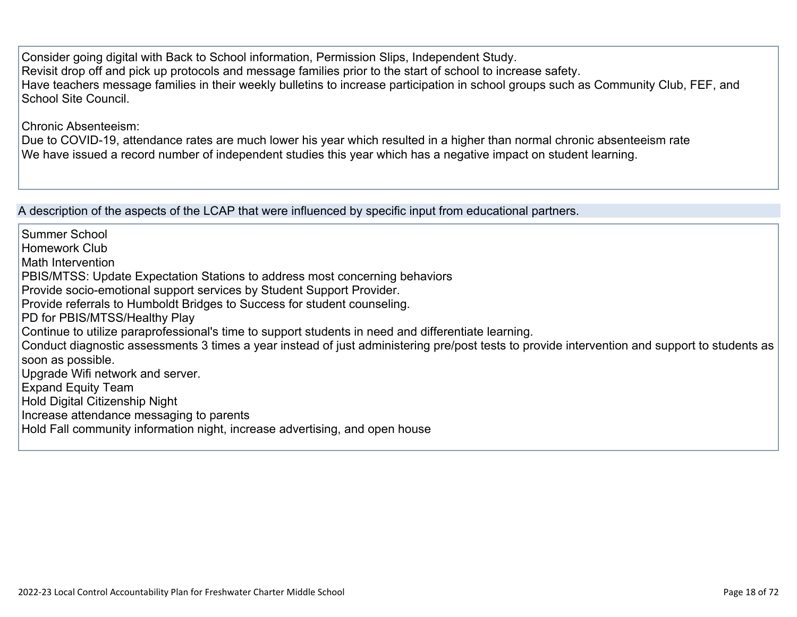Consider going digital with Back to School information, Permission Slips, Independent Study. Revisit drop off and pick up protocols and message families prior to the start of school to increase safety. Have teachers message families in their weekly bulletins to increase participation in school groups such as Community Club, FEF, and School Site Council.

Chronic Absenteeism:

Due to COVID-19, attendance rates are much lower his year which resulted in a higher than normal chronic absenteeism rate We have issued a record number of independent studies this year which has a negative impact on student learning.

A description of the aspects of the LCAP that were influenced by specific input from educational partners.

Summer School Homework Club Math Intervention PBIS/MTSS: Update Expectation Stations to address most concerning behaviors Provide socio-emotional support services by Student Support Provider. Provide referrals to Humboldt Bridges to Success for student counseling. PD for PBIS/MTSS/Healthy Play Continue to utilize paraprofessional's time to support students in need and differentiate learning. Conduct diagnostic assessments 3 times a year instead of just administering pre/post tests to provide intervention and support to students as soon as possible. Upgrade Wifi network and server. Expand Equity Team Hold Digital Citizenship Night Increase attendance messaging to parents Hold Fall community information night, increase advertising, and open house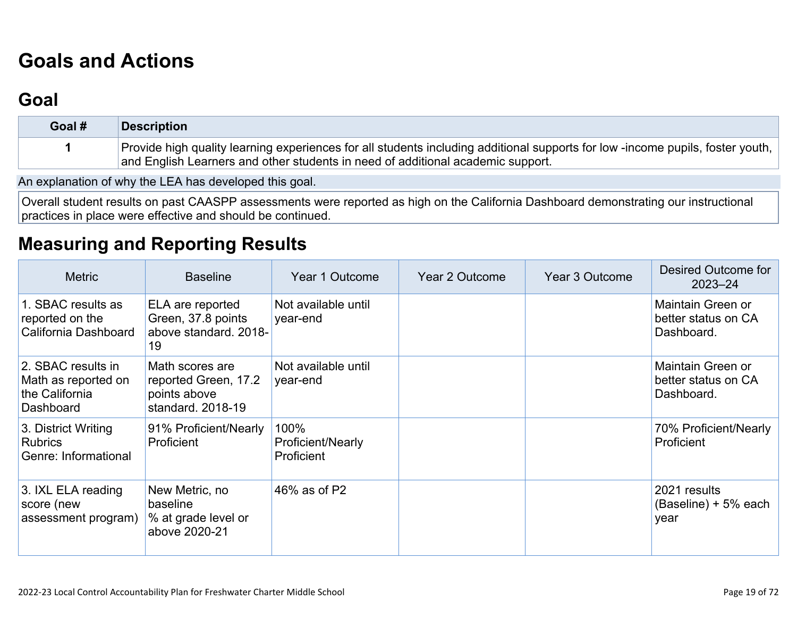# **[Goals and Actions](http://www.doc-tracking.com/screenshots/22LCAP/Instructions/22LCAPInstructions.htm#GoalsandActions)**

## **[Goal](http://www.doc-tracking.com/screenshots/22LCAP/Instructions/22LCAPInstructions.htm#goalDescription)**

| Goal # | Description                                                                                                                   |
|--------|-------------------------------------------------------------------------------------------------------------------------------|
|        | Provide high quality learning experiences for all students including additional supports for low-income pupils, foster youth, |
|        | and English Learners and other students in need of additional academic support.                                               |

An explanation of why the LEA has developed this goal.

Overall student results on past CAASPP assessments were reported as high on the California Dashboard demonstrating our instructional practices in place were effective and should be continued.

## **[Measuring and Reporting Results](http://www.doc-tracking.com/screenshots/22LCAP/Instructions/22LCAPInstructions.htm#MeasuringandReportingResults)**

| <b>Metric</b>                                                            | <b>Baseline</b>                                                              | Year 1 Outcome                          | Year 2 Outcome | Year 3 Outcome | <b>Desired Outcome for</b><br>$2023 - 24$              |
|--------------------------------------------------------------------------|------------------------------------------------------------------------------|-----------------------------------------|----------------|----------------|--------------------------------------------------------|
| 1. SBAC results as<br>reported on the<br>California Dashboard            | ELA are reported<br>Green, 37.8 points<br>above standard. 2018-<br>19        | Not available until<br>year-end         |                |                | Maintain Green or<br>better status on CA<br>Dashboard. |
| 2. SBAC results in<br>Math as reported on<br>the California<br>Dashboard | Math scores are<br>reported Green, 17.2<br>points above<br>standard. 2018-19 | Not available until<br>year-end         |                |                | Maintain Green or<br>better status on CA<br>Dashboard. |
| 3. District Writing<br><b>Rubrics</b><br>Genre: Informational            | 91% Proficient/Nearly<br>Proficient                                          | 100%<br>Proficient/Nearly<br>Proficient |                |                | 70% Proficient/Nearly<br><b>Proficient</b>             |
| 3. IXL ELA reading<br>score (new<br>assessment program)                  | New Metric, no<br>baseline<br>% at grade level or<br>above 2020-21           | 46% as of P2                            |                |                | 2021 results<br>$(Baseline) + 5% each$<br>year         |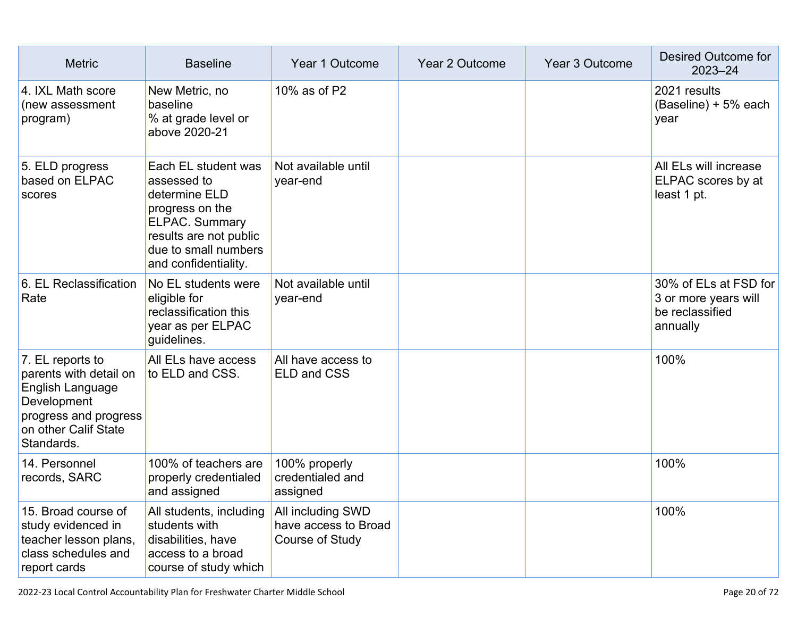| <b>Metric</b>                                                                                                                                | <b>Baseline</b>                                                                                                                                                           | Year 1 Outcome                                               | <b>Year 2 Outcome</b> | Year 3 Outcome | Desired Outcome for<br>$2023 - 24$                                           |
|----------------------------------------------------------------------------------------------------------------------------------------------|---------------------------------------------------------------------------------------------------------------------------------------------------------------------------|--------------------------------------------------------------|-----------------------|----------------|------------------------------------------------------------------------------|
| 4. IXL Math score<br>(new assessment<br>program)                                                                                             | New Metric, no<br>baseline<br>% at grade level or<br>above 2020-21                                                                                                        | 10% as of P2                                                 |                       |                | 2021 results<br>(Baseline) + 5% each<br>year                                 |
| 5. ELD progress<br>based on ELPAC<br>scores                                                                                                  | Each EL student was<br>assessed to<br>determine ELD<br>progress on the<br><b>ELPAC. Summary</b><br>results are not public<br>due to small numbers<br>and confidentiality. | Not available until<br>year-end                              |                       |                | All ELs will increase<br>ELPAC scores by at<br>least 1 pt.                   |
| 6. EL Reclassification<br>Rate                                                                                                               | No EL students were<br>eligible for<br>reclassification this<br>year as per ELPAC<br>guidelines.                                                                          | Not available until<br>year-end                              |                       |                | 30% of ELs at FSD for<br>3 or more years will<br>be reclassified<br>annually |
| 7. EL reports to<br>parents with detail on<br>English Language<br>Development<br>progress and progress<br>on other Calif State<br>Standards. | All ELs have access<br>to ELD and CSS.                                                                                                                                    | All have access to<br><b>ELD and CSS</b>                     |                       |                | 100%                                                                         |
| 14. Personnel<br>records, SARC                                                                                                               | 100% of teachers are<br>properly credentialed<br>and assigned                                                                                                             | 100% properly<br>credentialed and<br>assigned                |                       |                | 100%                                                                         |
| 15. Broad course of<br>study evidenced in<br>teacher lesson plans,<br>class schedules and<br>report cards                                    | All students, including<br>students with<br>disabilities, have<br>access to a broad<br>course of study which                                                              | All including SWD<br>have access to Broad<br>Course of Study |                       |                | 100%                                                                         |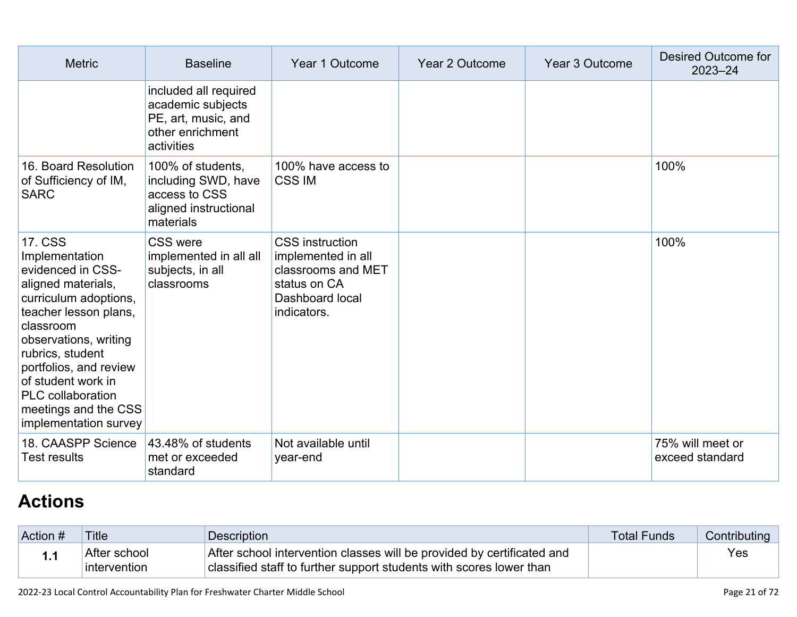| <b>Metric</b>                                                                                                                                                                                                                                                                                                        | <b>Baseline</b>                                                                                     | Year 1 Outcome                                                                                                       | Year 2 Outcome | Year 3 Outcome | Desired Outcome for<br>$2023 - 24$  |
|----------------------------------------------------------------------------------------------------------------------------------------------------------------------------------------------------------------------------------------------------------------------------------------------------------------------|-----------------------------------------------------------------------------------------------------|----------------------------------------------------------------------------------------------------------------------|----------------|----------------|-------------------------------------|
|                                                                                                                                                                                                                                                                                                                      | included all required<br>academic subjects<br>PE, art, music, and<br>other enrichment<br>activities |                                                                                                                      |                |                |                                     |
| 16. Board Resolution<br>of Sufficiency of IM,<br><b>SARC</b>                                                                                                                                                                                                                                                         | 100% of students,<br>including SWD, have<br>access to CSS<br>aligned instructional<br>materials     | 100% have access to<br><b>CSS IM</b>                                                                                 |                |                | 100%                                |
| <b>17. CSS</b><br>Implementation<br>evidenced in CSS-<br>aligned materials,<br>curriculum adoptions,<br>teacher lesson plans,<br>classroom<br>observations, writing<br>rubrics, student<br>portfolios, and review<br>of student work in<br><b>PLC</b> collaboration<br>meetings and the CSS<br>implementation survey | <b>CSS were</b><br>implemented in all all<br>subjects, in all<br>classrooms                         | <b>CSS</b> instruction<br>implemented in all<br>classrooms and MET<br>status on CA<br>Dashboard local<br>indicators. |                |                | 100%                                |
| 18. CAASPP Science<br><b>Test results</b>                                                                                                                                                                                                                                                                            | 43.48% of students<br>met or exceeded<br>standard                                                   | Not available until<br>year-end                                                                                      |                |                | 75% will meet or<br>exceed standard |

# **[Actions](http://www.doc-tracking.com/screenshots/22LCAP/Instructions/22LCAPInstructions.htm#actions)**

| Action # | Title                        | Description                                                                                                                                   | <b>Total Funds</b> | Contributing |
|----------|------------------------------|-----------------------------------------------------------------------------------------------------------------------------------------------|--------------------|--------------|
| . .      | After school<br>intervention | After school intervention classes will be provided by certificated and<br>classified staff to further support students with scores lower than |                    | Yes          |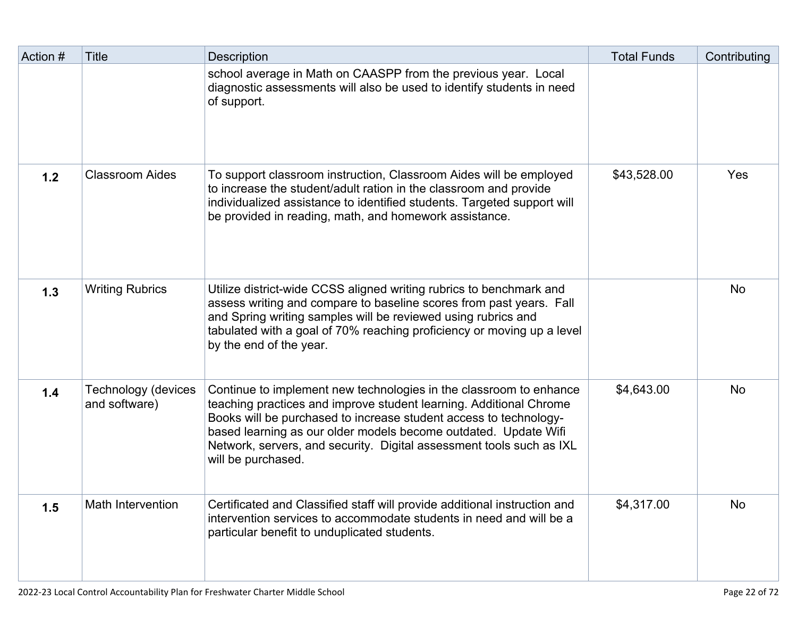| Action # | <b>Title</b>                                | <b>Description</b>                                                                                                                                                                                                                                                                                                                                                             | <b>Total Funds</b> | Contributing |
|----------|---------------------------------------------|--------------------------------------------------------------------------------------------------------------------------------------------------------------------------------------------------------------------------------------------------------------------------------------------------------------------------------------------------------------------------------|--------------------|--------------|
|          |                                             | school average in Math on CAASPP from the previous year. Local<br>diagnostic assessments will also be used to identify students in need<br>of support.                                                                                                                                                                                                                         |                    |              |
| 1.2      | <b>Classroom Aides</b>                      | To support classroom instruction, Classroom Aides will be employed<br>to increase the student/adult ration in the classroom and provide<br>individualized assistance to identified students. Targeted support will<br>be provided in reading, math, and homework assistance.                                                                                                   | \$43,528.00        | Yes          |
| 1.3      | <b>Writing Rubrics</b>                      | Utilize district-wide CCSS aligned writing rubrics to benchmark and<br>assess writing and compare to baseline scores from past years. Fall<br>and Spring writing samples will be reviewed using rubrics and<br>tabulated with a goal of 70% reaching proficiency or moving up a level<br>by the end of the year.                                                               |                    | <b>No</b>    |
| 1.4      | <b>Technology (devices</b><br>and software) | Continue to implement new technologies in the classroom to enhance<br>teaching practices and improve student learning. Additional Chrome<br>Books will be purchased to increase student access to technology-<br>based learning as our older models become outdated. Update Wifi<br>Network, servers, and security. Digital assessment tools such as IXL<br>will be purchased. | \$4,643.00         | <b>No</b>    |
| 1.5      | <b>Math Intervention</b>                    | Certificated and Classified staff will provide additional instruction and<br>intervention services to accommodate students in need and will be a<br>particular benefit to unduplicated students.                                                                                                                                                                               | \$4,317.00         | <b>No</b>    |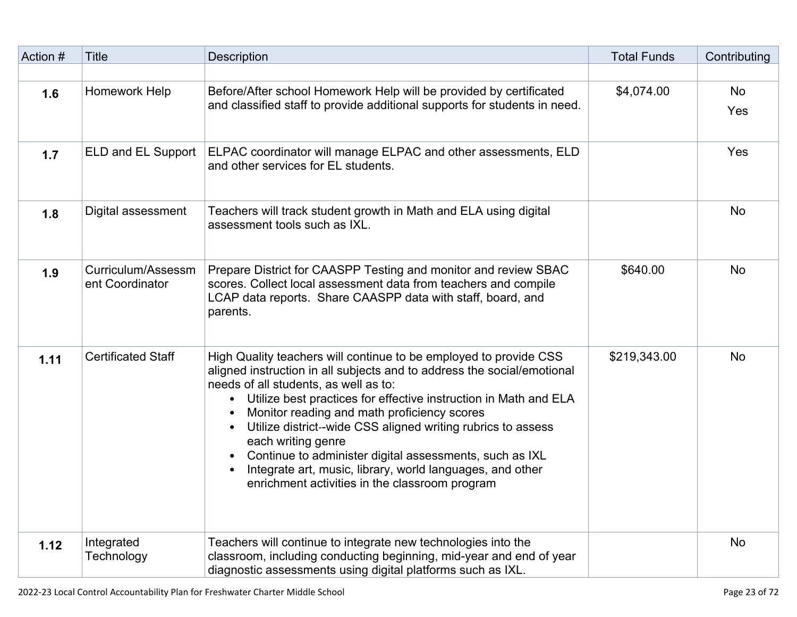| Action # | <b>Title</b>                          | <b>Description</b>                                                                                                                                                                                                                                                                                                                                                                                                                                                                                                                                                                                | <b>Total Funds</b> | Contributing     |
|----------|---------------------------------------|---------------------------------------------------------------------------------------------------------------------------------------------------------------------------------------------------------------------------------------------------------------------------------------------------------------------------------------------------------------------------------------------------------------------------------------------------------------------------------------------------------------------------------------------------------------------------------------------------|--------------------|------------------|
|          |                                       |                                                                                                                                                                                                                                                                                                                                                                                                                                                                                                                                                                                                   |                    |                  |
| 1.6      | Homework Help                         | Before/After school Homework Help will be provided by certificated<br>and classified staff to provide additional supports for students in need.                                                                                                                                                                                                                                                                                                                                                                                                                                                   | \$4,074.00         | <b>No</b><br>Yes |
| 1.7      | ELD and EL Support                    | ELPAC coordinator will manage ELPAC and other assessments, ELD<br>and other services for EL students.                                                                                                                                                                                                                                                                                                                                                                                                                                                                                             |                    | Yes              |
| 1.8      | Digital assessment                    | Teachers will track student growth in Math and ELA using digital<br>assessment tools such as IXL.                                                                                                                                                                                                                                                                                                                                                                                                                                                                                                 |                    | <b>No</b>        |
| 1.9      | Curriculum/Assessm<br>ent Coordinator | Prepare District for CAASPP Testing and monitor and review SBAC<br>scores. Collect local assessment data from teachers and compile<br>LCAP data reports. Share CAASPP data with staff, board, and<br>parents.                                                                                                                                                                                                                                                                                                                                                                                     | \$640.00           | <b>No</b>        |
| 1.11     | <b>Certificated Staff</b>             | High Quality teachers will continue to be employed to provide CSS<br>aligned instruction in all subjects and to address the social/emotional<br>needs of all students, as well as to:<br>Utilize best practices for effective instruction in Math and ELA<br>$\bullet$<br>Monitor reading and math proficiency scores<br>Utilize district-wide CSS aligned writing rubrics to assess<br>$\bullet$<br>each writing genre<br>Continue to administer digital assessments, such as IXL<br>Integrate art, music, library, world languages, and other<br>enrichment activities in the classroom program | \$219,343.00       | <b>No</b>        |
| 1.12     | Integrated<br>Technology              | Teachers will continue to integrate new technologies into the<br>classroom, including conducting beginning, mid-year and end of year<br>diagnostic assessments using digital platforms such as IXL.                                                                                                                                                                                                                                                                                                                                                                                               |                    | <b>No</b>        |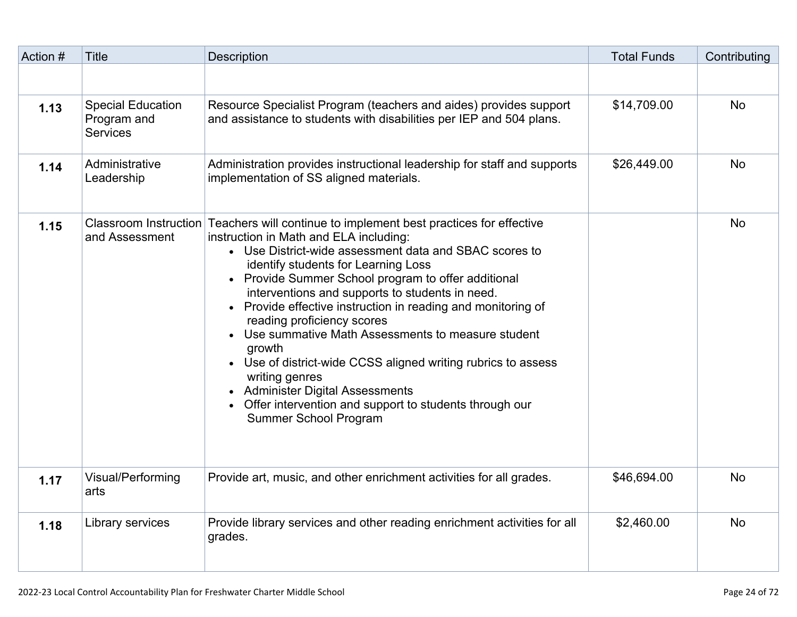| Action # | <b>Title</b>                                               | <b>Description</b>                                                                                                                                                                                                                                                                                                                                                                                                                                                                                                                                                                                                                                                                                                        | <b>Total Funds</b> | Contributing |
|----------|------------------------------------------------------------|---------------------------------------------------------------------------------------------------------------------------------------------------------------------------------------------------------------------------------------------------------------------------------------------------------------------------------------------------------------------------------------------------------------------------------------------------------------------------------------------------------------------------------------------------------------------------------------------------------------------------------------------------------------------------------------------------------------------------|--------------------|--------------|
|          |                                                            |                                                                                                                                                                                                                                                                                                                                                                                                                                                                                                                                                                                                                                                                                                                           |                    |              |
| 1.13     | <b>Special Education</b><br>Program and<br><b>Services</b> | Resource Specialist Program (teachers and aides) provides support<br>and assistance to students with disabilities per IEP and 504 plans.                                                                                                                                                                                                                                                                                                                                                                                                                                                                                                                                                                                  | \$14,709.00        | <b>No</b>    |
| 1.14     | Administrative<br>Leadership                               | Administration provides instructional leadership for staff and supports<br>implementation of SS aligned materials.                                                                                                                                                                                                                                                                                                                                                                                                                                                                                                                                                                                                        | \$26,449.00        | <b>No</b>    |
| 1.15     | and Assessment                                             | Classroom Instruction Teachers will continue to implement best practices for effective<br>instruction in Math and ELA including:<br>• Use District-wide assessment data and SBAC scores to<br>identify students for Learning Loss<br>• Provide Summer School program to offer additional<br>interventions and supports to students in need.<br>• Provide effective instruction in reading and monitoring of<br>reading proficiency scores<br>• Use summative Math Assessments to measure student<br>growth<br>• Use of district-wide CCSS aligned writing rubrics to assess<br>writing genres<br><b>Administer Digital Assessments</b><br>Offer intervention and support to students through our<br>Summer School Program |                    | <b>No</b>    |
| 1.17     | Visual/Performing<br>arts                                  | Provide art, music, and other enrichment activities for all grades.                                                                                                                                                                                                                                                                                                                                                                                                                                                                                                                                                                                                                                                       | \$46,694.00        | <b>No</b>    |
| 1.18     | Library services                                           | Provide library services and other reading enrichment activities for all<br>grades.                                                                                                                                                                                                                                                                                                                                                                                                                                                                                                                                                                                                                                       | \$2,460.00         | <b>No</b>    |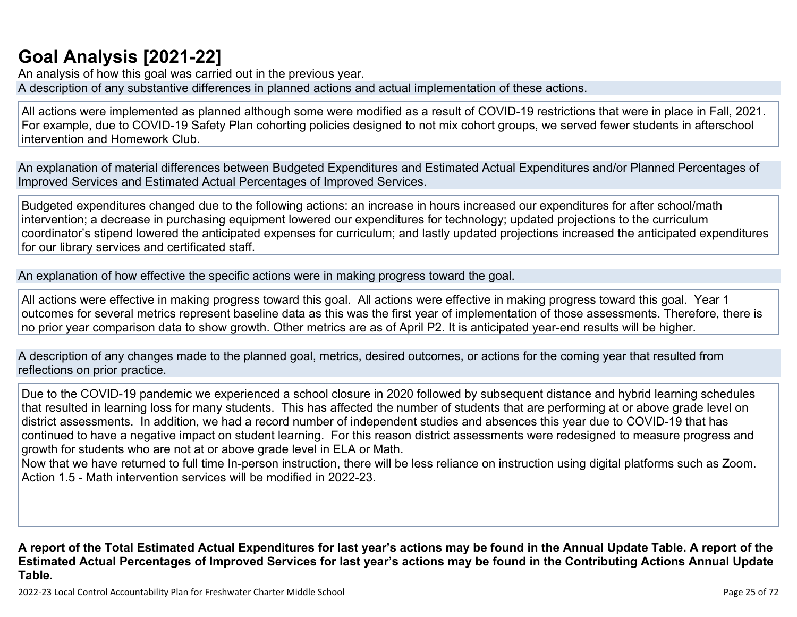## **[Goal Analysis \[2021-22\]](http://www.doc-tracking.com/screenshots/22LCAP/Instructions/22LCAPInstructions.htm#GoalAnalysis)**

An analysis of how this goal was carried out in the previous year. A description of any substantive differences in planned actions and actual implementation of these actions.

All actions were implemented as planned although some were modified as a result of COVID-19 restrictions that were in place in Fall, 2021. For example, due to COVID-19 Safety Plan cohorting policies designed to not mix cohort groups, we served fewer students in afterschool intervention and Homework Club.

An explanation of material differences between Budgeted Expenditures and Estimated Actual Expenditures and/or Planned Percentages of Improved Services and Estimated Actual Percentages of Improved Services.

Budgeted expenditures changed due to the following actions: an increase in hours increased our expenditures for after school/math intervention; a decrease in purchasing equipment lowered our expenditures for technology; updated projections to the curriculum coordinator's stipend lowered the anticipated expenses for curriculum; and lastly updated projections increased the anticipated expenditures for our library services and certificated staff.

An explanation of how effective the specific actions were in making progress toward the goal.

All actions were effective in making progress toward this goal. All actions were effective in making progress toward this goal. Year 1 outcomes for several metrics represent baseline data as this was the first year of implementation of those assessments. Therefore, there is no prior year comparison data to show growth. Other metrics are as of April P2. It is anticipated year-end results will be higher.

A description of any changes made to the planned goal, metrics, desired outcomes, or actions for the coming year that resulted from reflections on prior practice.

Due to the COVID-19 pandemic we experienced a school closure in 2020 followed by subsequent distance and hybrid learning schedules that resulted in learning loss for many students. This has affected the number of students that are performing at or above grade level on district assessments. In addition, we had a record number of independent studies and absences this year due to COVID-19 that has continued to have a negative impact on student learning. For this reason district assessments were redesigned to measure progress and growth for students who are not at or above grade level in ELA or Math.

Now that we have returned to full time In-person instruction, there will be less reliance on instruction using digital platforms such as Zoom. Action 1.5 - Math intervention services will be modified in 2022-23.

**A report of the Total Estimated Actual Expenditures for last year's actions may be found in the Annual Update Table. A report of the Estimated Actual Percentages of Improved Services for last year's actions may be found in the Contributing Actions Annual Update Table.**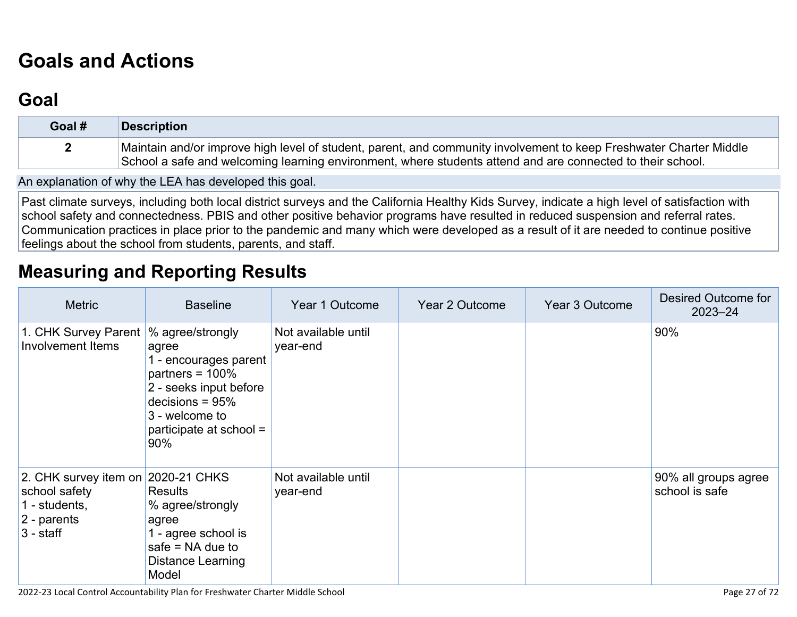# **[Goals and Actions](http://www.doc-tracking.com/screenshots/22LCAP/Instructions/22LCAPInstructions.htm#GoalsandActions)**

## **[Goal](http://www.doc-tracking.com/screenshots/22LCAP/Instructions/22LCAPInstructions.htm#goalDescription)**

| Goal # | <b>Description</b>                                                                                                 |
|--------|--------------------------------------------------------------------------------------------------------------------|
|        | Maintain and/or improve high level of student, parent, and community involvement to keep Freshwater Charter Middle |
|        | School a safe and welcoming learning environment, where students attend and are connected to their school.         |

An explanation of why the LEA has developed this goal.

Past climate surveys, including both local district surveys and the California Healthy Kids Survey, indicate a high level of satisfaction with school safety and connectedness. PBIS and other positive behavior programs have resulted in reduced suspension and referral rates. Communication practices in place prior to the pandemic and many which were developed as a result of it are needed to continue positive feelings about the school from students, parents, and staff.

## **[Measuring and Reporting Results](http://www.doc-tracking.com/screenshots/22LCAP/Instructions/22LCAPInstructions.htm#MeasuringandReportingResults)**

| <b>Metric</b>                                                                                      | <b>Baseline</b>                                                                                                                                                             | Year 1 Outcome                  | Year 2 Outcome | Year 3 Outcome | Desired Outcome for<br>$2023 - 24$     |
|----------------------------------------------------------------------------------------------------|-----------------------------------------------------------------------------------------------------------------------------------------------------------------------------|---------------------------------|----------------|----------------|----------------------------------------|
| 1. CHK Survey Parent<br>Involvement Items                                                          | % agree/strongly<br>agree<br>1 - encourages parent<br>partners = $100\%$<br>2 - seeks input before<br>decisions = $95%$<br>3 - welcome to<br>participate at school =<br>90% | Not available until<br>year-end |                |                | 90%                                    |
| 2. CHK survey item on 2020-21 CHKS<br>school safety<br>1 - students,<br>2 - parents<br>$3 -$ staff | <b>Results</b><br>% agree/strongly<br>agree<br>1 - agree school is<br>safe $=$ NA due to<br>Distance Learning<br>Model                                                      | Not available until<br>year-end |                |                | 90% all groups agree<br>school is safe |

2022-23 Local Control Accountability Plan for Freshwater Charter Middle School Page 27 of 72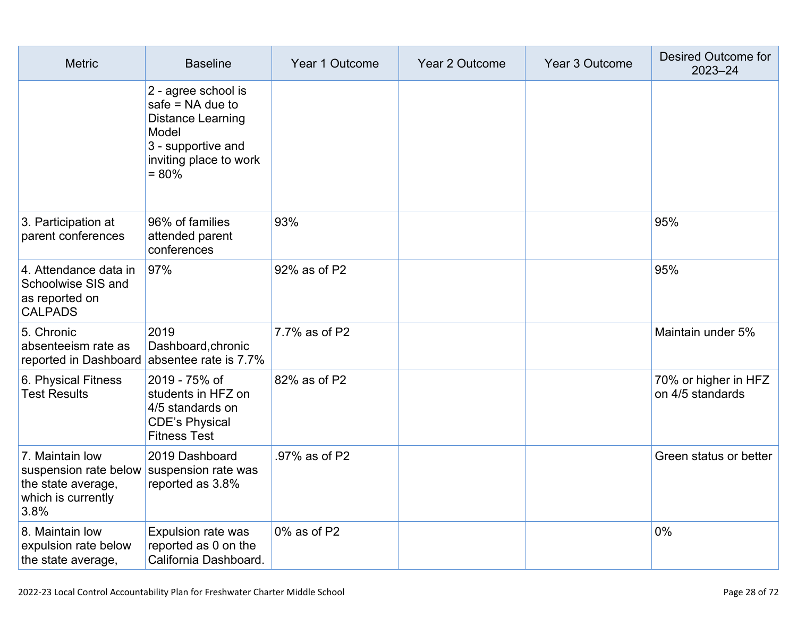| <b>Metric</b>                                                                                                    | <b>Baseline</b>                                                                                                                    | Year 1 Outcome | Year 2 Outcome | Year 3 Outcome | Desired Outcome for<br>$2023 - 24$       |
|------------------------------------------------------------------------------------------------------------------|------------------------------------------------------------------------------------------------------------------------------------|----------------|----------------|----------------|------------------------------------------|
|                                                                                                                  | 2 - agree school is<br>safe $=$ NA due to<br>Distance Learning<br>Model<br>3 - supportive and<br>inviting place to work<br>$= 80%$ |                |                |                |                                          |
| 3. Participation at<br>parent conferences                                                                        | 96% of families<br>attended parent<br>conferences                                                                                  | 93%            |                |                | 95%                                      |
| 4. Attendance data in<br>Schoolwise SIS and<br>as reported on<br><b>CALPADS</b>                                  | 97%                                                                                                                                | 92% as of P2   |                |                | 95%                                      |
| 5. Chronic<br>absenteeism rate as                                                                                | 2019<br>Dashboard, chronic<br>reported in Dashboard absentee rate is 7.7%                                                          | 7.7% as of P2  |                |                | Maintain under 5%                        |
| 6. Physical Fitness<br><b>Test Results</b>                                                                       | 2019 - 75% of<br>students in HFZ on<br>4/5 standards on<br><b>CDE's Physical</b><br><b>Fitness Test</b>                            | 82% as of P2   |                |                | 70% or higher in HFZ<br>on 4/5 standards |
| 7. Maintain low<br>suspension rate below suspension rate was<br>the state average,<br>which is currently<br>3.8% | 2019 Dashboard<br>reported as 3.8%                                                                                                 | .97% as of P2  |                |                | Green status or better                   |
| 8. Maintain low<br>expulsion rate below<br>the state average,                                                    | Expulsion rate was<br>reported as 0 on the<br>California Dashboard.                                                                | 0% as of P2    |                |                | 0%                                       |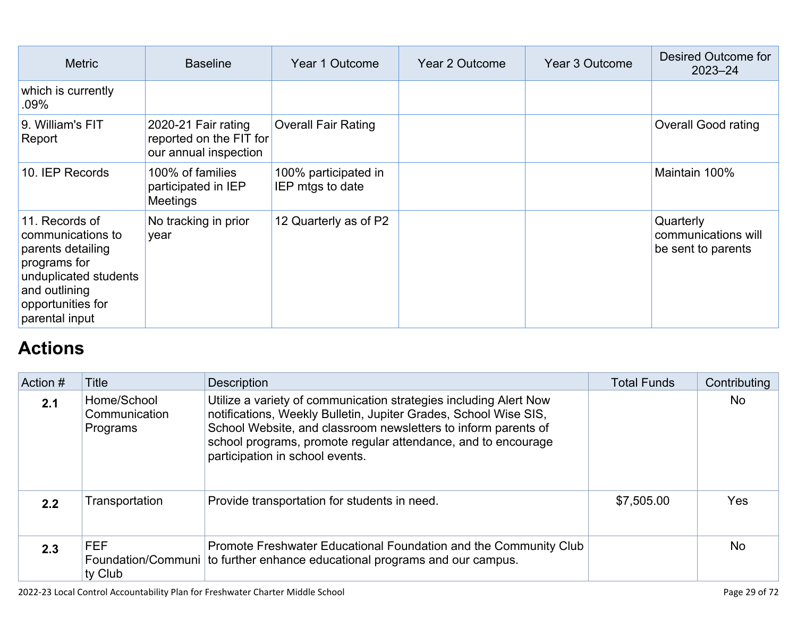| <b>Metric</b>                                                                                                                                             | <b>Baseline</b>                                                         | Year 1 Outcome                           | Year 2 Outcome | Year 3 Outcome | Desired Outcome for<br>$2023 - 24$                     |
|-----------------------------------------------------------------------------------------------------------------------------------------------------------|-------------------------------------------------------------------------|------------------------------------------|----------------|----------------|--------------------------------------------------------|
| which is currently<br>.09%                                                                                                                                |                                                                         |                                          |                |                |                                                        |
| 9. William's FIT<br>Report                                                                                                                                | 2020-21 Fair rating<br>reported on the FIT for<br>our annual inspection | <b>Overall Fair Rating</b>               |                |                | <b>Overall Good rating</b>                             |
| 10. IEP Records                                                                                                                                           | 100% of families<br>participated in IEP<br><b>Meetings</b>              | 100% participated in<br>IEP mtgs to date |                |                | Maintain 100%                                          |
| 11. Records of<br>communications to<br>parents detailing<br>programs for<br>unduplicated students<br>and outlining<br>opportunities for<br>parental input | No tracking in prior<br>year                                            | 12 Quarterly as of P2                    |                |                | Quarterly<br>communications will<br>be sent to parents |

## **[Actions](http://www.doc-tracking.com/screenshots/22LCAP/Instructions/22LCAPInstructions.htm#actions)**

| Action # | <b>Title</b>                             | <b>Description</b>                                                                                                                                                                                                                                                                                          | <b>Total Funds</b> | Contributing |
|----------|------------------------------------------|-------------------------------------------------------------------------------------------------------------------------------------------------------------------------------------------------------------------------------------------------------------------------------------------------------------|--------------------|--------------|
| 2.1      | Home/School<br>Communication<br>Programs | Utilize a variety of communication strategies including Alert Now<br>notifications, Weekly Bulletin, Jupiter Grades, School Wise SIS,<br>School Website, and classroom newsletters to inform parents of<br>school programs, promote regular attendance, and to encourage<br>participation in school events. |                    | <b>No</b>    |
| 2.2      | Transportation                           | Provide transportation for students in need.                                                                                                                                                                                                                                                                | \$7,505.00         | <b>Yes</b>   |
| 2.3      | <b>FEF</b><br>ty Club                    | Promote Freshwater Educational Foundation and the Community Club<br>Foundation/Communi   to further enhance educational programs and our campus.                                                                                                                                                            |                    | <b>No</b>    |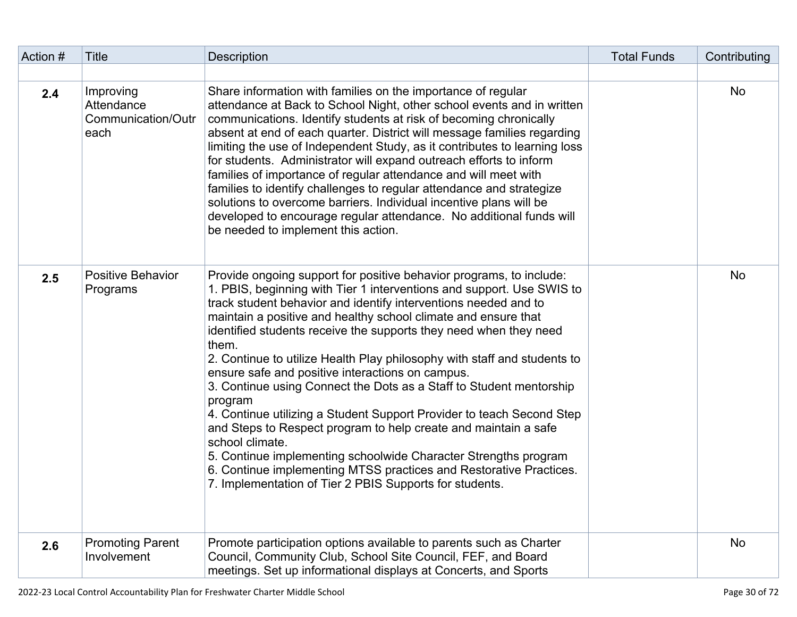| Action # | <b>Title</b>                                          | <b>Description</b>                                                                                                                                                                                                                                                                                                                                                                                                                                                                                                                                                                                                                                                                                                                                                                                                                                                                                                                                   | <b>Total Funds</b> | Contributing |
|----------|-------------------------------------------------------|------------------------------------------------------------------------------------------------------------------------------------------------------------------------------------------------------------------------------------------------------------------------------------------------------------------------------------------------------------------------------------------------------------------------------------------------------------------------------------------------------------------------------------------------------------------------------------------------------------------------------------------------------------------------------------------------------------------------------------------------------------------------------------------------------------------------------------------------------------------------------------------------------------------------------------------------------|--------------------|--------------|
|          |                                                       |                                                                                                                                                                                                                                                                                                                                                                                                                                                                                                                                                                                                                                                                                                                                                                                                                                                                                                                                                      |                    |              |
| 2.4      | Improving<br>Attendance<br>Communication/Outr<br>each | Share information with families on the importance of regular<br>attendance at Back to School Night, other school events and in written<br>communications. Identify students at risk of becoming chronically<br>absent at end of each quarter. District will message families regarding<br>limiting the use of Independent Study, as it contributes to learning loss<br>for students. Administrator will expand outreach efforts to inform<br>families of importance of regular attendance and will meet with<br>families to identify challenges to regular attendance and strategize<br>solutions to overcome barriers. Individual incentive plans will be<br>developed to encourage regular attendance. No additional funds will<br>be needed to implement this action.                                                                                                                                                                             |                    | <b>No</b>    |
| 2.5      | <b>Positive Behavior</b><br>Programs                  | Provide ongoing support for positive behavior programs, to include:<br>1. PBIS, beginning with Tier 1 interventions and support. Use SWIS to<br>track student behavior and identify interventions needed and to<br>maintain a positive and healthy school climate and ensure that<br>identified students receive the supports they need when they need<br>them.<br>2. Continue to utilize Health Play philosophy with staff and students to<br>ensure safe and positive interactions on campus.<br>3. Continue using Connect the Dots as a Staff to Student mentorship<br>program<br>4. Continue utilizing a Student Support Provider to teach Second Step<br>and Steps to Respect program to help create and maintain a safe<br>school climate.<br>5. Continue implementing schoolwide Character Strengths program<br>6. Continue implementing MTSS practices and Restorative Practices.<br>7. Implementation of Tier 2 PBIS Supports for students. |                    | No           |
| 2.6      | <b>Promoting Parent</b><br>Involvement                | Promote participation options available to parents such as Charter<br>Council, Community Club, School Site Council, FEF, and Board<br>meetings. Set up informational displays at Concerts, and Sports                                                                                                                                                                                                                                                                                                                                                                                                                                                                                                                                                                                                                                                                                                                                                |                    | <b>No</b>    |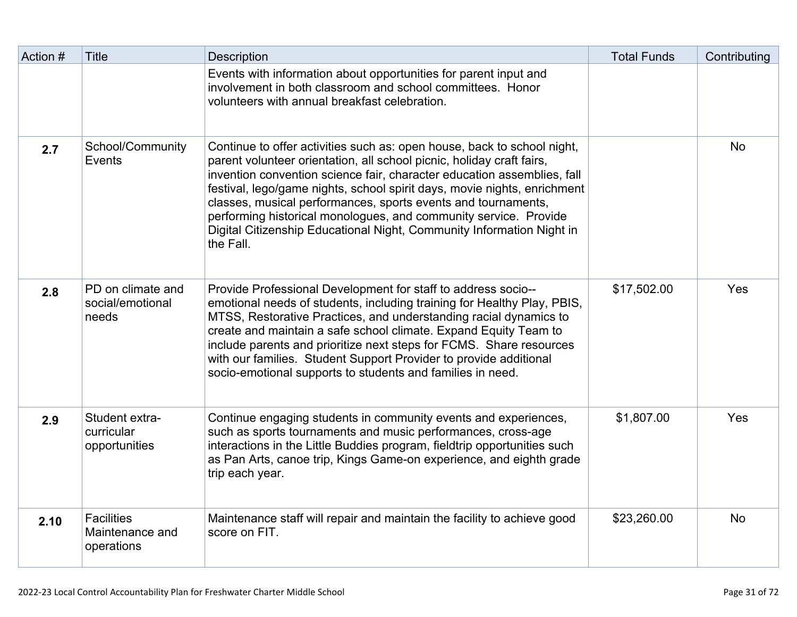| Action # | <b>Title</b>                                       | <b>Description</b>                                                                                                                                                                                                                                                                                                                                                                                                                                                                                                                 | <b>Total Funds</b> | Contributing |
|----------|----------------------------------------------------|------------------------------------------------------------------------------------------------------------------------------------------------------------------------------------------------------------------------------------------------------------------------------------------------------------------------------------------------------------------------------------------------------------------------------------------------------------------------------------------------------------------------------------|--------------------|--------------|
|          |                                                    | Events with information about opportunities for parent input and<br>involvement in both classroom and school committees. Honor<br>volunteers with annual breakfast celebration.                                                                                                                                                                                                                                                                                                                                                    |                    |              |
| 2.7      | School/Community<br>Events                         | Continue to offer activities such as: open house, back to school night,<br>parent volunteer orientation, all school picnic, holiday craft fairs,<br>invention convention science fair, character education assemblies, fall<br>festival, lego/game nights, school spirit days, movie nights, enrichment<br>classes, musical performances, sports events and tournaments,<br>performing historical monologues, and community service. Provide<br>Digital Citizenship Educational Night, Community Information Night in<br>the Fall. |                    | <b>No</b>    |
| 2.8      | PD on climate and<br>social/emotional<br>needs     | Provide Professional Development for staff to address socio--<br>emotional needs of students, including training for Healthy Play, PBIS,<br>MTSS, Restorative Practices, and understanding racial dynamics to<br>create and maintain a safe school climate. Expand Equity Team to<br>include parents and prioritize next steps for FCMS. Share resources<br>with our families. Student Support Provider to provide additional<br>socio-emotional supports to students and families in need.                                        | \$17,502.00        | Yes          |
| 2.9      | Student extra-<br>curricular<br>opportunities      | Continue engaging students in community events and experiences,<br>such as sports tournaments and music performances, cross-age<br>interactions in the Little Buddies program, fieldtrip opportunities such<br>as Pan Arts, canoe trip, Kings Game-on experience, and eighth grade<br>trip each year.                                                                                                                                                                                                                              | \$1,807.00         | Yes          |
| 2.10     | <b>Facilities</b><br>Maintenance and<br>operations | Maintenance staff will repair and maintain the facility to achieve good<br>score on FIT.                                                                                                                                                                                                                                                                                                                                                                                                                                           | \$23,260.00        | <b>No</b>    |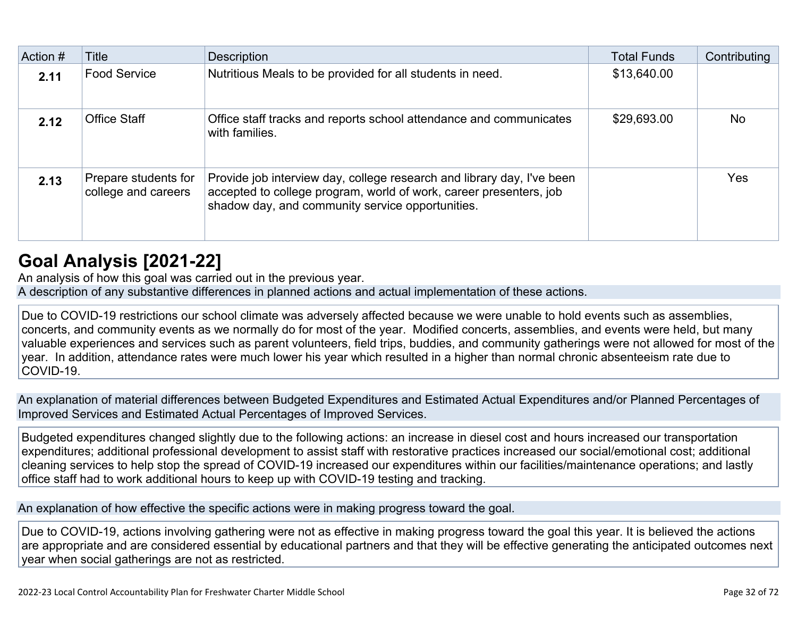| Action # | Title                                       | Description                                                                                                                                                                                      | <b>Total Funds</b> | Contributing |
|----------|---------------------------------------------|--------------------------------------------------------------------------------------------------------------------------------------------------------------------------------------------------|--------------------|--------------|
| 2.11     | <b>Food Service</b>                         | Nutritious Meals to be provided for all students in need.                                                                                                                                        | \$13,640.00        |              |
| 2.12     | <b>Office Staff</b>                         | Office staff tracks and reports school attendance and communicates<br>with families.                                                                                                             | \$29,693.00        | <b>No</b>    |
| 2.13     | Prepare students for<br>college and careers | Provide job interview day, college research and library day, I've been<br>accepted to college program, world of work, career presenters, job<br>shadow day, and community service opportunities. |                    | <b>Yes</b>   |

## **[Goal Analysis \[2021-22\]](http://www.doc-tracking.com/screenshots/22LCAP/Instructions/22LCAPInstructions.htm#GoalAnalysis)**

An analysis of how this goal was carried out in the previous year.

A description of any substantive differences in planned actions and actual implementation of these actions.

Due to COVID-19 restrictions our school climate was adversely affected because we were unable to hold events such as assemblies, concerts, and community events as we normally do for most of the year. Modified concerts, assemblies, and events were held, but many valuable experiences and services such as parent volunteers, field trips, buddies, and community gatherings were not allowed for most of the year. In addition, attendance rates were much lower his year which resulted in a higher than normal chronic absenteeism rate due to COVID-19.

An explanation of material differences between Budgeted Expenditures and Estimated Actual Expenditures and/or Planned Percentages of Improved Services and Estimated Actual Percentages of Improved Services.

Budgeted expenditures changed slightly due to the following actions: an increase in diesel cost and hours increased our transportation expenditures; additional professional development to assist staff with restorative practices increased our social/emotional cost; additional cleaning services to help stop the spread of COVID-19 increased our expenditures within our facilities/maintenance operations; and lastly office staff had to work additional hours to keep up with COVID-19 testing and tracking.

An explanation of how effective the specific actions were in making progress toward the goal.

Due to COVID-19, actions involving gathering were not as effective in making progress toward the goal this year. It is believed the actions are appropriate and are considered essential by educational partners and that they will be effective generating the anticipated outcomes next year when social gatherings are not as restricted.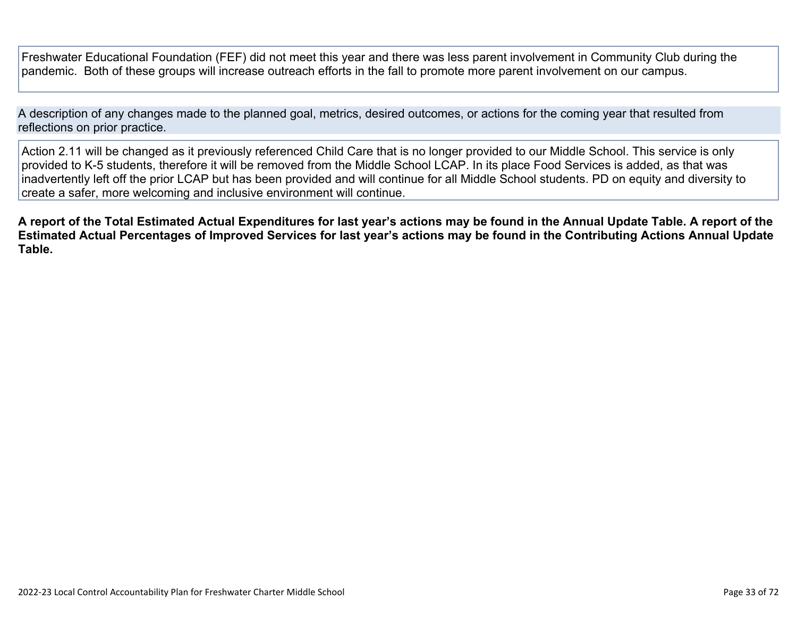Freshwater Educational Foundation (FEF) did not meet this year and there was less parent involvement in Community Club during the pandemic. Both of these groups will increase outreach efforts in the fall to promote more parent involvement on our campus.

A description of any changes made to the planned goal, metrics, desired outcomes, or actions for the coming year that resulted from reflections on prior practice.

Action 2.11 will be changed as it previously referenced Child Care that is no longer provided to our Middle School. This service is only provided to K-5 students, therefore it will be removed from the Middle School LCAP. In its place Food Services is added, as that was inadvertently left off the prior LCAP but has been provided and will continue for all Middle School students. PD on equity and diversity to create a safer, more welcoming and inclusive environment will continue.

**A report of the Total Estimated Actual Expenditures for last year's actions may be found in the Annual Update Table. A report of the Estimated Actual Percentages of Improved Services for last year's actions may be found in the Contributing Actions Annual Update Table.**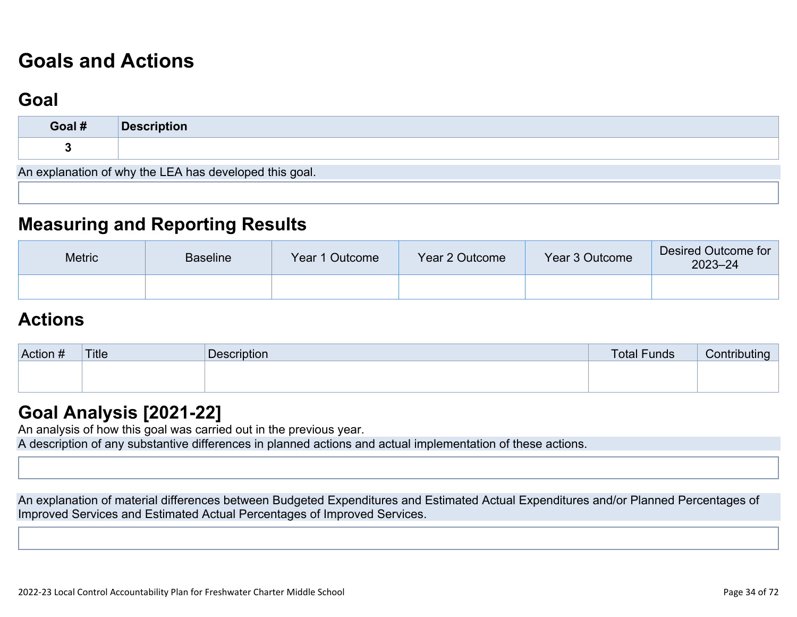# **[Goals and Actions](http://www.doc-tracking.com/screenshots/22LCAP/Instructions/22LCAPInstructions.htm#GoalsandActions)**

## **[Goal](http://www.doc-tracking.com/screenshots/22LCAP/Instructions/22LCAPInstructions.htm#goalDescription)**

| Goal #                                                 | Description |  |  |  |
|--------------------------------------------------------|-------------|--|--|--|
|                                                        |             |  |  |  |
| An explanation of why the LEA has developed this goal. |             |  |  |  |

### **[Measuring and Reporting Results](http://www.doc-tracking.com/screenshots/22LCAP/Instructions/22LCAPInstructions.htm#MeasuringandReportingResults)**

| <b>Metric</b> | <b>Baseline</b> | Year 1 Outcome | Year 2 Outcome | Year 3 Outcome | Desired Outcome for<br>$2023 - 24$ |
|---------------|-----------------|----------------|----------------|----------------|------------------------------------|
|               |                 |                |                |                |                                    |

### **[Actions](http://www.doc-tracking.com/screenshots/22LCAP/Instructions/22LCAPInstructions.htm#actions)**

| Action # | Title | <b>Description</b> | <b>Total Funds</b> | Contributina |
|----------|-------|--------------------|--------------------|--------------|
|          |       |                    |                    |              |
|          |       |                    |                    |              |

### **[Goal Analysis \[2021-22\]](http://www.doc-tracking.com/screenshots/22LCAP/Instructions/22LCAPInstructions.htm#GoalAnalysis)**

An analysis of how this goal was carried out in the previous year.

A description of any substantive differences in planned actions and actual implementation of these actions.

An explanation of material differences between Budgeted Expenditures and Estimated Actual Expenditures and/or Planned Percentages of Improved Services and Estimated Actual Percentages of Improved Services.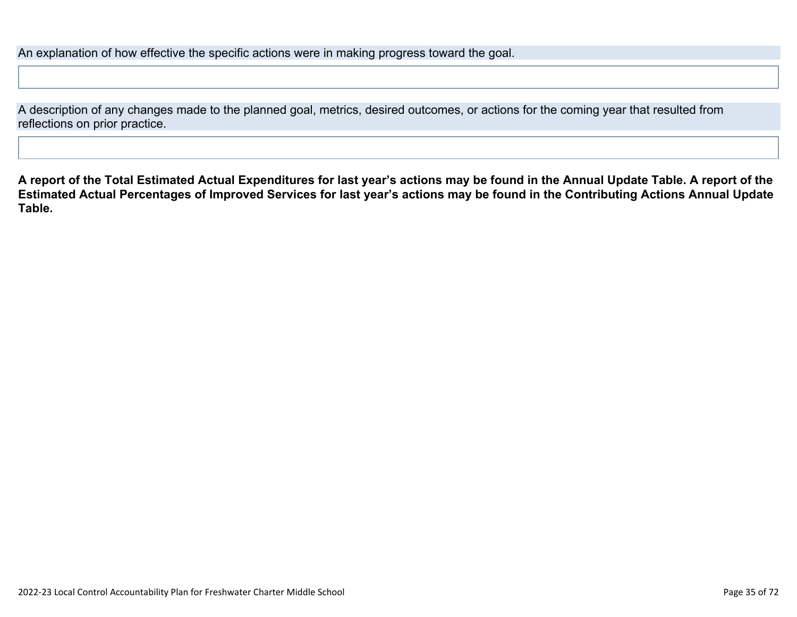An explanation of how effective the specific actions were in making progress toward the goal.

A description of any changes made to the planned goal, metrics, desired outcomes, or actions for the coming year that resulted from reflections on prior practice.

**A report of the Total Estimated Actual Expenditures for last year's actions may be found in the Annual Update Table. A report of the Estimated Actual Percentages of Improved Services for last year's actions may be found in the Contributing Actions Annual Update Table.**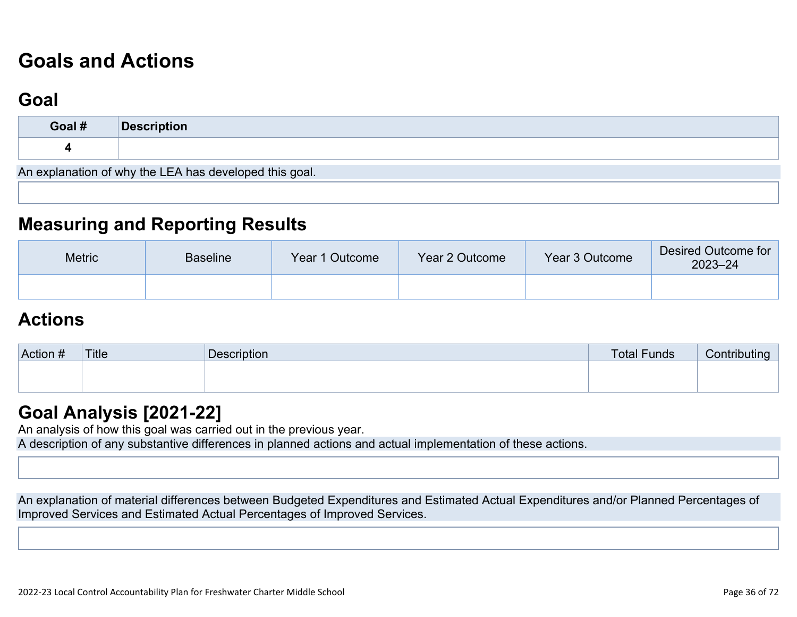# **[Goals and Actions](http://www.doc-tracking.com/screenshots/22LCAP/Instructions/22LCAPInstructions.htm#GoalsandActions)**

## **[Goal](http://www.doc-tracking.com/screenshots/22LCAP/Instructions/22LCAPInstructions.htm#goalDescription)**

| Goal #                                                 | Description |  |  |  |
|--------------------------------------------------------|-------------|--|--|--|
|                                                        |             |  |  |  |
| An explanation of why the LEA has developed this goal. |             |  |  |  |

### **[Measuring and Reporting Results](http://www.doc-tracking.com/screenshots/22LCAP/Instructions/22LCAPInstructions.htm#MeasuringandReportingResults)**

| <b>Metric</b> | Baseline | Year 1 Outcome | Year 2 Outcome | Year 3 Outcome | Desired Outcome for<br>$2023 - 24$ |
|---------------|----------|----------------|----------------|----------------|------------------------------------|
|               |          |                |                |                |                                    |

### **[Actions](http://www.doc-tracking.com/screenshots/22LCAP/Instructions/22LCAPInstructions.htm#actions)**

| Action # | Title | <b>Description</b> | <b>Total Funds</b> | Contributina |
|----------|-------|--------------------|--------------------|--------------|
|          |       |                    |                    |              |
|          |       |                    |                    |              |

### **[Goal Analysis \[2021-22\]](http://www.doc-tracking.com/screenshots/22LCAP/Instructions/22LCAPInstructions.htm#GoalAnalysis)**

An analysis of how this goal was carried out in the previous year.

A description of any substantive differences in planned actions and actual implementation of these actions.

An explanation of material differences between Budgeted Expenditures and Estimated Actual Expenditures and/or Planned Percentages of Improved Services and Estimated Actual Percentages of Improved Services.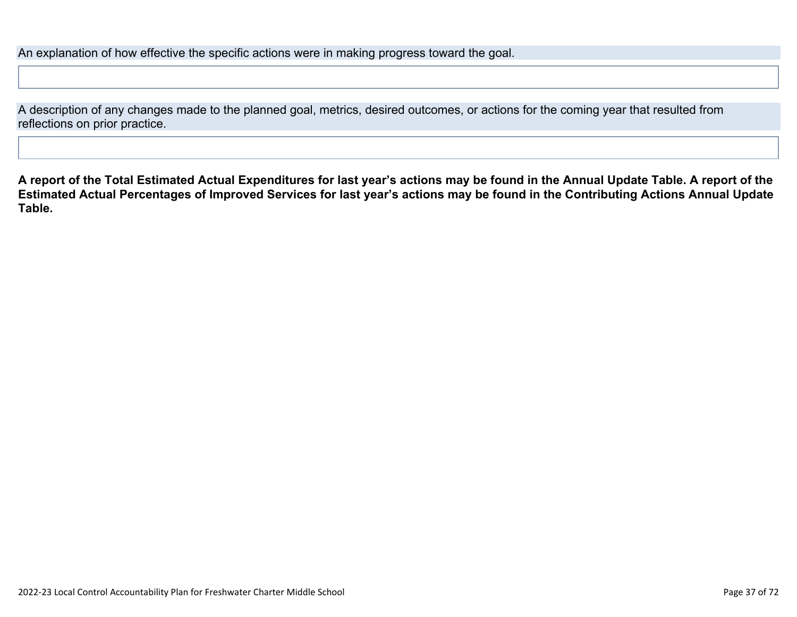An explanation of how effective the specific actions were in making progress toward the goal.

A description of any changes made to the planned goal, metrics, desired outcomes, or actions for the coming year that resulted from reflections on prior practice.

**A report of the Total Estimated Actual Expenditures for last year's actions may be found in the Annual Update Table. A report of the Estimated Actual Percentages of Improved Services for last year's actions may be found in the Contributing Actions Annual Update Table.**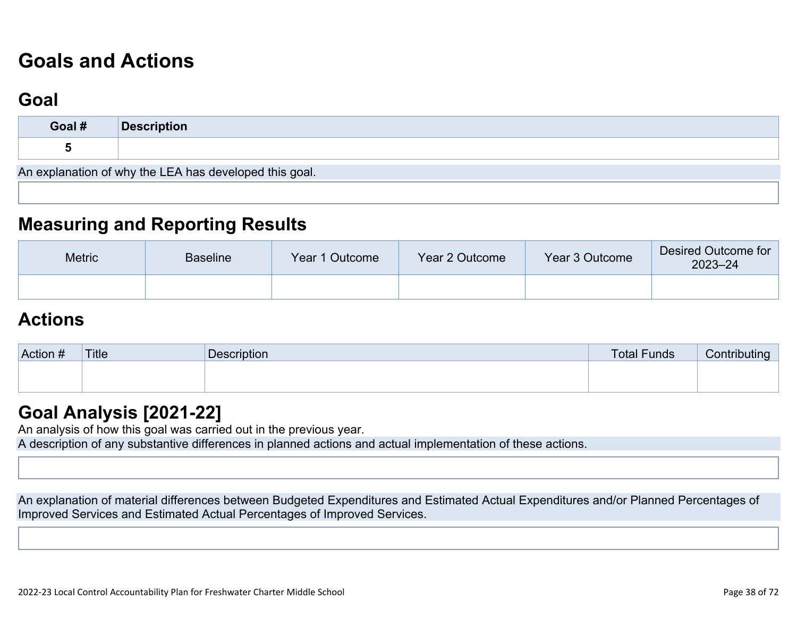# **[Goals and Actions](http://www.doc-tracking.com/screenshots/22LCAP/Instructions/22LCAPInstructions.htm#GoalsandActions)**

## **[Goal](http://www.doc-tracking.com/screenshots/22LCAP/Instructions/22LCAPInstructions.htm#goalDescription)**

| Goal #                                                 | Description |  |  |  |  |  |
|--------------------------------------------------------|-------------|--|--|--|--|--|
|                                                        |             |  |  |  |  |  |
| An explanation of why the LEA has developed this goal. |             |  |  |  |  |  |

### **[Measuring and Reporting Results](http://www.doc-tracking.com/screenshots/22LCAP/Instructions/22LCAPInstructions.htm#MeasuringandReportingResults)**

| <b>Metric</b> | <b>Baseline</b> | Year 1 Outcome | Year 2 Outcome | Year 3 Outcome | Desired Outcome for<br>$2023 - 24$ |
|---------------|-----------------|----------------|----------------|----------------|------------------------------------|
|               |                 |                |                |                |                                    |

### **[Actions](http://www.doc-tracking.com/screenshots/22LCAP/Instructions/22LCAPInstructions.htm#actions)**

| Action # | Title | Description | <b>Total Funds</b> | Contributing |
|----------|-------|-------------|--------------------|--------------|
|          |       |             |                    |              |
|          |       |             |                    |              |

### **[Goal Analysis \[2021-22\]](http://www.doc-tracking.com/screenshots/22LCAP/Instructions/22LCAPInstructions.htm#GoalAnalysis)**

An analysis of how this goal was carried out in the previous year.

A description of any substantive differences in planned actions and actual implementation of these actions.

An explanation of material differences between Budgeted Expenditures and Estimated Actual Expenditures and/or Planned Percentages of Improved Services and Estimated Actual Percentages of Improved Services.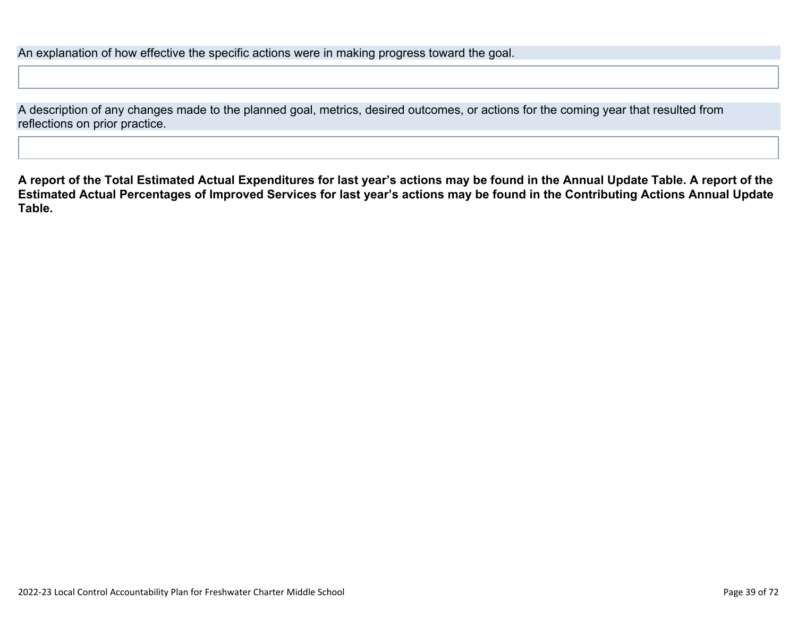An explanation of how effective the specific actions were in making progress toward the goal.

A description of any changes made to the planned goal, metrics, desired outcomes, or actions for the coming year that resulted from reflections on prior practice.

**A report of the Total Estimated Actual Expenditures for last year's actions may be found in the Annual Update Table. A report of the Estimated Actual Percentages of Improved Services for last year's actions may be found in the Contributing Actions Annual Update Table.**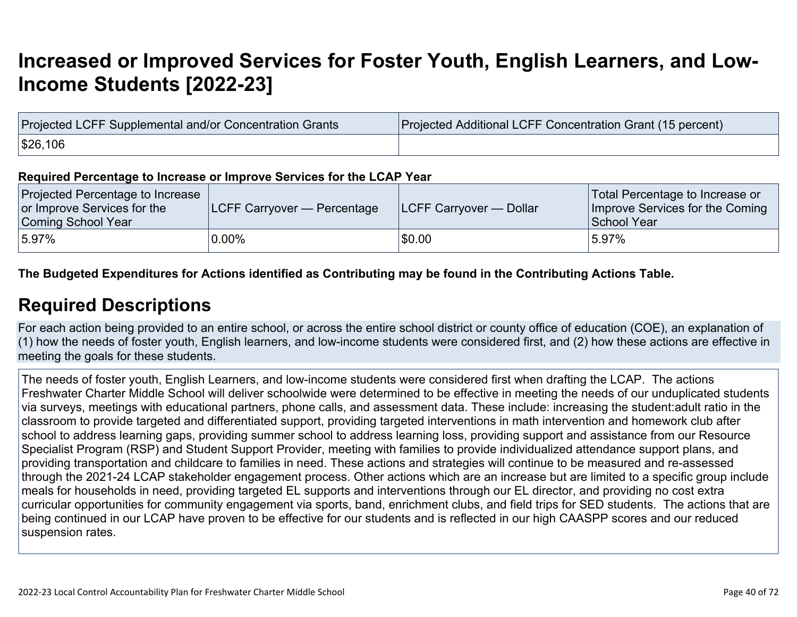# **[Increased or Improved Services for Foster Youth, English Learners, and Low-](http://www.doc-tracking.com/screenshots/22LCAP/Instructions/22LCAPInstructions.htm#IncreasedImprovedServices)[Income Students \[2022-23\]](http://www.doc-tracking.com/screenshots/22LCAP/Instructions/22LCAPInstructions.htm#IncreasedImprovedServices)**

| Projected LCFF Supplemental and/or Concentration Grants | Projected Additional LCFF Concentration Grant (15 percent) |
|---------------------------------------------------------|------------------------------------------------------------|
| \$26,106                                                |                                                            |

#### **Required Percentage to Increase or Improve Services for the LCAP Year**

| Projected Percentage to Increase<br>or Improve Services for the<br>Coming School Year | <b>LCFF Carryover — Percentage</b> | <b>ILCFF Carryover — Dollar</b> | Total Percentage to Increase or<br>Improve Services for the Coming<br>School Year |
|---------------------------------------------------------------------------------------|------------------------------------|---------------------------------|-----------------------------------------------------------------------------------|
| $15.97\%$                                                                             | $0.00\%$                           | \$0.00                          | 5.97%                                                                             |

**The Budgeted Expenditures for Actions identified as Contributing may be found in the Contributing Actions Table.**

### **[Required Descriptions](http://www.doc-tracking.com/screenshots/22LCAP/Instructions/22LCAPInstructions.htm#RequiredDescriptions)**

For each action being provided to an entire school, or across the entire school district or county office of education (COE), an explanation of (1) how the needs of foster youth, English learners, and low-income students were considered first, and (2) how these actions are effective in meeting the goals for these students.

The needs of foster youth, English Learners, and low-income students were considered first when drafting the LCAP. The actions Freshwater Charter Middle School will deliver schoolwide were determined to be effective in meeting the needs of our unduplicated students via surveys, meetings with educational partners, phone calls, and assessment data. These include: increasing the student:adult ratio in the classroom to provide targeted and differentiated support, providing targeted interventions in math intervention and homework club after school to address learning gaps, providing summer school to address learning loss, providing support and assistance from our Resource Specialist Program (RSP) and Student Support Provider, meeting with families to provide individualized attendance support plans, and providing transportation and childcare to families in need. These actions and strategies will continue to be measured and re-assessed through the 2021-24 LCAP stakeholder engagement process. Other actions which are an increase but are limited to a specific group include meals for households in need, providing targeted EL supports and interventions through our EL director, and providing no cost extra curricular opportunities for community engagement via sports, band, enrichment clubs, and field trips for SED students. The actions that are being continued in our LCAP have proven to be effective for our students and is reflected in our high CAASPP scores and our reduced suspension rates.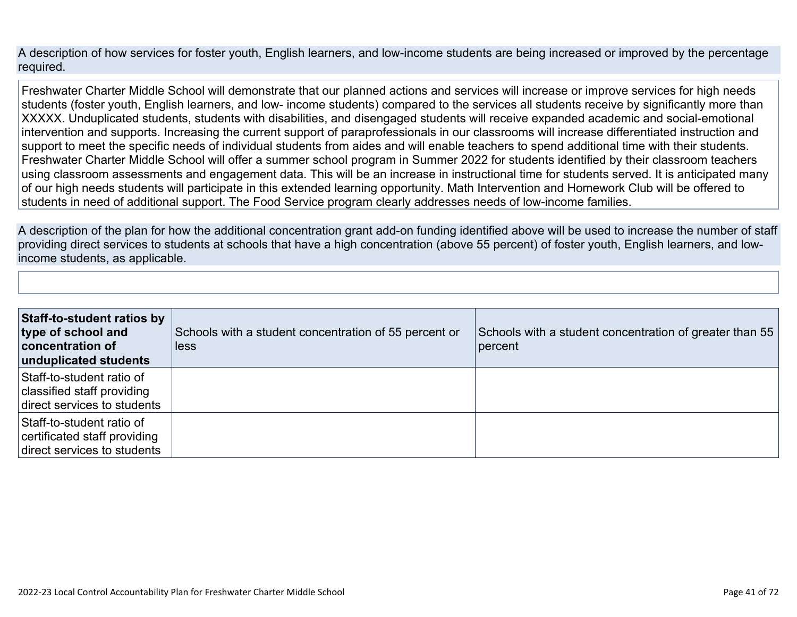A description of how services for foster youth, English learners, and low-income students are being increased or improved by the percentage required.

Freshwater Charter Middle School will demonstrate that our planned actions and services will increase or improve services for high needs students (foster youth, English learners, and low- income students) compared to the services all students receive by significantly more than XXXXX. Unduplicated students, students with disabilities, and disengaged students will receive expanded academic and social-emotional intervention and supports. Increasing the current support of paraprofessionals in our classrooms will increase differentiated instruction and support to meet the specific needs of individual students from aides and will enable teachers to spend additional time with their students. Freshwater Charter Middle School will offer a summer school program in Summer 2022 for students identified by their classroom teachers using classroom assessments and engagement data. This will be an increase in instructional time for students served. It is anticipated many of our high needs students will participate in this extended learning opportunity. Math Intervention and Homework Club will be offered to students in need of additional support. The Food Service program clearly addresses needs of low-income families.

A description of the plan for how the additional concentration grant add-on funding identified above will be used to increase the number of staff providing direct services to students at schools that have a high concentration (above 55 percent) of foster youth, English learners, and lowincome students, as applicable.

| Staff-to-student ratios by<br>type of school and<br>concentration of<br>unduplicated students | Schools with a student concentration of 55 percent or<br>less | Schools with a student concentration of greater than 55<br>percent |
|-----------------------------------------------------------------------------------------------|---------------------------------------------------------------|--------------------------------------------------------------------|
| Staff-to-student ratio of<br>classified staff providing<br>direct services to students        |                                                               |                                                                    |
| Staff-to-student ratio of<br>certificated staff providing<br>direct services to students      |                                                               |                                                                    |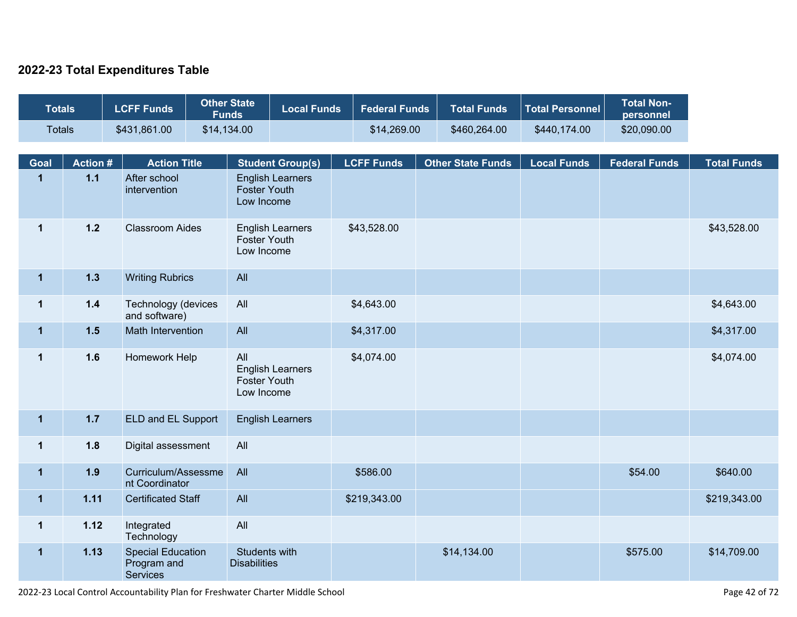### **2022-23 Total Expenditures Table**

| <b>Totals</b> |                | <b>LCFF Funds</b>                                          | <b>Other State</b><br><b>Funds</b>   | <b>Local Funds</b>      | <b>Federal Funds</b> | <b>Total Funds</b>       | <b>Total Personnel</b> | <b>Total Non-</b><br>personnel |                    |
|---------------|----------------|------------------------------------------------------------|--------------------------------------|-------------------------|----------------------|--------------------------|------------------------|--------------------------------|--------------------|
| <b>Totals</b> |                | \$431,861.00                                               | \$14,134.00                          |                         | \$14,269.00          | \$460,264.00             | \$440,174.00           | \$20,090.00                    |                    |
| <b>Goal</b>   | <b>Action#</b> | <b>Action Title</b>                                        |                                      | <b>Student Group(s)</b> | <b>LCFF Funds</b>    | <b>Other State Funds</b> | <b>Local Funds</b>     | <b>Federal Funds</b>           | <b>Total Funds</b> |
| $\mathbf{1}$  | $1.1$          | After school<br>intervention                               | <b>Foster Youth</b><br>Low Income    | <b>English Learners</b> |                      |                          |                        |                                |                    |
| $\mathbf{1}$  | $1.2$          | <b>Classroom Aides</b>                                     | <b>Foster Youth</b><br>Low Income    | <b>English Learners</b> | \$43,528.00          |                          |                        |                                | \$43,528.00        |
| $\mathbf{1}$  | $1.3$          | <b>Writing Rubrics</b>                                     | All                                  |                         |                      |                          |                        |                                |                    |
| $\mathbf{1}$  | $1.4$          | Technology (devices<br>and software)                       | All                                  |                         | \$4,643.00           |                          |                        |                                | \$4,643.00         |
| $\mathbf{1}$  | $1.5$          | Math Intervention                                          | All                                  |                         | \$4,317.00           |                          |                        |                                | \$4,317.00         |
| $\mathbf 1$   | 1.6            | Homework Help                                              | All<br>Foster Youth<br>Low Income    | <b>English Learners</b> | \$4,074.00           |                          |                        |                                | \$4,074.00         |
| $\mathbf{1}$  | $1.7$          | ELD and EL Support                                         |                                      | <b>English Learners</b> |                      |                          |                        |                                |                    |
| $\mathbf{1}$  | 1.8            | Digital assessment                                         | All                                  |                         |                      |                          |                        |                                |                    |
| $\mathbf{1}$  | 1.9            | Curriculum/Assessme<br>nt Coordinator                      | All                                  |                         | \$586.00             |                          |                        | \$54.00                        | \$640.00           |
| $\mathbf 1$   | 1.11           | <b>Certificated Staff</b>                                  | All                                  |                         | \$219,343.00         |                          |                        |                                | \$219,343.00       |
| $\mathbf{1}$  | 1.12           | Integrated<br>Technology                                   | All                                  |                         |                      |                          |                        |                                |                    |
| $\mathbf{1}$  | 1.13           | <b>Special Education</b><br>Program and<br><b>Services</b> | Students with<br><b>Disabilities</b> |                         |                      | \$14,134.00              |                        | \$575.00                       | \$14,709.00        |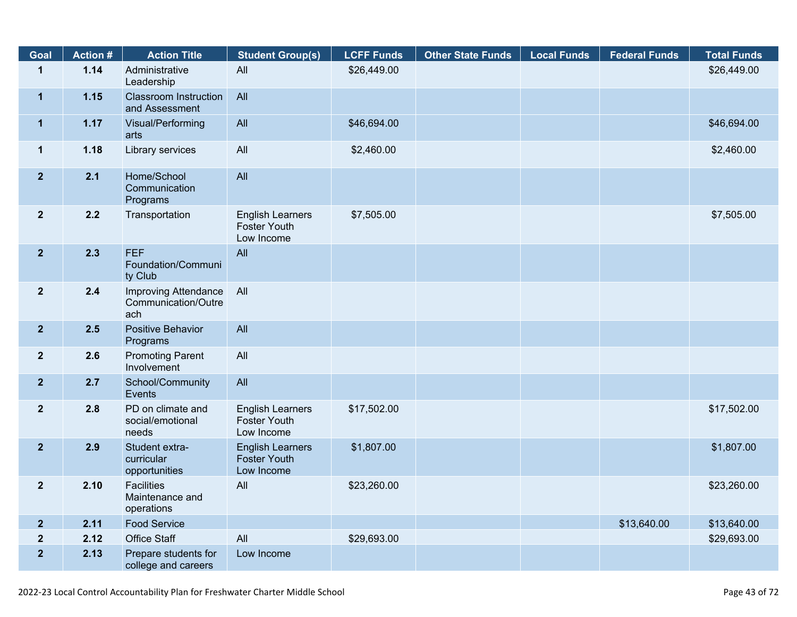| Goal                    | <b>Action#</b> | <b>Action Title</b>                                       | <b>Student Group(s)</b>                                      | <b>LCFF Funds</b> | <b>Other State Funds</b> | <b>Local Funds</b> | <b>Federal Funds</b> | <b>Total Funds</b> |
|-------------------------|----------------|-----------------------------------------------------------|--------------------------------------------------------------|-------------------|--------------------------|--------------------|----------------------|--------------------|
| $\mathbf{1}$            | 1.14           | Administrative<br>Leadership                              | All                                                          | \$26,449.00       |                          |                    |                      | \$26,449.00        |
| $\mathbf{1}$            | 1.15           | <b>Classroom Instruction</b><br>and Assessment            | All                                                          |                   |                          |                    |                      |                    |
| $\mathbf{1}$            | 1.17           | Visual/Performing<br>arts                                 | All                                                          | \$46,694.00       |                          |                    |                      | \$46,694.00        |
| $\mathbf{1}$            | 1.18           | Library services                                          | All                                                          | \$2,460.00        |                          |                    |                      | \$2,460.00         |
| 2 <sup>1</sup>          | 2.1            | Home/School<br>Communication<br>Programs                  | All                                                          |                   |                          |                    |                      |                    |
| $\overline{\mathbf{2}}$ | 2.2            | Transportation                                            | <b>English Learners</b><br><b>Foster Youth</b><br>Low Income | \$7,505.00        |                          |                    |                      | \$7,505.00         |
| 2 <sup>1</sup>          | 2.3            | <b>FEF</b><br>Foundation/Communi<br>ty Club               | All                                                          |                   |                          |                    |                      |                    |
| 2 <sup>1</sup>          | 2.4            | <b>Improving Attendance</b><br>Communication/Outre<br>ach | All                                                          |                   |                          |                    |                      |                    |
| 2 <sub>2</sub>          | 2.5            | <b>Positive Behavior</b><br>Programs                      | All                                                          |                   |                          |                    |                      |                    |
| $\boldsymbol{2}$        | 2.6            | <b>Promoting Parent</b><br>Involvement                    | All                                                          |                   |                          |                    |                      |                    |
| 2 <sub>2</sub>          | 2.7            | School/Community<br>Events                                | All                                                          |                   |                          |                    |                      |                    |
| $\overline{\mathbf{2}}$ | 2.8            | PD on climate and<br>social/emotional<br>needs            | <b>English Learners</b><br><b>Foster Youth</b><br>Low Income | \$17,502.00       |                          |                    |                      | \$17,502.00        |
| $\overline{2}$          | 2.9            | Student extra-<br>curricular<br>opportunities             | <b>English Learners</b><br><b>Foster Youth</b><br>Low Income | \$1,807.00        |                          |                    |                      | \$1,807.00         |
| $\mathbf{2}$            | 2.10           | <b>Facilities</b><br>Maintenance and<br>operations        | All                                                          | \$23,260.00       |                          |                    |                      | \$23,260.00        |
| 2 <sup>2</sup>          | 2.11           | <b>Food Service</b>                                       |                                                              |                   |                          |                    | \$13,640.00          | \$13,640.00        |
| $\boldsymbol{2}$        | 2.12           | <b>Office Staff</b>                                       | All                                                          | \$29,693.00       |                          |                    |                      | \$29,693.00        |
| $\overline{2}$          | 2.13           | Prepare students for<br>college and careers               | Low Income                                                   |                   |                          |                    |                      |                    |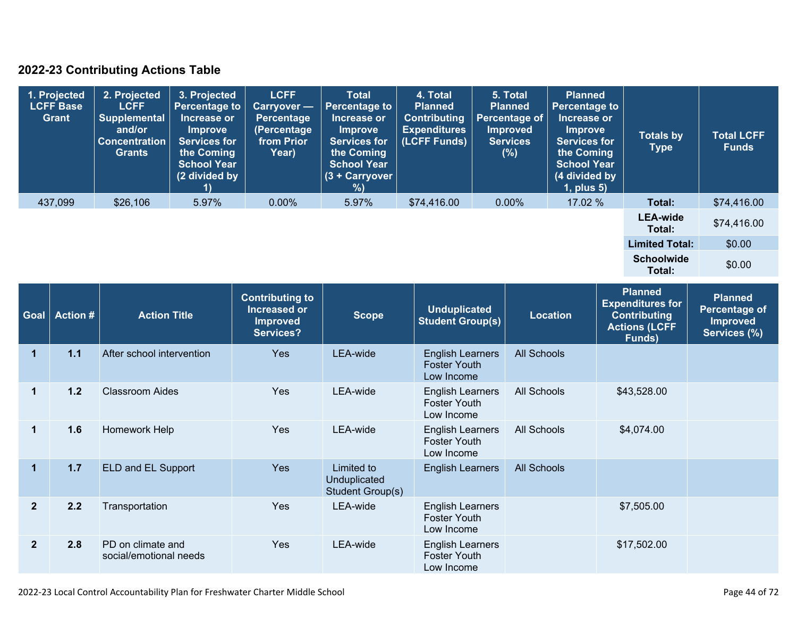### **2022-23 Contributing Actions Table**

| 1. Projected<br><b>LCFF Base</b><br>Grant | 2. Projected<br><b>LCFF</b><br><b>Supplemental</b><br>and/or<br><b>Concentration</b><br>Grants | 3. Projected<br><b>Percentage to</b><br>Increase or<br><b>Improve</b><br><b>Services for</b><br>the Coming<br><b>School Year</b><br>(2 divided by | <b>LCFF</b><br><b>Carryover</b> -<br>Percentage<br>(Percentage<br>from Prior<br>Year) | <b>Total</b><br><b>Percentage to</b><br>Increase or<br><b>Improve</b><br><b>Services for</b><br>the Coming<br><b>School Year</b><br>$(3 + Carryover)$<br>%) | 4. Total<br><b>Planned</b><br><b>Contributing</b><br><b>Expenditures</b><br>(LCFF Funds) | 5. Total<br><b>Planned</b><br>Percentage of<br><b>Improved</b><br><b>Services</b><br>$(\%)$ | <b>Planned</b><br><b>Percentage to</b><br>Increase or<br><b>Improve</b><br><b>Services for</b><br>the Coming<br><b>School Year</b><br>(4 divided by<br>1, plus 5) | <b>Totals by</b><br><b>Type</b> | <b>Total LCFF</b><br><b>Funds</b> |
|-------------------------------------------|------------------------------------------------------------------------------------------------|---------------------------------------------------------------------------------------------------------------------------------------------------|---------------------------------------------------------------------------------------|-------------------------------------------------------------------------------------------------------------------------------------------------------------|------------------------------------------------------------------------------------------|---------------------------------------------------------------------------------------------|-------------------------------------------------------------------------------------------------------------------------------------------------------------------|---------------------------------|-----------------------------------|
| 437,099                                   | \$26,106                                                                                       | 5.97%                                                                                                                                             | $0.00\%$                                                                              | 5.97%                                                                                                                                                       | \$74,416.00                                                                              | $0.00\%$                                                                                    | 17.02 %                                                                                                                                                           | Total:                          | \$74,416.00                       |
|                                           |                                                                                                |                                                                                                                                                   |                                                                                       |                                                                                                                                                             |                                                                                          |                                                                                             |                                                                                                                                                                   | <b>LEA-wide</b><br>Total:       | \$74,416.00                       |
|                                           |                                                                                                |                                                                                                                                                   |                                                                                       |                                                                                                                                                             |                                                                                          |                                                                                             |                                                                                                                                                                   | <b>Limited Total:</b>           | \$0.00                            |
|                                           |                                                                                                |                                                                                                                                                   |                                                                                       |                                                                                                                                                             |                                                                                          |                                                                                             |                                                                                                                                                                   | <b>Schoolwide</b><br>Total:     | \$0.00                            |

| <b>Goal</b>    | <b>Action #</b> | <b>Action Title</b>                         | <b>Contributing to</b><br><b>Increased or</b><br><b>Improved</b><br>Services? | <b>Scope</b>                                   | <b>Unduplicated</b><br><b>Student Group(s)</b>               | <b>Location</b>    | <b>Planned</b><br><b>Expenditures for</b><br><b>Contributing</b><br><b>Actions (LCFF</b><br>Funds) | <b>Planned</b><br><b>Percentage of</b><br><b>Improved</b><br>Services (%) |
|----------------|-----------------|---------------------------------------------|-------------------------------------------------------------------------------|------------------------------------------------|--------------------------------------------------------------|--------------------|----------------------------------------------------------------------------------------------------|---------------------------------------------------------------------------|
|                | $1.1$           | After school intervention                   | Yes                                                                           | <b>LEA-wide</b>                                | <b>English Learners</b><br><b>Foster Youth</b><br>Low Income | <b>All Schools</b> |                                                                                                    |                                                                           |
|                | 1.2             | <b>Classroom Aides</b>                      | Yes                                                                           | LEA-wide                                       | <b>English Learners</b><br><b>Foster Youth</b><br>Low Income | All Schools        | \$43,528.00                                                                                        |                                                                           |
|                | 1.6             | Homework Help                               | <b>Yes</b>                                                                    | LEA-wide                                       | <b>English Learners</b><br><b>Foster Youth</b><br>Low Income | All Schools        | \$4,074.00                                                                                         |                                                                           |
| 1              | 1.7             | ELD and EL Support                          | Yes                                                                           | Limited to<br>Unduplicated<br>Student Group(s) | <b>English Learners</b>                                      | <b>All Schools</b> |                                                                                                    |                                                                           |
| $\overline{2}$ | 2.2             | Transportation                              | Yes                                                                           | LEA-wide                                       | <b>English Learners</b><br><b>Foster Youth</b><br>Low Income |                    | \$7,505.00                                                                                         |                                                                           |
| $\overline{2}$ | 2.8             | PD on climate and<br>social/emotional needs | <b>Yes</b>                                                                    | LEA-wide                                       | <b>English Learners</b><br><b>Foster Youth</b><br>Low Income |                    | \$17,502.00                                                                                        |                                                                           |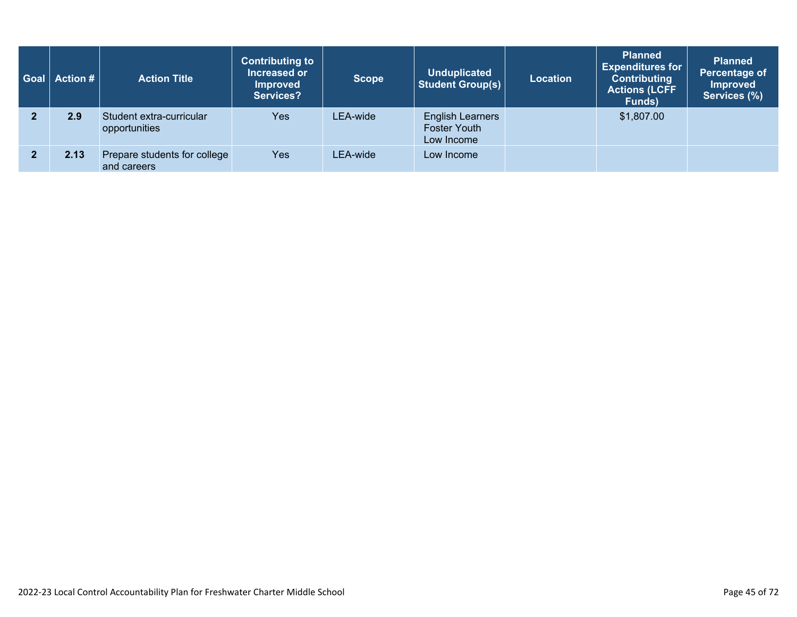| $\mid$ Goal $\mid$ Action # $\mid$ | <b>Action Title</b>                         | <b>Contributing to</b><br>Increased or<br><b>Improved</b><br>Services? | <b>Scope</b> | <b>Unduplicated</b><br><b>Student Group(s)</b>               | <b>Location</b> | <b>Planned</b><br><b>Expenditures for</b><br><b>Contributing</b><br><b>Actions (LCFF</b><br>Funds) | <b>Planned</b><br>Percentage of<br><b>Improved</b><br>Services (%) |
|------------------------------------|---------------------------------------------|------------------------------------------------------------------------|--------------|--------------------------------------------------------------|-----------------|----------------------------------------------------------------------------------------------------|--------------------------------------------------------------------|
| 2.9                                | Student extra-curricular<br>opportunities   | <b>Yes</b>                                                             | LEA-wide     | <b>English Learners</b><br><b>Foster Youth</b><br>Low Income |                 | \$1,807.00                                                                                         |                                                                    |
| 2.13                               | Prepare students for college<br>and careers | <b>Yes</b>                                                             | LEA-wide     | Low Income                                                   |                 |                                                                                                    |                                                                    |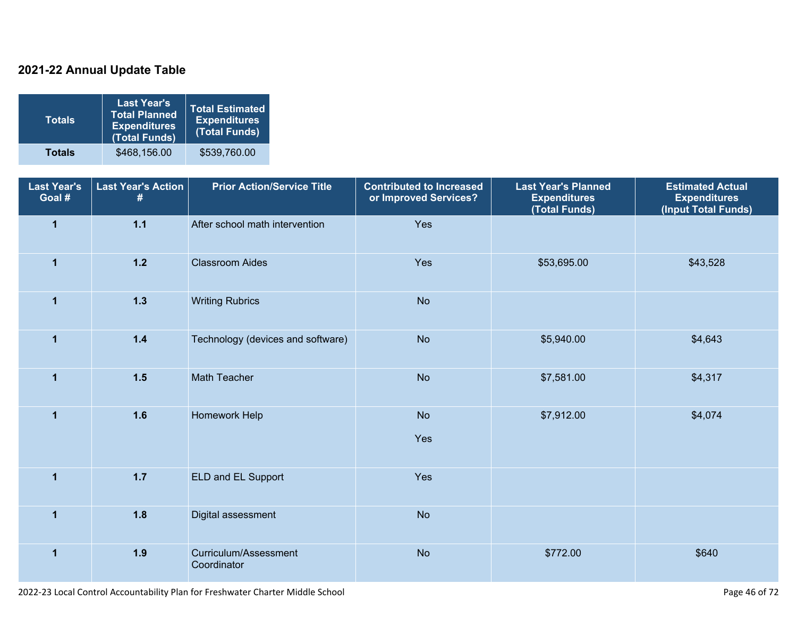### **2021-22 Annual Update Table**

| <b>Totals</b> | <b>Last Year's</b><br><b>Total Planned</b><br><b>Expenditures</b><br>(Total Funds) | <b>Total Estimated</b><br><b>Expenditures</b><br>(Total Funds) |
|---------------|------------------------------------------------------------------------------------|----------------------------------------------------------------|
| <b>Totals</b> | \$468,156.00                                                                       | \$539,760.00                                                   |

| <b>Last Year's</b><br>Goal # | <b>Last Year's Action</b><br># | <b>Prior Action/Service Title</b>    | <b>Contributed to Increased</b><br>or Improved Services? | <b>Last Year's Planned</b><br><b>Expenditures</b><br>(Total Funds) | <b>Estimated Actual</b><br><b>Expenditures</b><br>(Input Total Funds) |
|------------------------------|--------------------------------|--------------------------------------|----------------------------------------------------------|--------------------------------------------------------------------|-----------------------------------------------------------------------|
| $\overline{\mathbf{1}}$      | $1.1$                          | After school math intervention       | Yes                                                      |                                                                    |                                                                       |
| $\overline{1}$               | $1.2$                          | <b>Classroom Aides</b>               | Yes                                                      | \$53,695.00                                                        | \$43,528                                                              |
| $\overline{1}$               | 1.3                            | <b>Writing Rubrics</b>               | <b>No</b>                                                |                                                                    |                                                                       |
| $\mathbf{1}$                 | $1.4$                          | Technology (devices and software)    | <b>No</b>                                                | \$5,940.00                                                         | \$4,643                                                               |
| $\mathbf 1$                  | $1.5$                          | Math Teacher                         | <b>No</b>                                                | \$7,581.00                                                         | \$4,317                                                               |
| $\mathbf{1}$                 | 1.6                            | Homework Help                        | <b>No</b><br>Yes                                         | \$7,912.00                                                         | \$4,074                                                               |
| $\mathbf{1}$                 | 1.7                            | ELD and EL Support                   | Yes                                                      |                                                                    |                                                                       |
| $\overline{1}$               | 1.8                            | Digital assessment                   | <b>No</b>                                                |                                                                    |                                                                       |
| $\mathbf{1}$                 | 1.9                            | Curriculum/Assessment<br>Coordinator | <b>No</b>                                                | \$772.00                                                           | \$640                                                                 |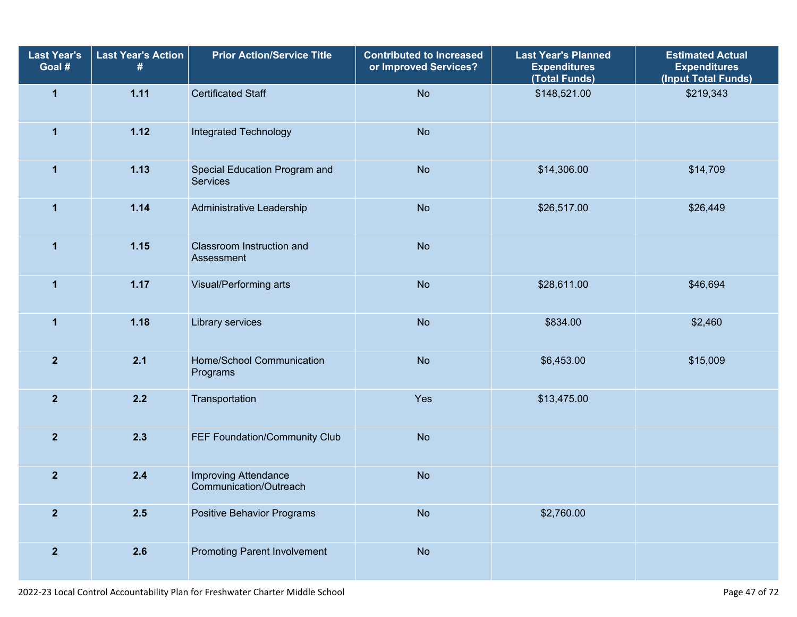| <b>Last Year's</b><br>Goal # | <b>Last Year's Action</b><br># | <b>Prior Action/Service Title</b>                     | <b>Contributed to Increased</b><br>or Improved Services? | Last Year's Planned<br><b>Expenditures</b><br>(Total Funds) | <b>Estimated Actual</b><br><b>Expenditures</b><br>(Input Total Funds) |
|------------------------------|--------------------------------|-------------------------------------------------------|----------------------------------------------------------|-------------------------------------------------------------|-----------------------------------------------------------------------|
| $\mathbf{1}$                 | 1.11                           | <b>Certificated Staff</b>                             | <b>No</b>                                                | \$148,521.00                                                | \$219,343                                                             |
| $\mathbf{1}$                 | 1.12                           | Integrated Technology                                 | <b>No</b>                                                |                                                             |                                                                       |
| $\mathbf 1$                  | 1.13                           | Special Education Program and<br>Services             | <b>No</b>                                                | \$14,306.00                                                 | \$14,709                                                              |
| $\mathbf{1}$                 | 1.14                           | Administrative Leadership                             | <b>No</b>                                                | \$26,517.00                                                 | \$26,449                                                              |
| $\mathbf{1}$                 | 1.15                           | Classroom Instruction and<br>Assessment               | <b>No</b>                                                |                                                             |                                                                       |
| $\mathbf{1}$                 | 1.17                           | Visual/Performing arts                                | <b>No</b>                                                | \$28,611.00                                                 | \$46,694                                                              |
| $\mathbf{1}$                 | 1.18                           | Library services                                      | <b>No</b>                                                | \$834.00                                                    | \$2,460                                                               |
| $\overline{2}$               | 2.1                            | Home/School Communication<br>Programs                 | <b>No</b>                                                | \$6,453.00                                                  | \$15,009                                                              |
| $\overline{2}$               | 2.2                            | Transportation                                        | Yes                                                      | \$13,475.00                                                 |                                                                       |
| $\overline{2}$               | 2.3                            | FEF Foundation/Community Club                         | <b>No</b>                                                |                                                             |                                                                       |
| $\overline{\mathbf{2}}$      | 2.4                            | <b>Improving Attendance</b><br>Communication/Outreach | <b>No</b>                                                |                                                             |                                                                       |
| $\overline{2}$               | 2.5                            | <b>Positive Behavior Programs</b>                     | <b>No</b>                                                | \$2,760.00                                                  |                                                                       |
| $\mathbf{2}$                 | 2.6                            | <b>Promoting Parent Involvement</b>                   | <b>No</b>                                                |                                                             |                                                                       |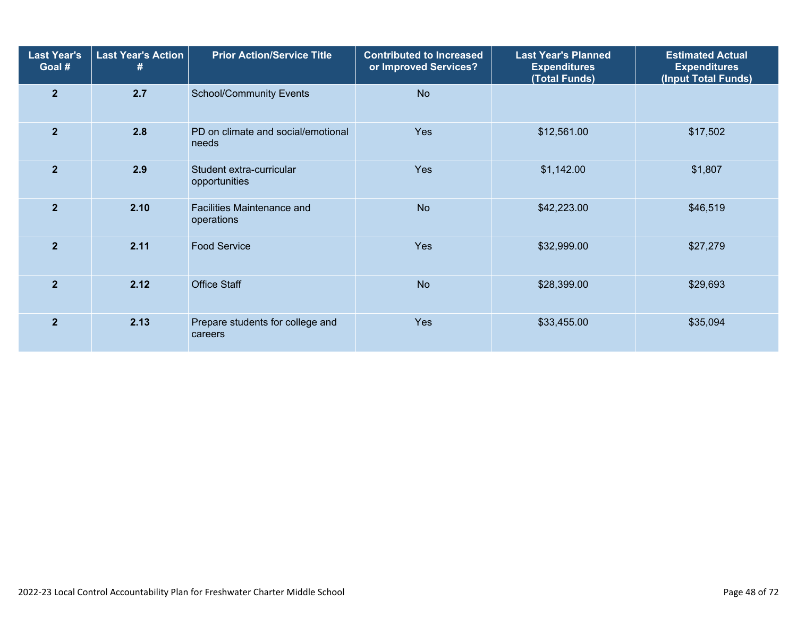| <b>Last Year's</b><br>Goal # | <b>Last Year's Action</b><br># | <b>Prior Action/Service Title</b>           | <b>Contributed to Increased</b><br>or Improved Services? | <b>Last Year's Planned</b><br><b>Expenditures</b><br>(Total Funds) | <b>Estimated Actual</b><br><b>Expenditures</b><br>(Input Total Funds) |  |
|------------------------------|--------------------------------|---------------------------------------------|----------------------------------------------------------|--------------------------------------------------------------------|-----------------------------------------------------------------------|--|
| $\overline{2}$               | 2.7                            | <b>School/Community Events</b>              | <b>No</b>                                                |                                                                    |                                                                       |  |
| $\overline{2}$               | 2.8                            | PD on climate and social/emotional<br>needs | Yes                                                      | \$12,561.00                                                        | \$17,502                                                              |  |
| $\overline{2}$               | 2.9                            | Student extra-curricular<br>opportunities   | <b>Yes</b>                                               | \$1,142.00                                                         | \$1,807                                                               |  |
| $\overline{2}$               | 2.10                           | Facilities Maintenance and<br>operations    | <b>No</b>                                                | \$42,223.00                                                        | \$46,519                                                              |  |
| $\overline{2}$               | 2.11                           | <b>Food Service</b>                         | <b>Yes</b>                                               | \$32,999.00                                                        | \$27,279                                                              |  |
| $\overline{2}$               | 2.12                           | <b>Office Staff</b>                         | <b>No</b>                                                | \$28,399.00                                                        | \$29,693                                                              |  |
| $\overline{2}$               | 2.13                           | Prepare students for college and<br>careers | <b>Yes</b>                                               | \$33,455.00                                                        | \$35,094                                                              |  |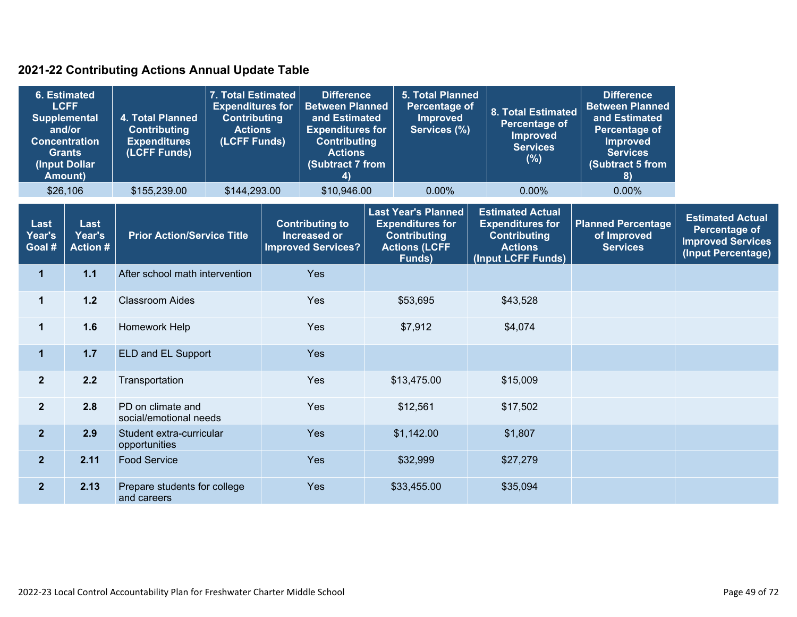### **2021-22 Contributing Actions Annual Update Table**

| 6. Estimated<br><b>LCFF</b><br><b>Supplemental</b><br>and/or<br><b>Concentration</b><br><b>Grants</b><br>(Input Dollar<br><b>Amount)</b> |                                  | 4. Total Planned<br><b>Contributing</b><br><b>Expenditures</b><br>(LCFF Funds) | 7. Total Estimated<br><b>Expenditures for</b><br><b>Contributing</b><br><b>Actions</b><br>(LCFF Funds) |            | <b>Difference</b><br><b>Between Planned</b><br>and Estimated<br><b>Expenditures for</b><br><b>Contributing</b><br><b>Actions</b><br>(Subtract 7 from<br>4)                                   |                | <b>5. Total Planned</b><br><b>Percentage of</b><br><b>Improved</b><br>Services (%)                                |  | <b>8. Total Estimated</b><br>Percentage of<br><b>Improved</b><br><b>Services</b><br>(%) | <b>Difference</b><br><b>Between Planned</b><br>and Estimated<br>Percentage of<br><b>Improved</b><br><b>Services</b><br>(Subtract 5 from<br>8) |          |  |  |
|------------------------------------------------------------------------------------------------------------------------------------------|----------------------------------|--------------------------------------------------------------------------------|--------------------------------------------------------------------------------------------------------|------------|----------------------------------------------------------------------------------------------------------------------------------------------------------------------------------------------|----------------|-------------------------------------------------------------------------------------------------------------------|--|-----------------------------------------------------------------------------------------|-----------------------------------------------------------------------------------------------------------------------------------------------|----------|--|--|
| \$26,106                                                                                                                                 |                                  | \$155,239.00                                                                   | \$144,293.00                                                                                           |            | \$10,946.00                                                                                                                                                                                  |                | 0.00%                                                                                                             |  | 0.00%                                                                                   | 0.00%                                                                                                                                         |          |  |  |
| Last<br>Year's<br>Goal #                                                                                                                 | Last<br>Year's<br><b>Action#</b> | <b>Prior Action/Service Title</b>                                              |                                                                                                        |            | <b>Last Year's Planned</b><br><b>Contributing to</b><br><b>Expenditures for</b><br><b>Increased or</b><br><b>Contributing</b><br><b>Actions (LCFF</b><br><b>Improved Services?</b><br>Funds) |                | <b>Estimated Actual</b><br><b>Expenditures for</b><br><b>Contributing</b><br><b>Actions</b><br>(Input LCFF Funds) |  | <b>Planned Percentage</b><br>of Improved<br><b>Services</b>                             | <b>Estimated Actual</b><br><b>Percentage of</b><br><b>Improved Services</b><br>(Input Percentage)                                             |          |  |  |
| $\mathbf{1}$                                                                                                                             | 1.1                              | After school math intervention                                                 |                                                                                                        |            | <b>Yes</b>                                                                                                                                                                                   |                |                                                                                                                   |  |                                                                                         |                                                                                                                                               |          |  |  |
| 1                                                                                                                                        | $1.2$                            | <b>Classroom Aides</b>                                                         |                                                                                                        | <b>Yes</b> |                                                                                                                                                                                              |                | \$53,695<br>\$43,528                                                                                              |  |                                                                                         |                                                                                                                                               |          |  |  |
| 1                                                                                                                                        | 1.6                              | Homework Help                                                                  |                                                                                                        |            |                                                                                                                                                                                              | Yes<br>\$7,912 |                                                                                                                   |  | \$4,074                                                                                 |                                                                                                                                               |          |  |  |
| $\mathbf{1}$                                                                                                                             | $1.7$                            | ELD and EL Support                                                             |                                                                                                        | <b>Yes</b> |                                                                                                                                                                                              |                |                                                                                                                   |  |                                                                                         |                                                                                                                                               |          |  |  |
| 2 <sup>2</sup>                                                                                                                           | 2.2                              | Transportation                                                                 |                                                                                                        |            |                                                                                                                                                                                              |                | Yes                                                                                                               |  | \$13,475.00                                                                             |                                                                                                                                               | \$15,009 |  |  |
| 2 <sup>1</sup>                                                                                                                           | 2.8                              | PD on climate and<br>social/emotional needs                                    |                                                                                                        | Yes        |                                                                                                                                                                                              |                | \$12,561                                                                                                          |  | \$17,502                                                                                |                                                                                                                                               |          |  |  |
| 2 <sup>1</sup>                                                                                                                           | 2.9                              | Student extra-curricular<br>opportunities                                      |                                                                                                        |            | Yes                                                                                                                                                                                          |                | \$1,142.00                                                                                                        |  | \$1,807                                                                                 |                                                                                                                                               |          |  |  |
| 2 <sup>2</sup>                                                                                                                           | 2.11                             | <b>Food Service</b>                                                            |                                                                                                        |            | Yes                                                                                                                                                                                          |                | \$32,999                                                                                                          |  | \$27,279                                                                                |                                                                                                                                               |          |  |  |
| $\overline{2}$                                                                                                                           | 2.13                             | Prepare students for college<br>and careers                                    |                                                                                                        |            | Yes                                                                                                                                                                                          |                | \$33,455.00                                                                                                       |  | \$35,094                                                                                |                                                                                                                                               |          |  |  |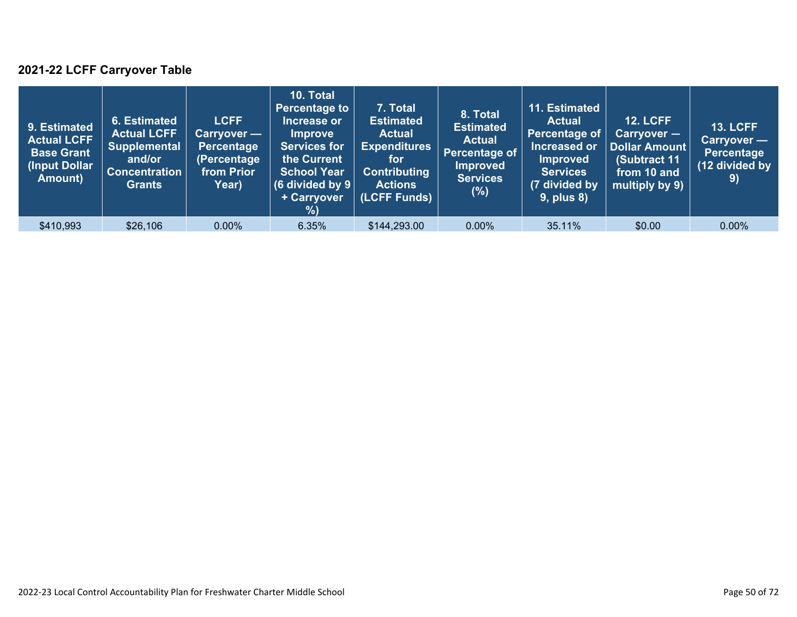### **2021-22 LCFF Carryover Table**

| 9. Estimated<br><b>Actual LCFF</b><br><b>Base Grant</b><br>(Input Dollar)<br>Amount) | 6. Estimated<br><b>Actual LCFF</b><br><b>Supplemental</b><br>and/or<br><b>Concentration</b><br><b>Grants</b> | <b>LCFF</b><br>Carryover —<br>Percentage<br>(Percentage<br>from Prior<br>Year) | 10. Total<br><b>Percentage to</b><br>Increase or<br><b>Improve</b><br><b>Services for</b><br>the Current<br><b>School Year</b><br>(6 divided by $9$ $ $<br>+ Carryover<br>%) | 7. Total<br><b>Estimated</b><br><b>Actual</b><br><b>Expenditures</b><br>for<br><b>Contributing</b><br><b>Actions</b><br>(LCFF Funds) | 8. Total<br><b>Estimated</b><br><b>Actual</b><br>Percentage of<br>Improved<br><b>Services</b><br>(%) | 11. Estimated<br><b>Actual</b><br>Percentage of<br>Increased or<br><b>Improved</b><br><b>Services</b><br>(7 divided by<br><b>9, plus 8)</b> | <b>12. LCFF</b><br>Carryover -<br><b>Dollar Amount</b><br>(Subtract 11<br>from 10 and<br>multiply by 9) | <b>13. LCFF</b><br>Carryover —<br><b>Percentage</b><br>(12 divided by<br>9) |
|--------------------------------------------------------------------------------------|--------------------------------------------------------------------------------------------------------------|--------------------------------------------------------------------------------|------------------------------------------------------------------------------------------------------------------------------------------------------------------------------|--------------------------------------------------------------------------------------------------------------------------------------|------------------------------------------------------------------------------------------------------|---------------------------------------------------------------------------------------------------------------------------------------------|---------------------------------------------------------------------------------------------------------|-----------------------------------------------------------------------------|
| \$410,993                                                                            | \$26,106                                                                                                     | $0.00\%$                                                                       | 6.35%                                                                                                                                                                        | \$144,293.00                                                                                                                         | $0.00\%$                                                                                             | 35.11%                                                                                                                                      | \$0.00                                                                                                  | $0.00\%$                                                                    |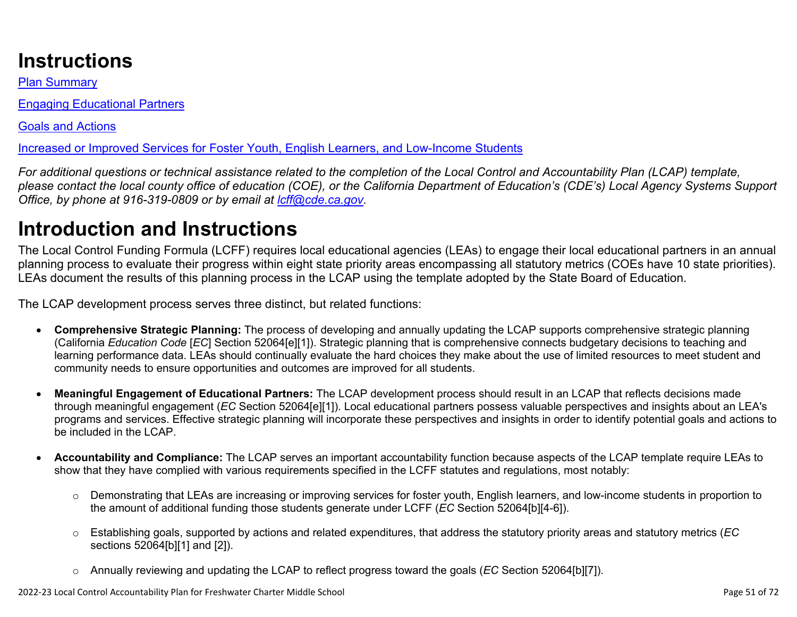# **Instructions**

Plan Summary

Engaging Educational Partners

Goals and Actions

Increased or Improved Services for Foster Youth, English Learners, and Low-Income Students

*For additional questions or technical assistance related to the completion of the Local Control and Accountability Plan (LCAP) template, please contact the local county office of education (COE), or the California Department of Education's (CDE's) Local Agency Systems Support Office, by phone at 916-319-0809 or by email at [lcff@cde.ca.gov](mailto:lcff@cde.ca.gov).*

# **Introduction and Instructions**

The Local Control Funding Formula (LCFF) requires local educational agencies (LEAs) to engage their local educational partners in an annual planning process to evaluate their progress within eight state priority areas encompassing all statutory metrics (COEs have 10 state priorities). LEAs document the results of this planning process in the LCAP using the template adopted by the State Board of Education.

The LCAP development process serves three distinct, but related functions:

- **Comprehensive Strategic Planning:** The process of developing and annually updating the LCAP supports comprehensive strategic planning (California *Education Code* [*EC*] Section 52064[e][1]). Strategic planning that is comprehensive connects budgetary decisions to teaching and learning performance data. LEAs should continually evaluate the hard choices they make about the use of limited resources to meet student and community needs to ensure opportunities and outcomes are improved for all students.
- **Meaningful Engagement of Educational Partners:** The LCAP development process should result in an LCAP that reflects decisions made through meaningful engagement (*EC* Section 52064[e][1]). Local educational partners possess valuable perspectives and insights about an LEA's programs and services. Effective strategic planning will incorporate these perspectives and insights in order to identify potential goals and actions to be included in the LCAP.
- **Accountability and Compliance:** The LCAP serves an important accountability function because aspects of the LCAP template require LEAs to show that they have complied with various requirements specified in the LCFF statutes and regulations, most notably:
	- o Demonstrating that LEAs are increasing or improving services for foster youth, English learners, and low-income students in proportion to the amount of additional funding those students generate under LCFF (*EC* Section 52064[b][4-6]).
	- o Establishing goals, supported by actions and related expenditures, that address the statutory priority areas and statutory metrics (*EC* sections 52064[b][1] and [2]).
	- o Annually reviewing and updating the LCAP to reflect progress toward the goals (*EC* Section 52064[b][7]).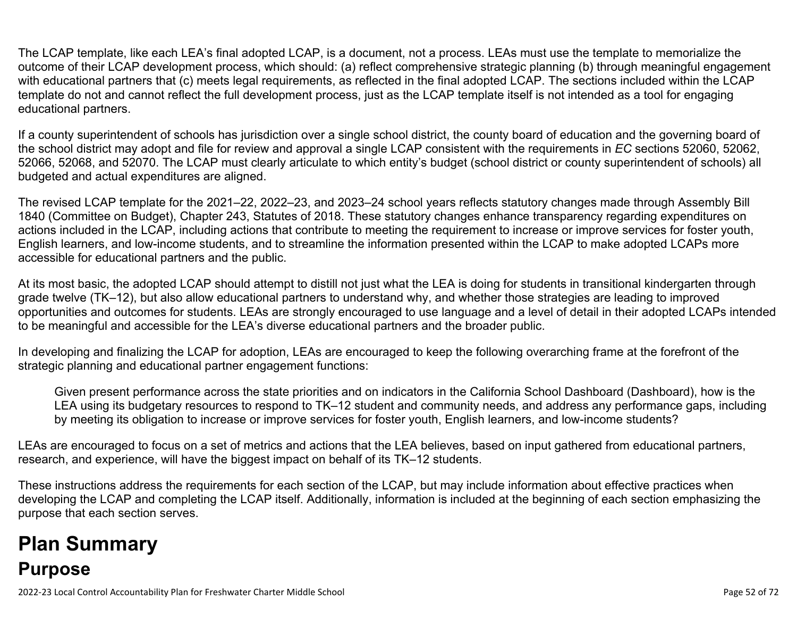The LCAP template, like each LEA's final adopted LCAP, is a document, not a process. LEAs must use the template to memorialize the outcome of their LCAP development process, which should: (a) reflect comprehensive strategic planning (b) through meaningful engagement with educational partners that (c) meets legal requirements, as reflected in the final adopted LCAP. The sections included within the LCAP template do not and cannot reflect the full development process, just as the LCAP template itself is not intended as a tool for engaging educational partners.

If a county superintendent of schools has jurisdiction over a single school district, the county board of education and the governing board of the school district may adopt and file for review and approval a single LCAP consistent with the requirements in *EC* sections 52060, 52062, 52066, 52068, and 52070. The LCAP must clearly articulate to which entity's budget (school district or county superintendent of schools) all budgeted and actual expenditures are aligned.

The revised LCAP template for the 2021–22, 2022–23, and 2023–24 school years reflects statutory changes made through Assembly Bill 1840 (Committee on Budget), Chapter 243, Statutes of 2018. These statutory changes enhance transparency regarding expenditures on actions included in the LCAP, including actions that contribute to meeting the requirement to increase or improve services for foster youth, English learners, and low-income students, and to streamline the information presented within the LCAP to make adopted LCAPs more accessible for educational partners and the public.

At its most basic, the adopted LCAP should attempt to distill not just what the LEA is doing for students in transitional kindergarten through grade twelve (TK–12), but also allow educational partners to understand why, and whether those strategies are leading to improved opportunities and outcomes for students. LEAs are strongly encouraged to use language and a level of detail in their adopted LCAPs intended to be meaningful and accessible for the LEA's diverse educational partners and the broader public.

In developing and finalizing the LCAP for adoption, LEAs are encouraged to keep the following overarching frame at the forefront of the strategic planning and educational partner engagement functions:

Given present performance across the state priorities and on indicators in the California School Dashboard (Dashboard), how is the LEA using its budgetary resources to respond to TK–12 student and community needs, and address any performance gaps, including by meeting its obligation to increase or improve services for foster youth, English learners, and low-income students?

LEAs are encouraged to focus on a set of metrics and actions that the LEA believes, based on input gathered from educational partners, research, and experience, will have the biggest impact on behalf of its TK–12 students.

These instructions address the requirements for each section of the LCAP, but may include information about effective practices when developing the LCAP and completing the LCAP itself. Additionally, information is included at the beginning of each section emphasizing the purpose that each section serves.

# **Plan Summary Purpose**

2022-23 Local Control Accountability Plan for Freshwater Charter Middle School Page 52 of 72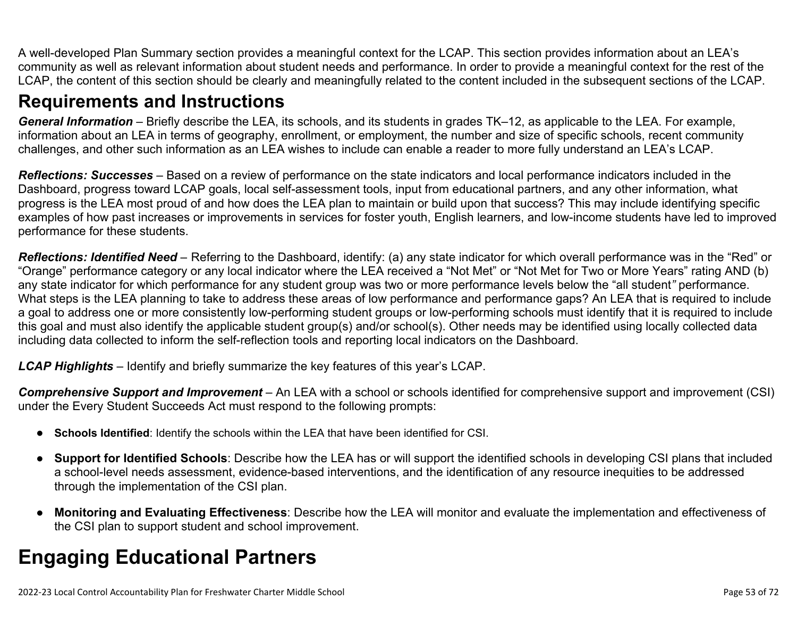A well-developed Plan Summary section provides a meaningful context for the LCAP. This section provides information about an LEA's community as well as relevant information about student needs and performance. In order to provide a meaningful context for the rest of the LCAP, the content of this section should be clearly and meaningfully related to the content included in the subsequent sections of the LCAP.

### **Requirements and Instructions**

*General Information* – Briefly describe the LEA, its schools, and its students in grades TK–12, as applicable to the LEA. For example, information about an LEA in terms of geography, enrollment, or employment, the number and size of specific schools, recent community challenges, and other such information as an LEA wishes to include can enable a reader to more fully understand an LEA's LCAP.

*Reflections: Successes* – Based on a review of performance on the state indicators and local performance indicators included in the Dashboard, progress toward LCAP goals, local self-assessment tools, input from educational partners, and any other information, what progress is the LEA most proud of and how does the LEA plan to maintain or build upon that success? This may include identifying specific examples of how past increases or improvements in services for foster youth, English learners, and low-income students have led to improved performance for these students.

*Reflections: Identified Need* – Referring to the Dashboard, identify: (a) any state indicator for which overall performance was in the "Red" or "Orange" performance category or any local indicator where the LEA received a "Not Met" or "Not Met for Two or More Years" rating AND (b) any state indicator for which performance for any student group was two or more performance levels below the "all student*"* performance. What steps is the LEA planning to take to address these areas of low performance and performance gaps? An LEA that is required to include a goal to address one or more consistently low-performing student groups or low-performing schools must identify that it is required to include this goal and must also identify the applicable student group(s) and/or school(s). Other needs may be identified using locally collected data including data collected to inform the self-reflection tools and reporting local indicators on the Dashboard.

*LCAP Highlights* – Identify and briefly summarize the key features of this year's LCAP.

*Comprehensive Support and Improvement* – An LEA with a school or schools identified for comprehensive support and improvement (CSI) under the Every Student Succeeds Act must respond to the following prompts:

- **Schools Identified**: Identify the schools within the LEA that have been identified for CSI.
- **Support for Identified Schools**: Describe how the LEA has or will support the identified schools in developing CSI plans that included a school-level needs assessment, evidence-based interventions, and the identification of any resource inequities to be addressed through the implementation of the CSI plan.
- **Monitoring and Evaluating Effectiveness**: Describe how the LEA will monitor and evaluate the implementation and effectiveness of the CSI plan to support student and school improvement.

# **Engaging Educational Partners**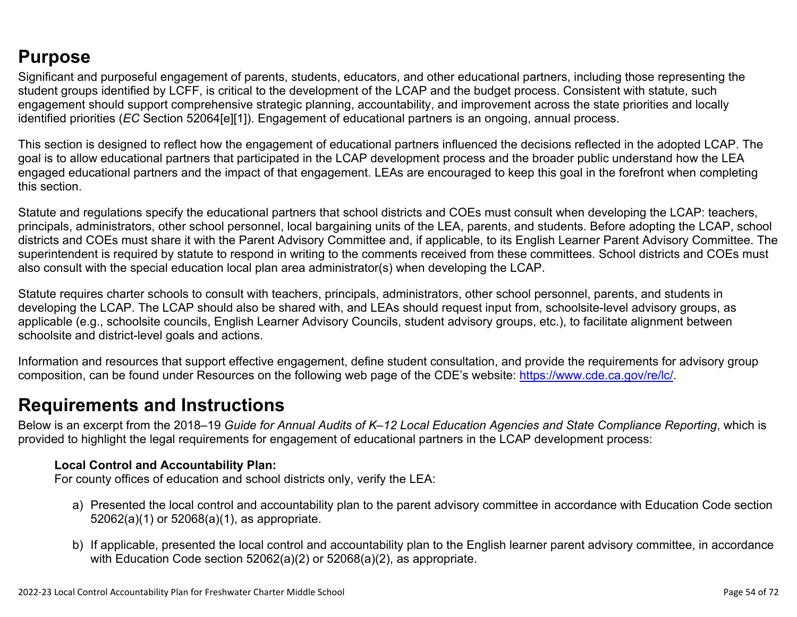## **Purpose**

Significant and purposeful engagement of parents, students, educators, and other educational partners, including those representing the student groups identified by LCFF, is critical to the development of the LCAP and the budget process. Consistent with statute, such engagement should support comprehensive strategic planning, accountability, and improvement across the state priorities and locally identified priorities (*EC* Section 52064[e][1]). Engagement of educational partners is an ongoing, annual process.

This section is designed to reflect how the engagement of educational partners influenced the decisions reflected in the adopted LCAP. The goal is to allow educational partners that participated in the LCAP development process and the broader public understand how the LEA engaged educational partners and the impact of that engagement. LEAs are encouraged to keep this goal in the forefront when completing this section.

Statute and regulations specify the educational partners that school districts and COEs must consult when developing the LCAP: teachers, principals, administrators, other school personnel, local bargaining units of the LEA, parents, and students. Before adopting the LCAP, school districts and COEs must share it with the Parent Advisory Committee and, if applicable, to its English Learner Parent Advisory Committee. The superintendent is required by statute to respond in writing to the comments received from these committees. School districts and COEs must also consult with the special education local plan area administrator(s) when developing the LCAP.

Statute requires charter schools to consult with teachers, principals, administrators, other school personnel, parents, and students in developing the LCAP. The LCAP should also be shared with, and LEAs should request input from, schoolsite-level advisory groups, as applicable (e.g., schoolsite councils, English Learner Advisory Councils, student advisory groups, etc.), to facilitate alignment between schoolsite and district-level goals and actions.

Information and resources that support effective engagement, define student consultation, and provide the requirements for advisory group composition, can be found under Resources on the following web page of the CDE's website: <https://www.cde.ca.gov/re/lc/>.

### **Requirements and Instructions**

Below is an excerpt from the 2018–19 *Guide for Annual Audits of K–12 Local Education Agencies and State Compliance Reporting*, which is provided to highlight the legal requirements for engagement of educational partners in the LCAP development process:

#### **Local Control and Accountability Plan:**

For county offices of education and school districts only, verify the LEA:

- a) Presented the local control and accountability plan to the parent advisory committee in accordance with Education Code section 52062(a)(1) or 52068(a)(1), as appropriate.
- b) If applicable, presented the local control and accountability plan to the English learner parent advisory committee, in accordance with Education Code section 52062(a)(2) or 52068(a)(2), as appropriate.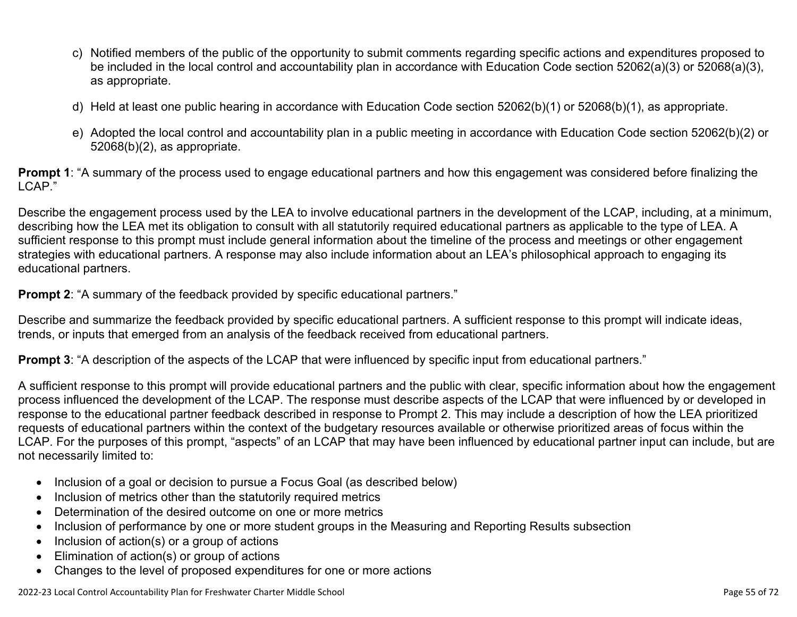- c) Notified members of the public of the opportunity to submit comments regarding specific actions and expenditures proposed to be included in the local control and accountability plan in accordance with Education Code section 52062(a)(3) or 52068(a)(3), as appropriate.
- d) Held at least one public hearing in accordance with Education Code section 52062(b)(1) or 52068(b)(1), as appropriate.
- e) Adopted the local control and accountability plan in a public meeting in accordance with Education Code section 52062(b)(2) or 52068(b)(2), as appropriate.

**Prompt 1**: "A summary of the process used to engage educational partners and how this engagement was considered before finalizing the LCAP."

Describe the engagement process used by the LEA to involve educational partners in the development of the LCAP, including, at a minimum, describing how the LEA met its obligation to consult with all statutorily required educational partners as applicable to the type of LEA. A sufficient response to this prompt must include general information about the timeline of the process and meetings or other engagement strategies with educational partners. A response may also include information about an LEA's philosophical approach to engaging its educational partners.

**Prompt 2:** "A summary of the feedback provided by specific educational partners."

Describe and summarize the feedback provided by specific educational partners. A sufficient response to this prompt will indicate ideas, trends, or inputs that emerged from an analysis of the feedback received from educational partners.

**Prompt 3**: "A description of the aspects of the LCAP that were influenced by specific input from educational partners."

A sufficient response to this prompt will provide educational partners and the public with clear, specific information about how the engagement process influenced the development of the LCAP. The response must describe aspects of the LCAP that were influenced by or developed in response to the educational partner feedback described in response to Prompt 2. This may include a description of how the LEA prioritized requests of educational partners within the context of the budgetary resources available or otherwise prioritized areas of focus within the LCAP. For the purposes of this prompt, "aspects" of an LCAP that may have been influenced by educational partner input can include, but are not necessarily limited to:

- Inclusion of a goal or decision to pursue a Focus Goal (as described below)
- Inclusion of metrics other than the statutorily required metrics
- Determination of the desired outcome on one or more metrics
- Inclusion of performance by one or more student groups in the Measuring and Reporting Results subsection
- Inclusion of action(s) or a group of actions
- Elimination of action(s) or group of actions
- Changes to the level of proposed expenditures for one or more actions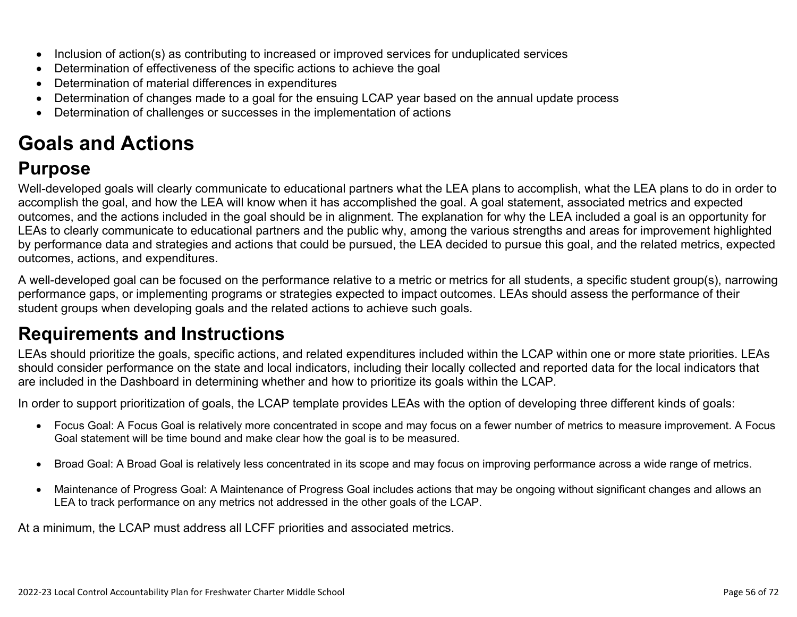- Inclusion of action(s) as contributing to increased or improved services for unduplicated services
- Determination of effectiveness of the specific actions to achieve the goal
- Determination of material differences in expenditures
- Determination of changes made to a goal for the ensuing LCAP year based on the annual update process
- Determination of challenges or successes in the implementation of actions

# **Goals and Actions**

## **Purpose**

Well-developed goals will clearly communicate to educational partners what the LEA plans to accomplish, what the LEA plans to do in order to accomplish the goal, and how the LEA will know when it has accomplished the goal. A goal statement, associated metrics and expected outcomes, and the actions included in the goal should be in alignment. The explanation for why the LEA included a goal is an opportunity for LEAs to clearly communicate to educational partners and the public why, among the various strengths and areas for improvement highlighted by performance data and strategies and actions that could be pursued, the LEA decided to pursue this goal, and the related metrics, expected outcomes, actions, and expenditures.

A well-developed goal can be focused on the performance relative to a metric or metrics for all students, a specific student group(s), narrowing performance gaps, or implementing programs or strategies expected to impact outcomes. LEAs should assess the performance of their student groups when developing goals and the related actions to achieve such goals.

## **Requirements and Instructions**

LEAs should prioritize the goals, specific actions, and related expenditures included within the LCAP within one or more state priorities. LEAs should consider performance on the state and local indicators, including their locally collected and reported data for the local indicators that are included in the Dashboard in determining whether and how to prioritize its goals within the LCAP.

In order to support prioritization of goals, the LCAP template provides LEAs with the option of developing three different kinds of goals:

- Focus Goal: A Focus Goal is relatively more concentrated in scope and may focus on a fewer number of metrics to measure improvement. A Focus Goal statement will be time bound and make clear how the goal is to be measured.
- Broad Goal: A Broad Goal is relatively less concentrated in its scope and may focus on improving performance across a wide range of metrics.
- Maintenance of Progress Goal: A Maintenance of Progress Goal includes actions that may be ongoing without significant changes and allows an LEA to track performance on any metrics not addressed in the other goals of the LCAP.

At a minimum, the LCAP must address all LCFF priorities and associated metrics.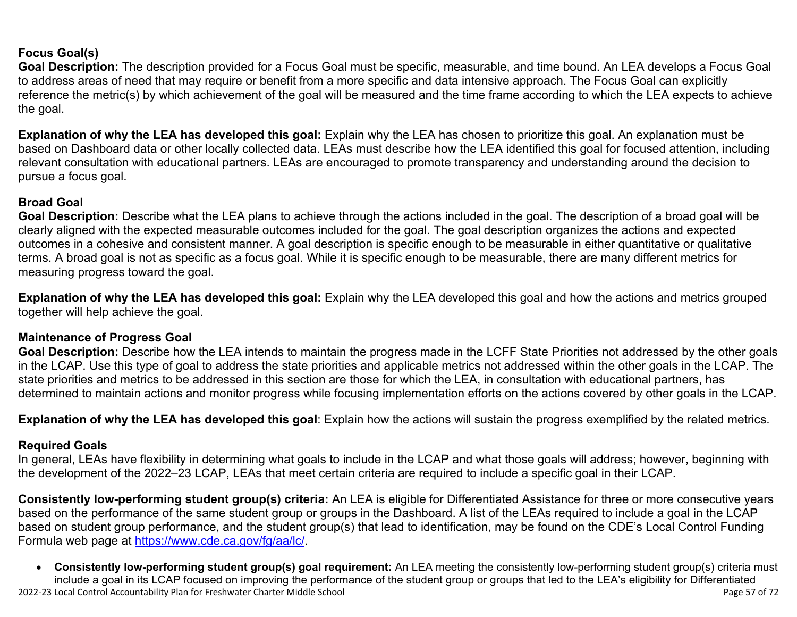#### **Focus Goal(s)**

**Goal Description:** The description provided for a Focus Goal must be specific, measurable, and time bound. An LEA develops a Focus Goal to address areas of need that may require or benefit from a more specific and data intensive approach. The Focus Goal can explicitly reference the metric(s) by which achievement of the goal will be measured and the time frame according to which the LEA expects to achieve the goal.

**Explanation of why the LEA has developed this goal:** Explain why the LEA has chosen to prioritize this goal. An explanation must be based on Dashboard data or other locally collected data. LEAs must describe how the LEA identified this goal for focused attention, including relevant consultation with educational partners. LEAs are encouraged to promote transparency and understanding around the decision to pursue a focus goal.

#### **Broad Goal**

Goal Description: Describe what the LEA plans to achieve through the actions included in the goal. The description of a broad goal will be clearly aligned with the expected measurable outcomes included for the goal. The goal description organizes the actions and expected outcomes in a cohesive and consistent manner. A goal description is specific enough to be measurable in either quantitative or qualitative terms. A broad goal is not as specific as a focus goal. While it is specific enough to be measurable, there are many different metrics for measuring progress toward the goal.

**Explanation of why the LEA has developed this goal:** Explain why the LEA developed this goal and how the actions and metrics grouped together will help achieve the goal.

#### **Maintenance of Progress Goal**

**Goal Description:** Describe how the LEA intends to maintain the progress made in the LCFF State Priorities not addressed by the other goals in the LCAP. Use this type of goal to address the state priorities and applicable metrics not addressed within the other goals in the LCAP. The state priorities and metrics to be addressed in this section are those for which the LEA, in consultation with educational partners, has determined to maintain actions and monitor progress while focusing implementation efforts on the actions covered by other goals in the LCAP.

**Explanation of why the LEA has developed this goal**: Explain how the actions will sustain the progress exemplified by the related metrics.

#### **Required Goals**

In general, LEAs have flexibility in determining what goals to include in the LCAP and what those goals will address; however, beginning with the development of the 2022–23 LCAP, LEAs that meet certain criteria are required to include a specific goal in their LCAP.

**Consistently low-performing student group(s) criteria:** An LEA is eligible for Differentiated Assistance for three or more consecutive years based on the performance of the same student group or groups in the Dashboard. A list of the LEAs required to include a goal in the LCAP based on student group performance, and the student group(s) that lead to identification, may be found on the CDE's Local Control Funding Formula web page at [https://www.cde.ca.gov/fg/aa/lc/.](https://www.cde.ca.gov/fg/aa/lc/)

2022-23 Local Control Accountability Plan for Freshwater Charter Middle School Page 57 of 72 • **Consistently low-performing student group(s) goal requirement:** An LEA meeting the consistently low-performing student group(s) criteria must include a goal in its LCAP focused on improving the performance of the student group or groups that led to the LEA's eligibility for Differentiated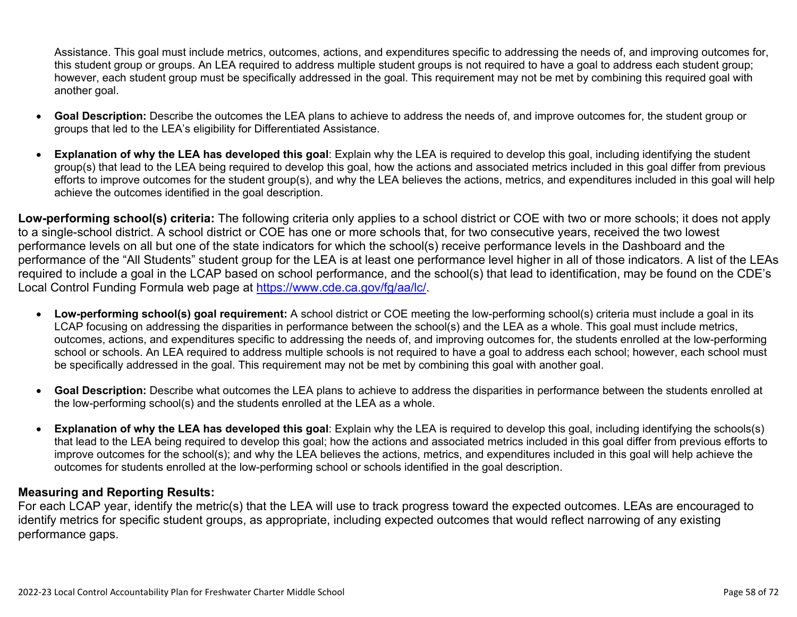Assistance. This goal must include metrics, outcomes, actions, and expenditures specific to addressing the needs of, and improving outcomes for, this student group or groups. An LEA required to address multiple student groups is not required to have a goal to address each student group; however, each student group must be specifically addressed in the goal. This requirement may not be met by combining this required goal with another goal.

- **Goal Description:** Describe the outcomes the LEA plans to achieve to address the needs of, and improve outcomes for, the student group or groups that led to the LEA's eligibility for Differentiated Assistance.
- **Explanation of why the LEA has developed this goal**: Explain why the LEA is required to develop this goal, including identifying the student group(s) that lead to the LEA being required to develop this goal, how the actions and associated metrics included in this goal differ from previous efforts to improve outcomes for the student group(s), and why the LEA believes the actions, metrics, and expenditures included in this goal will help achieve the outcomes identified in the goal description.

**Low-performing school(s) criteria:** The following criteria only applies to a school district or COE with two or more schools; it does not apply to a single-school district. A school district or COE has one or more schools that, for two consecutive years, received the two lowest performance levels on all but one of the state indicators for which the school(s) receive performance levels in the Dashboard and the performance of the "All Students" student group for the LEA is at least one performance level higher in all of those indicators. A list of the LEAs required to include a goal in the LCAP based on school performance, and the school(s) that lead to identification, may be found on the CDE's Local Control Funding Formula web page at [https://www.cde.ca.gov/fg/aa/lc/.](https://www.cde.ca.gov/fg/aa/lc/)

- **Low-performing school(s) goal requirement:** A school district or COE meeting the low-performing school(s) criteria must include a goal in its LCAP focusing on addressing the disparities in performance between the school(s) and the LEA as a whole. This goal must include metrics, outcomes, actions, and expenditures specific to addressing the needs of, and improving outcomes for, the students enrolled at the low-performing school or schools. An LEA required to address multiple schools is not required to have a goal to address each school; however, each school must be specifically addressed in the goal. This requirement may not be met by combining this goal with another goal.
- **Goal Description:** Describe what outcomes the LEA plans to achieve to address the disparities in performance between the students enrolled at the low-performing school(s) and the students enrolled at the LEA as a whole.
- **Explanation of why the LEA has developed this goal**: Explain why the LEA is required to develop this goal, including identifying the schools(s) that lead to the LEA being required to develop this goal; how the actions and associated metrics included in this goal differ from previous efforts to improve outcomes for the school(s); and why the LEA believes the actions, metrics, and expenditures included in this goal will help achieve the outcomes for students enrolled at the low-performing school or schools identified in the goal description.

#### **Measuring and Reporting Results:**

For each LCAP year, identify the metric(s) that the LEA will use to track progress toward the expected outcomes. LEAs are encouraged to identify metrics for specific student groups, as appropriate, including expected outcomes that would reflect narrowing of any existing performance gaps.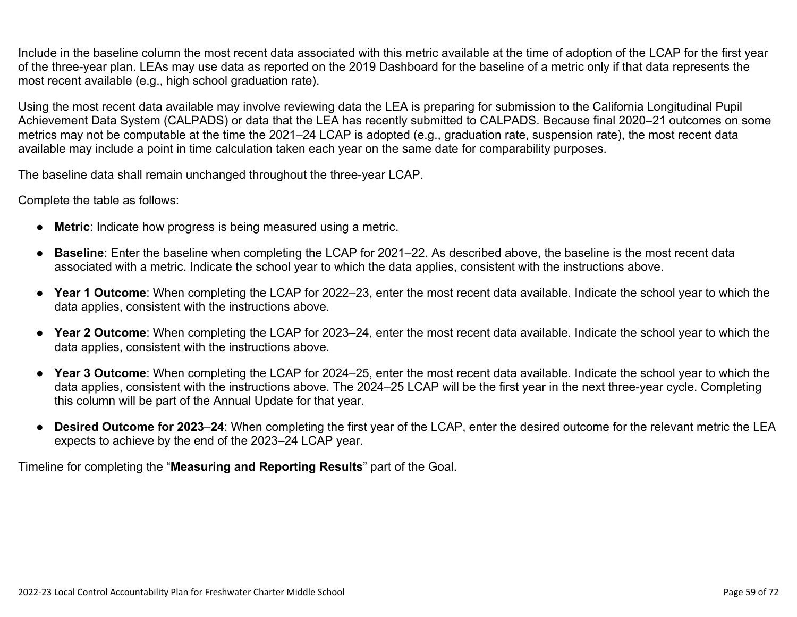Include in the baseline column the most recent data associated with this metric available at the time of adoption of the LCAP for the first year of the three-year plan. LEAs may use data as reported on the 2019 Dashboard for the baseline of a metric only if that data represents the most recent available (e.g., high school graduation rate).

Using the most recent data available may involve reviewing data the LEA is preparing for submission to the California Longitudinal Pupil Achievement Data System (CALPADS) or data that the LEA has recently submitted to CALPADS. Because final 2020–21 outcomes on some metrics may not be computable at the time the 2021–24 LCAP is adopted (e.g., graduation rate, suspension rate), the most recent data available may include a point in time calculation taken each year on the same date for comparability purposes.

The baseline data shall remain unchanged throughout the three-year LCAP.

Complete the table as follows:

- **Metric**: Indicate how progress is being measured using a metric.
- **Baseline**: Enter the baseline when completing the LCAP for 2021–22. As described above, the baseline is the most recent data associated with a metric. Indicate the school year to which the data applies, consistent with the instructions above.
- **Year 1 Outcome**: When completing the LCAP for 2022–23, enter the most recent data available. Indicate the school year to which the data applies, consistent with the instructions above.
- **Year 2 Outcome**: When completing the LCAP for 2023–24, enter the most recent data available. Indicate the school year to which the data applies, consistent with the instructions above.
- **Year 3 Outcome**: When completing the LCAP for 2024–25, enter the most recent data available. Indicate the school year to which the data applies, consistent with the instructions above. The 2024–25 LCAP will be the first year in the next three-year cycle. Completing this column will be part of the Annual Update for that year.
- **Desired Outcome for 2023**–**24**: When completing the first year of the LCAP, enter the desired outcome for the relevant metric the LEA expects to achieve by the end of the 2023–24 LCAP year.

Timeline for completing the "**Measuring and Reporting Results**" part of the Goal.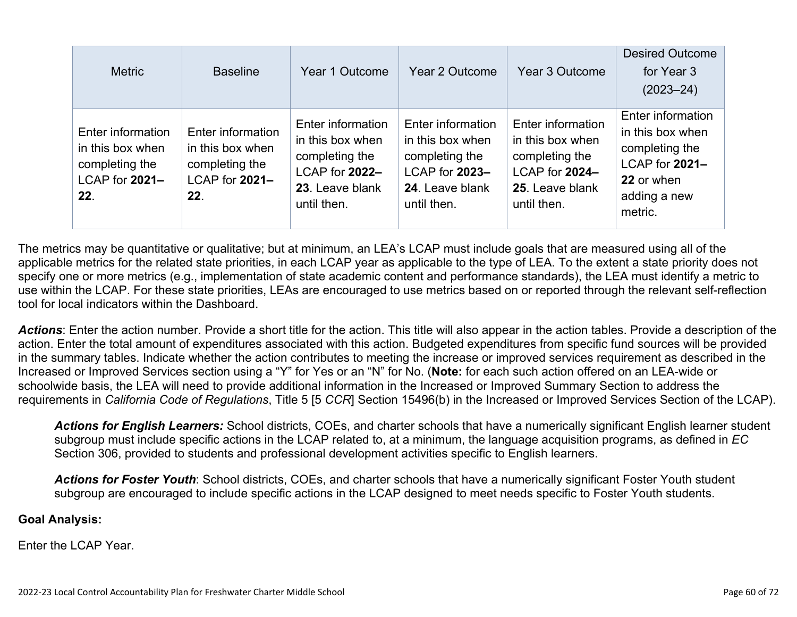| <b>Metric</b>                                                                    | <b>Baseline</b>                                                                  | Year 1 Outcome                                                                                              | Year 2 Outcome                                                                                              | Year 3 Outcome                                                                                              | <b>Desired Outcome</b><br>for Year 3<br>$(2023 - 24)$                                                              |
|----------------------------------------------------------------------------------|----------------------------------------------------------------------------------|-------------------------------------------------------------------------------------------------------------|-------------------------------------------------------------------------------------------------------------|-------------------------------------------------------------------------------------------------------------|--------------------------------------------------------------------------------------------------------------------|
| Enter information<br>in this box when<br>completing the<br>LCAP for 2021-<br>22. | Enter information<br>in this box when<br>completing the<br>LCAP for 2021-<br>22. | Enter information<br>in this box when<br>completing the<br>LCAP for 2022-<br>23. Leave blank<br>until then. | Enter information<br>in this box when<br>completing the<br>LCAP for 2023-<br>24. Leave blank<br>until then. | Enter information<br>in this box when<br>completing the<br>LCAP for 2024-<br>25. Leave blank<br>until then. | Enter information<br>in this box when<br>completing the<br>LCAP for 2021-<br>22 or when<br>adding a new<br>metric. |

The metrics may be quantitative or qualitative; but at minimum, an LEA's LCAP must include goals that are measured using all of the applicable metrics for the related state priorities, in each LCAP year as applicable to the type of LEA. To the extent a state priority does not specify one or more metrics (e.g., implementation of state academic content and performance standards), the LEA must identify a metric to use within the LCAP. For these state priorities, LEAs are encouraged to use metrics based on or reported through the relevant self-reflection tool for local indicators within the Dashboard.

*Actions*: Enter the action number. Provide a short title for the action. This title will also appear in the action tables. Provide a description of the action. Enter the total amount of expenditures associated with this action. Budgeted expenditures from specific fund sources will be provided in the summary tables. Indicate whether the action contributes to meeting the increase or improved services requirement as described in the Increased or Improved Services section using a "Y" for Yes or an "N" for No. (**Note:** for each such action offered on an LEA-wide or schoolwide basis, the LEA will need to provide additional information in the Increased or Improved Summary Section to address the requirements in *California Code of Regulations*, Title 5 [5 *CCR*] Section 15496(b) in the Increased or Improved Services Section of the LCAP).

*Actions for English Learners:* School districts, COEs, and charter schools that have a numerically significant English learner student subgroup must include specific actions in the LCAP related to, at a minimum, the language acquisition programs, as defined in *EC* Section 306, provided to students and professional development activities specific to English learners.

*Actions for Foster Youth*: School districts, COEs, and charter schools that have a numerically significant Foster Youth student subgroup are encouraged to include specific actions in the LCAP designed to meet needs specific to Foster Youth students.

#### **Goal Analysis:**

Enter the LCAP Year.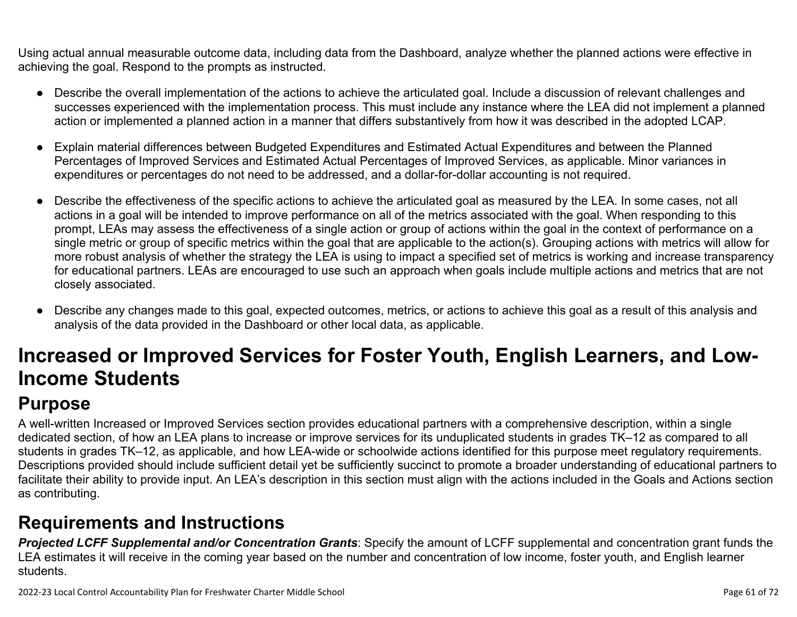Using actual annual measurable outcome data, including data from the Dashboard, analyze whether the planned actions were effective in achieving the goal. Respond to the prompts as instructed.

- Describe the overall implementation of the actions to achieve the articulated goal. Include a discussion of relevant challenges and successes experienced with the implementation process. This must include any instance where the LEA did not implement a planned action or implemented a planned action in a manner that differs substantively from how it was described in the adopted LCAP.
- Explain material differences between Budgeted Expenditures and Estimated Actual Expenditures and between the Planned Percentages of Improved Services and Estimated Actual Percentages of Improved Services, as applicable. Minor variances in expenditures or percentages do not need to be addressed, and a dollar-for-dollar accounting is not required.
- Describe the effectiveness of the specific actions to achieve the articulated goal as measured by the LEA. In some cases, not all actions in a goal will be intended to improve performance on all of the metrics associated with the goal. When responding to this prompt, LEAs may assess the effectiveness of a single action or group of actions within the goal in the context of performance on a single metric or group of specific metrics within the goal that are applicable to the action(s). Grouping actions with metrics will allow for more robust analysis of whether the strategy the LEA is using to impact a specified set of metrics is working and increase transparency for educational partners. LEAs are encouraged to use such an approach when goals include multiple actions and metrics that are not closely associated.
- Describe any changes made to this goal, expected outcomes, metrics, or actions to achieve this goal as a result of this analysis and analysis of the data provided in the Dashboard or other local data, as applicable.

# **Increased or Improved Services for Foster Youth, English Learners, and Low-Income Students**

## **Purpose**

A well-written Increased or Improved Services section provides educational partners with a comprehensive description, within a single dedicated section, of how an LEA plans to increase or improve services for its unduplicated students in grades TK–12 as compared to all students in grades TK–12, as applicable, and how LEA-wide or schoolwide actions identified for this purpose meet regulatory requirements. Descriptions provided should include sufficient detail yet be sufficiently succinct to promote a broader understanding of educational partners to facilitate their ability to provide input. An LEA's description in this section must align with the actions included in the Goals and Actions section as contributing.

## **Requirements and Instructions**

*Projected LCFF Supplemental and/or Concentration Grants*: Specify the amount of LCFF supplemental and concentration grant funds the LEA estimates it will receive in the coming year based on the number and concentration of low income, foster youth, and English learner students.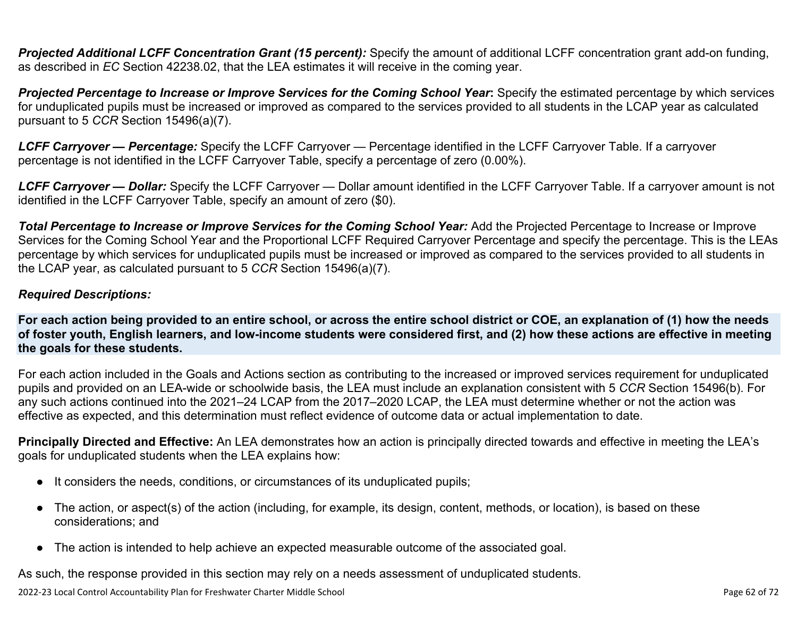**Projected Additional LCFF Concentration Grant (15 percent):** Specify the amount of additional LCFF concentration grant add-on funding, as described in *EC* Section 42238.02, that the LEA estimates it will receive in the coming year.

*Projected Percentage to Increase or Improve Services for the Coming School Year***:** Specify the estimated percentage by which services for unduplicated pupils must be increased or improved as compared to the services provided to all students in the LCAP year as calculated pursuant to 5 *CCR* Section 15496(a)(7).

*LCFF Carryover — Percentage:* Specify the LCFF Carryover — Percentage identified in the LCFF Carryover Table. If a carryover percentage is not identified in the LCFF Carryover Table, specify a percentage of zero (0.00%).

*LCFF Carryover — Dollar:* Specify the LCFF Carryover — Dollar amount identified in the LCFF Carryover Table. If a carryover amount is not identified in the LCFF Carryover Table, specify an amount of zero (\$0).

**Total Percentage to Increase or Improve Services for the Coming School Year:** Add the Projected Percentage to Increase or Improve Services for the Coming School Year and the Proportional LCFF Required Carryover Percentage and specify the percentage. This is the LEAs percentage by which services for unduplicated pupils must be increased or improved as compared to the services provided to all students in the LCAP year, as calculated pursuant to 5 *CCR* Section 15496(a)(7).

#### *Required Descriptions:*

**For each action being provided to an entire school, or across the entire school district or COE, an explanation of (1) how the needs of foster youth, English learners, and low-income students were considered first, and (2) how these actions are effective in meeting the goals for these students.**

For each action included in the Goals and Actions section as contributing to the increased or improved services requirement for unduplicated pupils and provided on an LEA-wide or schoolwide basis, the LEA must include an explanation consistent with 5 *CCR* Section 15496(b). For any such actions continued into the 2021–24 LCAP from the 2017–2020 LCAP, the LEA must determine whether or not the action was effective as expected, and this determination must reflect evidence of outcome data or actual implementation to date.

**Principally Directed and Effective:** An LEA demonstrates how an action is principally directed towards and effective in meeting the LEA's goals for unduplicated students when the LEA explains how:

- It considers the needs, conditions, or circumstances of its unduplicated pupils;
- The action, or aspect(s) of the action (including, for example, its design, content, methods, or location), is based on these considerations; and
- The action is intended to help achieve an expected measurable outcome of the associated goal.

As such, the response provided in this section may rely on a needs assessment of unduplicated students.

2022-23 Local Control Accountability Plan for Freshwater Charter Middle School Page 62 of 72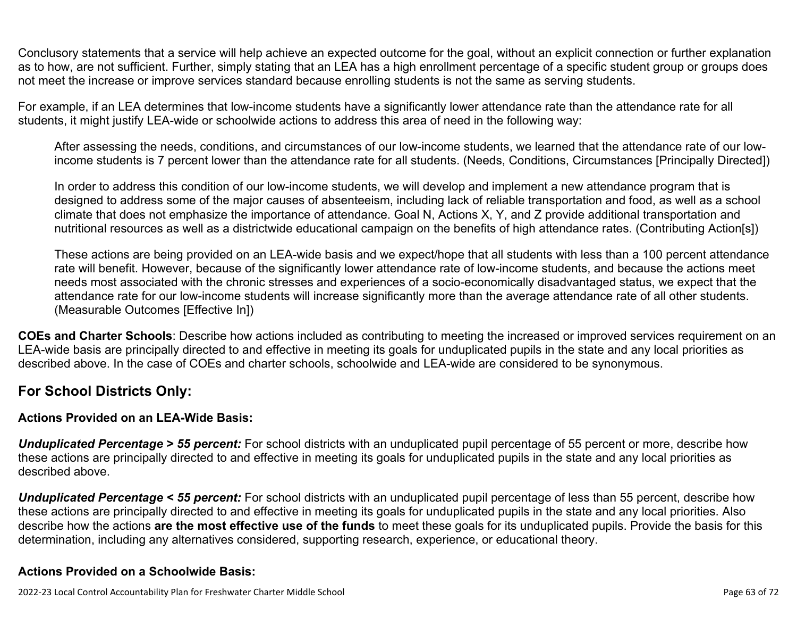Conclusory statements that a service will help achieve an expected outcome for the goal, without an explicit connection or further explanation as to how, are not sufficient. Further, simply stating that an LEA has a high enrollment percentage of a specific student group or groups does not meet the increase or improve services standard because enrolling students is not the same as serving students.

For example, if an LEA determines that low-income students have a significantly lower attendance rate than the attendance rate for all students, it might justify LEA-wide or schoolwide actions to address this area of need in the following way:

After assessing the needs, conditions, and circumstances of our low-income students, we learned that the attendance rate of our lowincome students is 7 percent lower than the attendance rate for all students. (Needs, Conditions, Circumstances [Principally Directed])

In order to address this condition of our low-income students, we will develop and implement a new attendance program that is designed to address some of the major causes of absenteeism, including lack of reliable transportation and food, as well as a school climate that does not emphasize the importance of attendance. Goal N, Actions X, Y, and Z provide additional transportation and nutritional resources as well as a districtwide educational campaign on the benefits of high attendance rates. (Contributing Action[s])

These actions are being provided on an LEA-wide basis and we expect/hope that all students with less than a 100 percent attendance rate will benefit. However, because of the significantly lower attendance rate of low-income students, and because the actions meet needs most associated with the chronic stresses and experiences of a socio-economically disadvantaged status, we expect that the attendance rate for our low-income students will increase significantly more than the average attendance rate of all other students. (Measurable Outcomes [Effective In])

**COEs and Charter Schools**: Describe how actions included as contributing to meeting the increased or improved services requirement on an LEA-wide basis are principally directed to and effective in meeting its goals for unduplicated pupils in the state and any local priorities as described above. In the case of COEs and charter schools, schoolwide and LEA-wide are considered to be synonymous.

#### **For School Districts Only:**

#### **Actions Provided on an LEA-Wide Basis:**

*Unduplicated Percentage > 55 percent:* For school districts with an unduplicated pupil percentage of 55 percent or more, describe how these actions are principally directed to and effective in meeting its goals for unduplicated pupils in the state and any local priorities as described above.

*Unduplicated Percentage < 55 percent:* For school districts with an unduplicated pupil percentage of less than 55 percent, describe how these actions are principally directed to and effective in meeting its goals for unduplicated pupils in the state and any local priorities. Also describe how the actions **are the most effective use of the funds** to meet these goals for its unduplicated pupils. Provide the basis for this determination, including any alternatives considered, supporting research, experience, or educational theory.

#### **Actions Provided on a Schoolwide Basis:**

2022-23 Local Control Accountability Plan for Freshwater Charter Middle School Page 63 of 72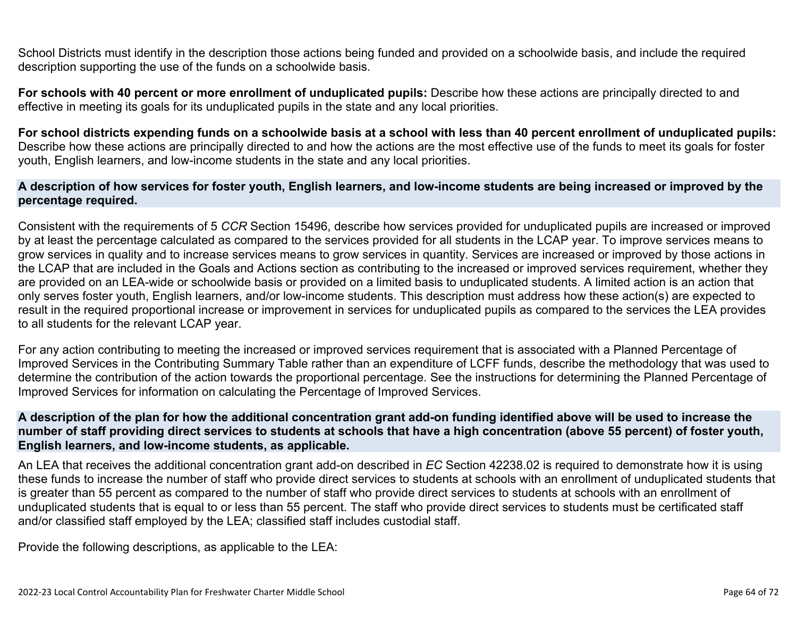School Districts must identify in the description those actions being funded and provided on a schoolwide basis, and include the required description supporting the use of the funds on a schoolwide basis.

**For schools with 40 percent or more enrollment of unduplicated pupils:** Describe how these actions are principally directed to and effective in meeting its goals for its unduplicated pupils in the state and any local priorities.

**For school districts expending funds on a schoolwide basis at a school with less than 40 percent enrollment of unduplicated pupils:** Describe how these actions are principally directed to and how the actions are the most effective use of the funds to meet its goals for foster youth, English learners, and low-income students in the state and any local priorities.

#### **A description of how services for foster youth, English learners, and low-income students are being increased or improved by the percentage required.**

Consistent with the requirements of 5 *CCR* Section 15496, describe how services provided for unduplicated pupils are increased or improved by at least the percentage calculated as compared to the services provided for all students in the LCAP year. To improve services means to grow services in quality and to increase services means to grow services in quantity. Services are increased or improved by those actions in the LCAP that are included in the Goals and Actions section as contributing to the increased or improved services requirement, whether they are provided on an LEA-wide or schoolwide basis or provided on a limited basis to unduplicated students. A limited action is an action that only serves foster youth, English learners, and/or low-income students. This description must address how these action(s) are expected to result in the required proportional increase or improvement in services for unduplicated pupils as compared to the services the LEA provides to all students for the relevant LCAP year.

For any action contributing to meeting the increased or improved services requirement that is associated with a Planned Percentage of Improved Services in the Contributing Summary Table rather than an expenditure of LCFF funds, describe the methodology that was used to determine the contribution of the action towards the proportional percentage. See the instructions for determining the Planned Percentage of Improved Services for information on calculating the Percentage of Improved Services.

#### **A description of the plan for how the additional concentration grant add-on funding identified above will be used to increase the number of staff providing direct services to students at schools that have a high concentration (above 55 percent) of foster youth, English learners, and low-income students, as applicable.**

An LEA that receives the additional concentration grant add-on described in *EC* Section 42238.02 is required to demonstrate how it is using these funds to increase the number of staff who provide direct services to students at schools with an enrollment of unduplicated students that is greater than 55 percent as compared to the number of staff who provide direct services to students at schools with an enrollment of unduplicated students that is equal to or less than 55 percent. The staff who provide direct services to students must be certificated staff and/or classified staff employed by the LEA; classified staff includes custodial staff.

Provide the following descriptions, as applicable to the LEA: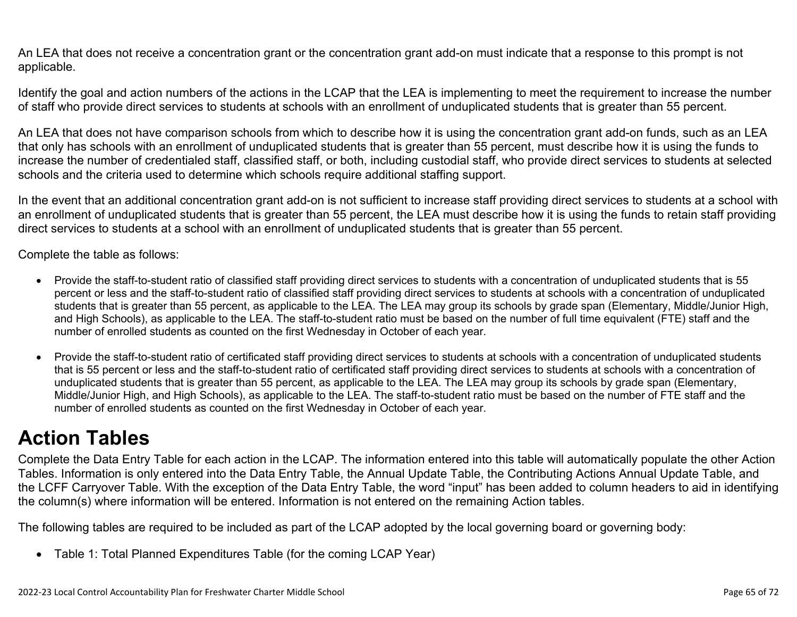An LEA that does not receive a concentration grant or the concentration grant add-on must indicate that a response to this prompt is not applicable.

Identify the goal and action numbers of the actions in the LCAP that the LEA is implementing to meet the requirement to increase the number of staff who provide direct services to students at schools with an enrollment of unduplicated students that is greater than 55 percent.

An LEA that does not have comparison schools from which to describe how it is using the concentration grant add-on funds, such as an LEA that only has schools with an enrollment of unduplicated students that is greater than 55 percent, must describe how it is using the funds to increase the number of credentialed staff, classified staff, or both, including custodial staff, who provide direct services to students at selected schools and the criteria used to determine which schools require additional staffing support.

In the event that an additional concentration grant add-on is not sufficient to increase staff providing direct services to students at a school with an enrollment of unduplicated students that is greater than 55 percent, the LEA must describe how it is using the funds to retain staff providing direct services to students at a school with an enrollment of unduplicated students that is greater than 55 percent.

Complete the table as follows:

- Provide the staff-to-student ratio of classified staff providing direct services to students with a concentration of unduplicated students that is 55 percent or less and the staff-to-student ratio of classified staff providing direct services to students at schools with a concentration of unduplicated students that is greater than 55 percent, as applicable to the LEA. The LEA may group its schools by grade span (Elementary, Middle/Junior High, and High Schools), as applicable to the LEA. The staff-to-student ratio must be based on the number of full time equivalent (FTE) staff and the number of enrolled students as counted on the first Wednesday in October of each year.
- Provide the staff-to-student ratio of certificated staff providing direct services to students at schools with a concentration of unduplicated students that is 55 percent or less and the staff-to-student ratio of certificated staff providing direct services to students at schools with a concentration of unduplicated students that is greater than 55 percent, as applicable to the LEA. The LEA may group its schools by grade span (Elementary, Middle/Junior High, and High Schools), as applicable to the LEA. The staff-to-student ratio must be based on the number of FTE staff and the number of enrolled students as counted on the first Wednesday in October of each year.

# **Action Tables**

Complete the Data Entry Table for each action in the LCAP. The information entered into this table will automatically populate the other Action Tables. Information is only entered into the Data Entry Table, the Annual Update Table, the Contributing Actions Annual Update Table, and the LCFF Carryover Table. With the exception of the Data Entry Table, the word "input" has been added to column headers to aid in identifying the column(s) where information will be entered. Information is not entered on the remaining Action tables.

The following tables are required to be included as part of the LCAP adopted by the local governing board or governing body:

• Table 1: Total Planned Expenditures Table (for the coming LCAP Year)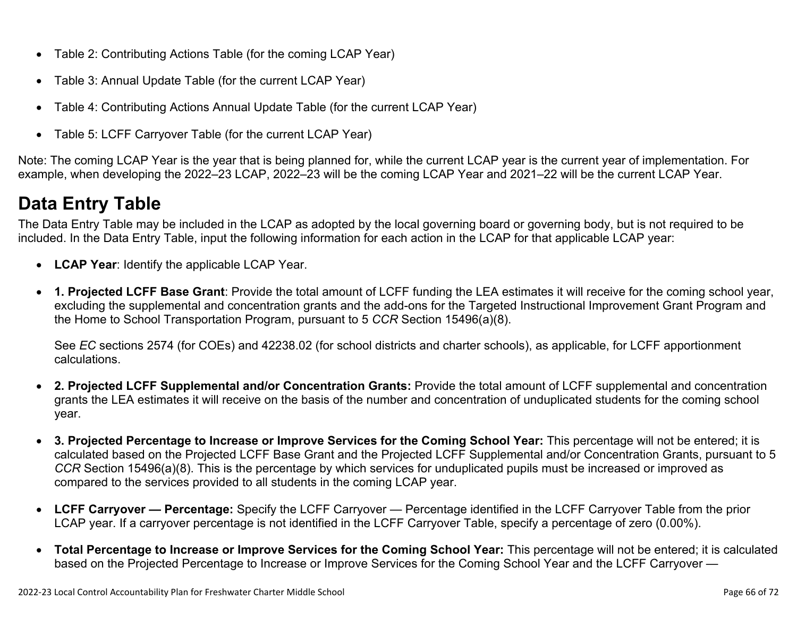- Table 2: Contributing Actions Table (for the coming LCAP Year)
- Table 3: Annual Update Table (for the current LCAP Year)
- Table 4: Contributing Actions Annual Update Table (for the current LCAP Year)
- Table 5: LCFF Carryover Table (for the current LCAP Year)

Note: The coming LCAP Year is the year that is being planned for, while the current LCAP year is the current year of implementation. For example, when developing the 2022–23 LCAP, 2022–23 will be the coming LCAP Year and 2021–22 will be the current LCAP Year.

## **Data Entry Table**

The Data Entry Table may be included in the LCAP as adopted by the local governing board or governing body, but is not required to be included. In the Data Entry Table, input the following information for each action in the LCAP for that applicable LCAP year:

- **LCAP Year**: Identify the applicable LCAP Year.
- **1. Projected LCFF Base Grant**: Provide the total amount of LCFF funding the LEA estimates it will receive for the coming school year, excluding the supplemental and concentration grants and the add-ons for the Targeted Instructional Improvement Grant Program and the Home to School Transportation Program, pursuant to 5 *CCR* Section 15496(a)(8).

See *EC* sections 2574 (for COEs) and 42238.02 (for school districts and charter schools), as applicable, for LCFF apportionment calculations.

- **2. Projected LCFF Supplemental and/or Concentration Grants:** Provide the total amount of LCFF supplemental and concentration grants the LEA estimates it will receive on the basis of the number and concentration of unduplicated students for the coming school year.
- **3. Projected Percentage to Increase or Improve Services for the Coming School Year:** This percentage will not be entered; it is calculated based on the Projected LCFF Base Grant and the Projected LCFF Supplemental and/or Concentration Grants, pursuant to 5 *CCR* Section 15496(a)(8). This is the percentage by which services for unduplicated pupils must be increased or improved as compared to the services provided to all students in the coming LCAP year.
- **LCFF Carryover Percentage:** Specify the LCFF Carryover Percentage identified in the LCFF Carryover Table from the prior LCAP year. If a carryover percentage is not identified in the LCFF Carryover Table, specify a percentage of zero (0.00%).
- **Total Percentage to Increase or Improve Services for the Coming School Year:** This percentage will not be entered; it is calculated based on the Projected Percentage to Increase or Improve Services for the Coming School Year and the LCFF Carryover —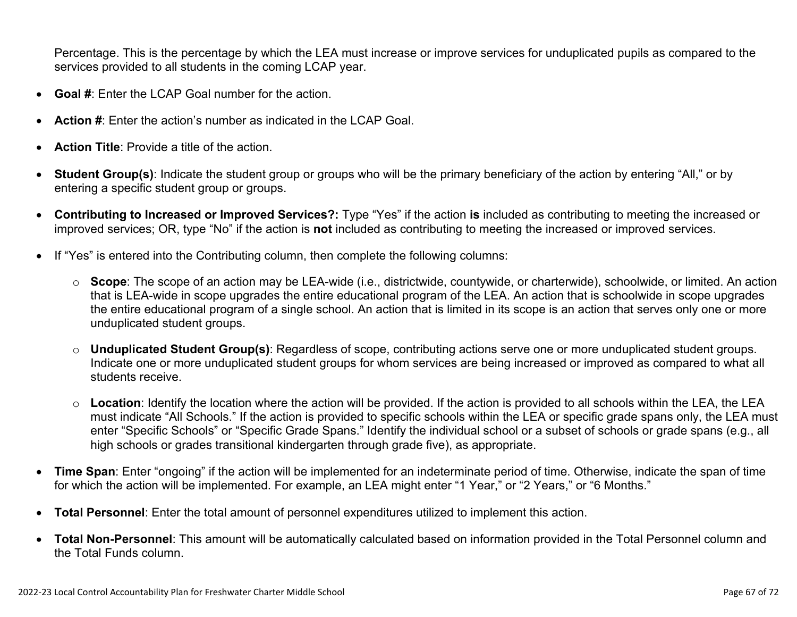Percentage. This is the percentage by which the LEA must increase or improve services for unduplicated pupils as compared to the services provided to all students in the coming LCAP year.

- **Goal #**: Enter the LCAP Goal number for the action.
- **Action #**: Enter the action's number as indicated in the LCAP Goal.
- **Action Title**: Provide a title of the action.
- **Student Group(s)**: Indicate the student group or groups who will be the primary beneficiary of the action by entering "All," or by entering a specific student group or groups.
- **Contributing to Increased or Improved Services?:** Type "Yes" if the action **is** included as contributing to meeting the increased or improved services; OR, type "No" if the action is **not** included as contributing to meeting the increased or improved services.
- If "Yes" is entered into the Contributing column, then complete the following columns:
	- o **Scope**: The scope of an action may be LEA-wide (i.e., districtwide, countywide, or charterwide), schoolwide, or limited. An action that is LEA-wide in scope upgrades the entire educational program of the LEA. An action that is schoolwide in scope upgrades the entire educational program of a single school. An action that is limited in its scope is an action that serves only one or more unduplicated student groups.
	- o **Unduplicated Student Group(s)**: Regardless of scope, contributing actions serve one or more unduplicated student groups. Indicate one or more unduplicated student groups for whom services are being increased or improved as compared to what all students receive.
	- o **Location**: Identify the location where the action will be provided. If the action is provided to all schools within the LEA, the LEA must indicate "All Schools." If the action is provided to specific schools within the LEA or specific grade spans only, the LEA must enter "Specific Schools" or "Specific Grade Spans." Identify the individual school or a subset of schools or grade spans (e.g., all high schools or grades transitional kindergarten through grade five), as appropriate.
- **Time Span**: Enter "ongoing" if the action will be implemented for an indeterminate period of time. Otherwise, indicate the span of time for which the action will be implemented. For example, an LEA might enter "1 Year," or "2 Years," or "6 Months."
- **Total Personnel**: Enter the total amount of personnel expenditures utilized to implement this action.
- **Total Non-Personnel**: This amount will be automatically calculated based on information provided in the Total Personnel column and the Total Funds column.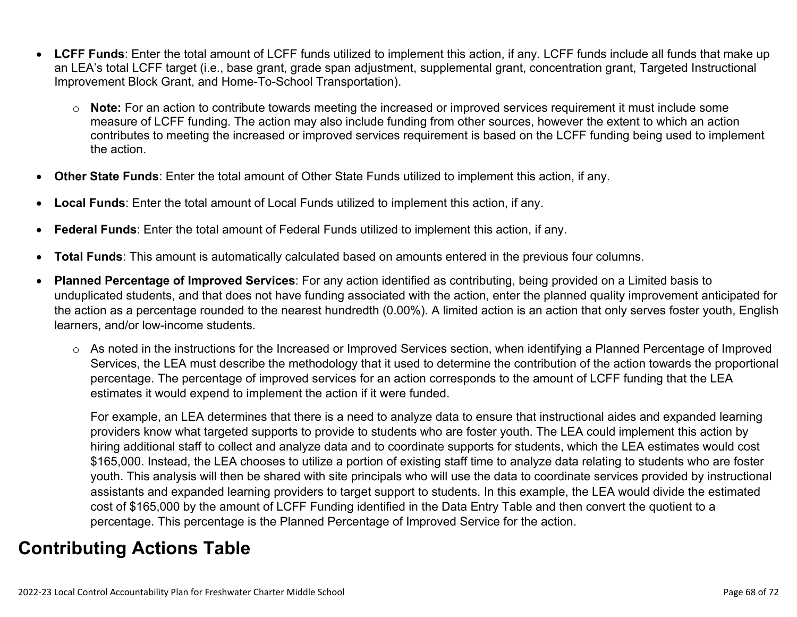- **LCFF Funds**: Enter the total amount of LCFF funds utilized to implement this action, if any. LCFF funds include all funds that make up an LEA's total LCFF target (i.e., base grant, grade span adjustment, supplemental grant, concentration grant, Targeted Instructional Improvement Block Grant, and Home-To-School Transportation).
	- o **Note:** For an action to contribute towards meeting the increased or improved services requirement it must include some measure of LCFF funding. The action may also include funding from other sources, however the extent to which an action contributes to meeting the increased or improved services requirement is based on the LCFF funding being used to implement the action.
- **Other State Funds**: Enter the total amount of Other State Funds utilized to implement this action, if any.
- **Local Funds**: Enter the total amount of Local Funds utilized to implement this action, if any.
- **Federal Funds**: Enter the total amount of Federal Funds utilized to implement this action, if any.
- **Total Funds**: This amount is automatically calculated based on amounts entered in the previous four columns.
- **Planned Percentage of Improved Services**: For any action identified as contributing, being provided on a Limited basis to unduplicated students, and that does not have funding associated with the action, enter the planned quality improvement anticipated for the action as a percentage rounded to the nearest hundredth (0.00%). A limited action is an action that only serves foster youth, English learners, and/or low-income students.
	- o As noted in the instructions for the Increased or Improved Services section, when identifying a Planned Percentage of Improved Services, the LEA must describe the methodology that it used to determine the contribution of the action towards the proportional percentage. The percentage of improved services for an action corresponds to the amount of LCFF funding that the LEA estimates it would expend to implement the action if it were funded.

For example, an LEA determines that there is a need to analyze data to ensure that instructional aides and expanded learning providers know what targeted supports to provide to students who are foster youth. The LEA could implement this action by hiring additional staff to collect and analyze data and to coordinate supports for students, which the LEA estimates would cost \$165,000. Instead, the LEA chooses to utilize a portion of existing staff time to analyze data relating to students who are foster youth. This analysis will then be shared with site principals who will use the data to coordinate services provided by instructional assistants and expanded learning providers to target support to students. In this example, the LEA would divide the estimated cost of \$165,000 by the amount of LCFF Funding identified in the Data Entry Table and then convert the quotient to a percentage. This percentage is the Planned Percentage of Improved Service for the action.

## **Contributing Actions Table**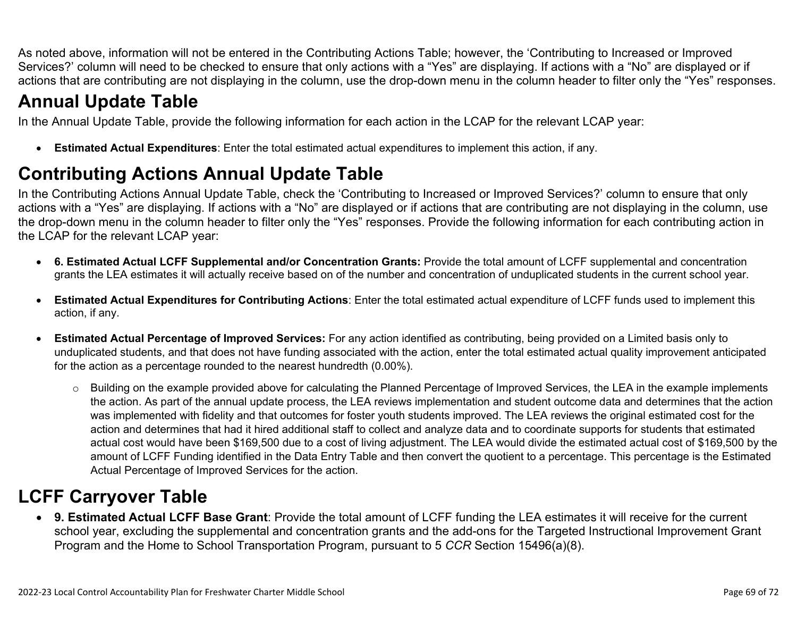As noted above, information will not be entered in the Contributing Actions Table; however, the 'Contributing to Increased or Improved Services?' column will need to be checked to ensure that only actions with a "Yes" are displaying. If actions with a "No" are displayed or if actions that are contributing are not displaying in the column, use the drop-down menu in the column header to filter only the "Yes" responses.

## **Annual Update Table**

In the Annual Update Table, provide the following information for each action in the LCAP for the relevant LCAP year:

• **Estimated Actual Expenditures**: Enter the total estimated actual expenditures to implement this action, if any.

## **Contributing Actions Annual Update Table**

In the Contributing Actions Annual Update Table, check the 'Contributing to Increased or Improved Services?' column to ensure that only actions with a "Yes" are displaying. If actions with a "No" are displayed or if actions that are contributing are not displaying in the column, use the drop-down menu in the column header to filter only the "Yes" responses. Provide the following information for each contributing action in the LCAP for the relevant LCAP year:

- **6. Estimated Actual LCFF Supplemental and/or Concentration Grants:** Provide the total amount of LCFF supplemental and concentration grants the LEA estimates it will actually receive based on of the number and concentration of unduplicated students in the current school year.
- **Estimated Actual Expenditures for Contributing Actions**: Enter the total estimated actual expenditure of LCFF funds used to implement this action, if any.
- **Estimated Actual Percentage of Improved Services:** For any action identified as contributing, being provided on a Limited basis only to unduplicated students, and that does not have funding associated with the action, enter the total estimated actual quality improvement anticipated for the action as a percentage rounded to the nearest hundredth (0.00%).
	- o Building on the example provided above for calculating the Planned Percentage of Improved Services, the LEA in the example implements the action. As part of the annual update process, the LEA reviews implementation and student outcome data and determines that the action was implemented with fidelity and that outcomes for foster youth students improved. The LEA reviews the original estimated cost for the action and determines that had it hired additional staff to collect and analyze data and to coordinate supports for students that estimated actual cost would have been \$169,500 due to a cost of living adjustment. The LEA would divide the estimated actual cost of \$169,500 by the amount of LCFF Funding identified in the Data Entry Table and then convert the quotient to a percentage. This percentage is the Estimated Actual Percentage of Improved Services for the action.

## **LCFF Carryover Table**

• **9. Estimated Actual LCFF Base Grant**: Provide the total amount of LCFF funding the LEA estimates it will receive for the current school year, excluding the supplemental and concentration grants and the add-ons for the Targeted Instructional Improvement Grant Program and the Home to School Transportation Program, pursuant to 5 *CCR* Section 15496(a)(8).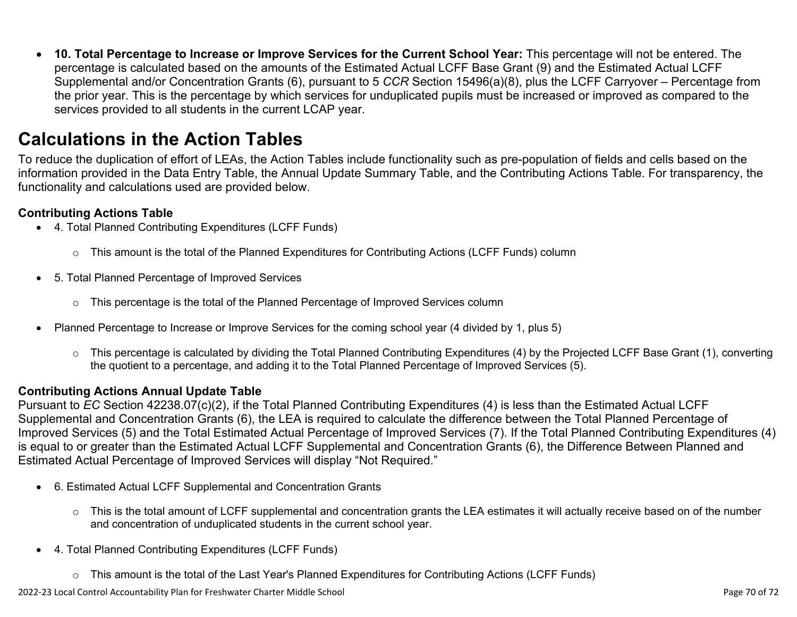• **10. Total Percentage to Increase or Improve Services for the Current School Year:** This percentage will not be entered. The percentage is calculated based on the amounts of the Estimated Actual LCFF Base Grant (9) and the Estimated Actual LCFF Supplemental and/or Concentration Grants (6), pursuant to 5 *CCR* Section 15496(a)(8), plus the LCFF Carryover – Percentage from the prior year. This is the percentage by which services for unduplicated pupils must be increased or improved as compared to the services provided to all students in the current LCAP year.

### **Calculations in the Action Tables**

To reduce the duplication of effort of LEAs, the Action Tables include functionality such as pre-population of fields and cells based on the information provided in the Data Entry Table, the Annual Update Summary Table, and the Contributing Actions Table. For transparency, the functionality and calculations used are provided below.

#### **Contributing Actions Table**

- 4. Total Planned Contributing Expenditures (LCFF Funds)
	- $\circ$  This amount is the total of the Planned Expenditures for Contributing Actions (LCFF Funds) column
- 5. Total Planned Percentage of Improved Services
	- $\circ$  This percentage is the total of the Planned Percentage of Improved Services column
- Planned Percentage to Increase or Improve Services for the coming school year (4 divided by 1, plus 5)
	- o This percentage is calculated by dividing the Total Planned Contributing Expenditures (4) by the Projected LCFF Base Grant (1), converting the quotient to a percentage, and adding it to the Total Planned Percentage of Improved Services (5).

#### **Contributing Actions Annual Update Table**

Pursuant to *EC* Section 42238.07(c)(2), if the Total Planned Contributing Expenditures (4) is less than the Estimated Actual LCFF Supplemental and Concentration Grants (6), the LEA is required to calculate the difference between the Total Planned Percentage of Improved Services (5) and the Total Estimated Actual Percentage of Improved Services (7). If the Total Planned Contributing Expenditures (4) is equal to or greater than the Estimated Actual LCFF Supplemental and Concentration Grants (6), the Difference Between Planned and Estimated Actual Percentage of Improved Services will display "Not Required."

- 6. Estimated Actual LCFF Supplemental and Concentration Grants
	- o This is the total amount of LCFF supplemental and concentration grants the LEA estimates it will actually receive based on of the number and concentration of unduplicated students in the current school year.
- 4. Total Planned Contributing Expenditures (LCFF Funds)
	- $\circ$  This amount is the total of the Last Year's Planned Expenditures for Contributing Actions (LCFF Funds)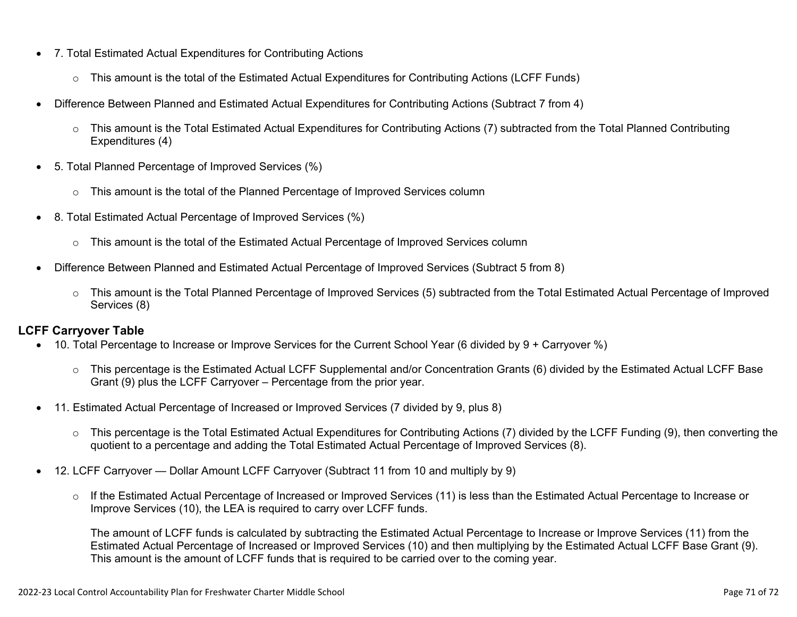- 7. Total Estimated Actual Expenditures for Contributing Actions
	- o This amount is the total of the Estimated Actual Expenditures for Contributing Actions (LCFF Funds)
- Difference Between Planned and Estimated Actual Expenditures for Contributing Actions (Subtract 7 from 4)
	- $\circ$  This amount is the Total Estimated Actual Expenditures for Contributing Actions (7) subtracted from the Total Planned Contributing Expenditures (4)
- 5. Total Planned Percentage of Improved Services (%)
	- $\circ$  This amount is the total of the Planned Percentage of Improved Services column
- 8. Total Estimated Actual Percentage of Improved Services (%)
	- o This amount is the total of the Estimated Actual Percentage of Improved Services column
- Difference Between Planned and Estimated Actual Percentage of Improved Services (Subtract 5 from 8)
	- o This amount is the Total Planned Percentage of Improved Services (5) subtracted from the Total Estimated Actual Percentage of Improved Services (8)

#### **LCFF Carryover Table**

- 10. Total Percentage to Increase or Improve Services for the Current School Year (6 divided by 9 + Carryover %)
	- $\circ$  This percentage is the Estimated Actual LCFF Supplemental and/or Concentration Grants (6) divided by the Estimated Actual LCFF Base Grant (9) plus the LCFF Carryover – Percentage from the prior year.
- 11. Estimated Actual Percentage of Increased or Improved Services (7 divided by 9, plus 8)
	- o This percentage is the Total Estimated Actual Expenditures for Contributing Actions (7) divided by the LCFF Funding (9), then converting the quotient to a percentage and adding the Total Estimated Actual Percentage of Improved Services (8).
- 12. LCFF Carryover Dollar Amount LCFF Carryover (Subtract 11 from 10 and multiply by 9)
	- $\circ$  If the Estimated Actual Percentage of Increased or Improved Services (11) is less than the Estimated Actual Percentage to Increase or Improve Services (10), the LEA is required to carry over LCFF funds.

The amount of LCFF funds is calculated by subtracting the Estimated Actual Percentage to Increase or Improve Services (11) from the Estimated Actual Percentage of Increased or Improved Services (10) and then multiplying by the Estimated Actual LCFF Base Grant (9). This amount is the amount of LCFF funds that is required to be carried over to the coming year.